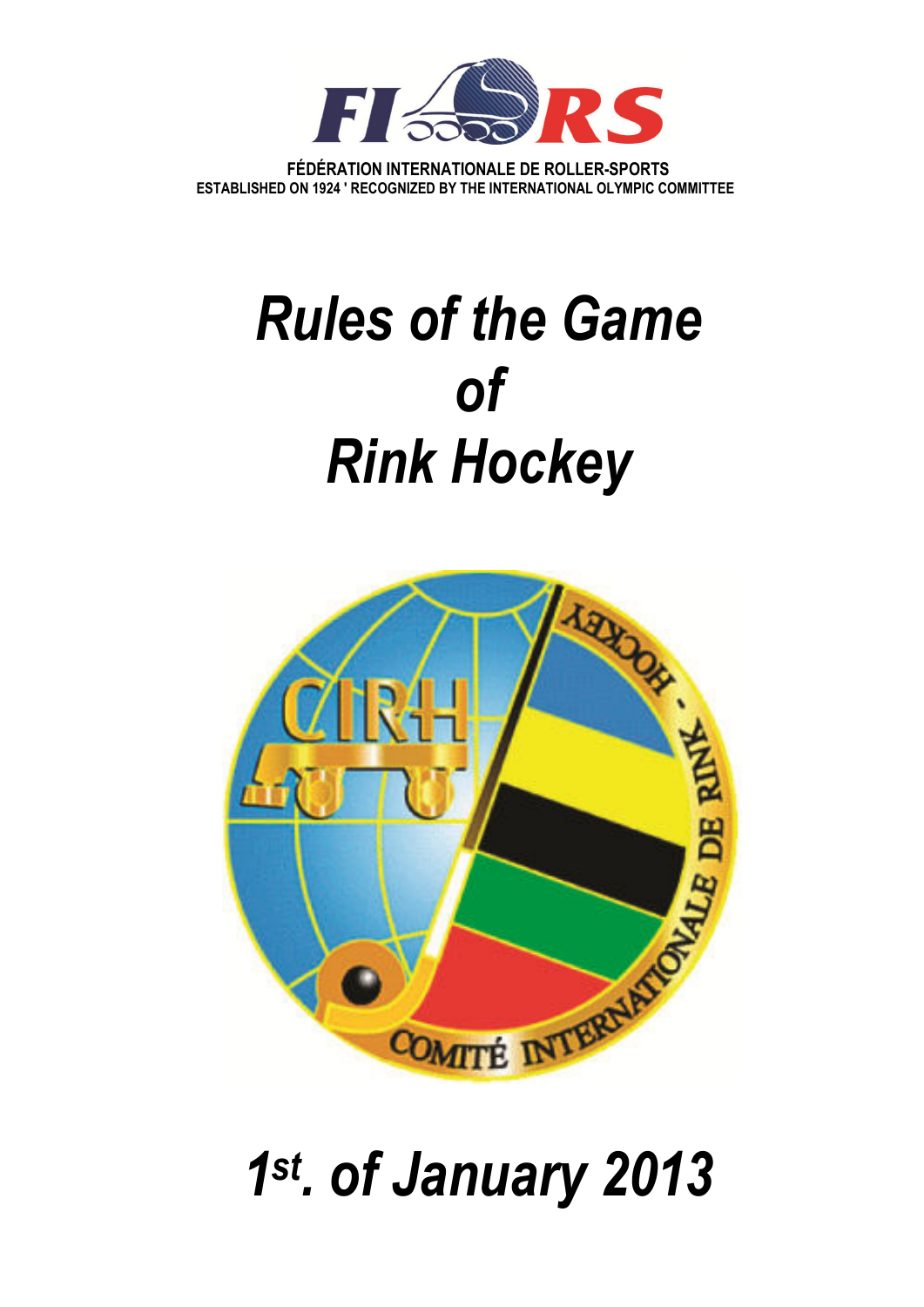

**FÉDÉRATION INTERNATIONALE DE ROLLER-SPORTS ESTABLISHED ON 1924 ' RECOGNIZED BY THE INTERNATIONAL OLYMPIC COMMITTEE** 

# *Rules of the Game of Rink Hockey*



# *1 st. of January 2013*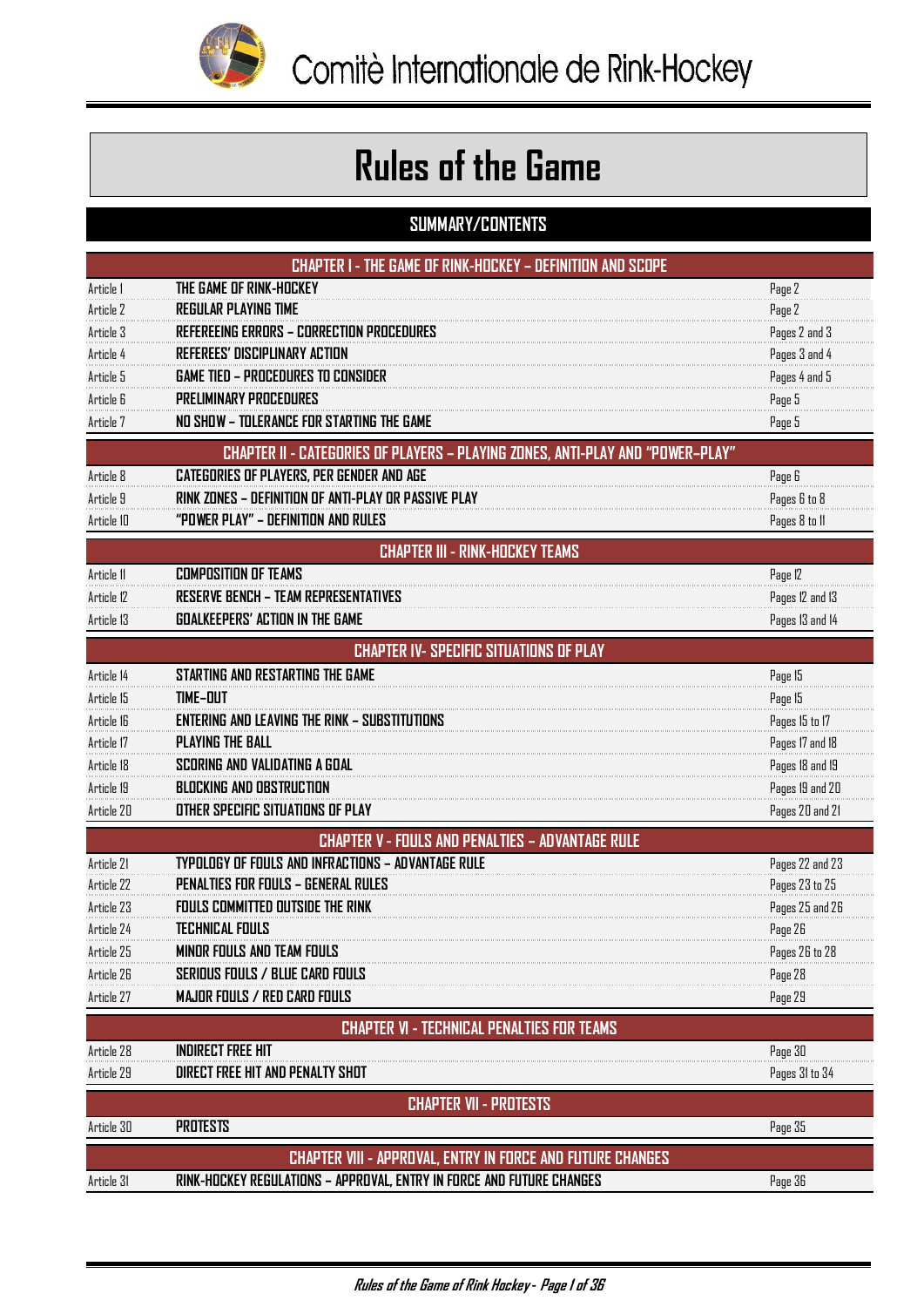

# **Rules of the Game**

# **SUMMARY/CONTENTS**

| <b>CHAPTER I - THE GAME OF RINK-HOCKEY - DEFINITION AND SCOPE</b> |                                                                                |                 |  |  |  |
|-------------------------------------------------------------------|--------------------------------------------------------------------------------|-----------------|--|--|--|
| Article 1                                                         | THE GAME OF RINK-HOCKEY                                                        | Page 2          |  |  |  |
| Article 2                                                         | <b>REGULAR PLAYING TIME</b>                                                    | Page 2          |  |  |  |
| Article 3                                                         | <b>REFEREEING ERRORS - CORRECTION PROCEDURES</b>                               | Pages 2 and 3   |  |  |  |
| Article 4                                                         | <b>REFEREES' DISCIPLINARY ACTION</b>                                           | Pages 3 and 4   |  |  |  |
| Article 5                                                         | <b>GAME TIED - PROCEDURES TO CONSIDER</b>                                      | Pages 4 and 5   |  |  |  |
| Article 6                                                         | <b>PRELIMINARY PROCEDURES</b>                                                  | Page 5          |  |  |  |
| Article 7                                                         | NO SHOW - TOLERANCE FOR STARTING THE GAME                                      | Page 5          |  |  |  |
|                                                                   | CHAPTER II - CATEGORIES OF PLAYERS - PLAYING ZONES, ANTI-PLAY AND "POWER-PLAY" |                 |  |  |  |
| Article 8                                                         | <b>CATEGORIES OF PLAYERS, PER GENDER AND AGE</b>                               | Page 6          |  |  |  |
| Article 9                                                         | RINK ZONES – DEFINITION OF ANTI-PLAY OR PASSIVE PLAY                           | Pages 6 to 8    |  |  |  |
| Article 10                                                        | "POWER PLAY" - DEFINITION AND RULES                                            | Pages 8 to 11   |  |  |  |
| <b>CHAPTER III - RINK-HOCKEY TEAMS</b>                            |                                                                                |                 |  |  |  |
| Article 11                                                        | <b>COMPOSITION OF TEAMS</b>                                                    | Page 12         |  |  |  |
| Article 12                                                        | <b>RESERVE BENCH - TEAM REPRESENTATIVES</b>                                    | Pages 12 and 13 |  |  |  |
| Article 13                                                        | <b>GOALKEEPERS' ACTION IN THE GAME</b>                                         | Pages 13 and 14 |  |  |  |
|                                                                   | <b>CHAPTER IV- SPECIFIC SITUATIONS OF PLAY</b>                                 |                 |  |  |  |
| Article 14                                                        | STARTING AND RESTARTING THE GAME                                               | Page 15         |  |  |  |
| Article 15                                                        | <b>TIME-DUT</b>                                                                | Page 15         |  |  |  |
| Article 16                                                        | <b>ENTERING AND LEAVING THE RINK - SUBSTITUTIONS</b>                           | Pages 15 to 17  |  |  |  |
| Article 17                                                        | <b>PLAYING THE BALL</b>                                                        | Pages 17 and 18 |  |  |  |
| Article 18                                                        | SCORING AND VALIDATING A GOAL                                                  | Pages 18 and 19 |  |  |  |
| Article 19                                                        | <b>BLOCKING AND OBSTRUCTION</b>                                                | Pages 19 and 20 |  |  |  |
| Article 20                                                        | OTHER SPECIFIC SITUATIONS OF PLAY                                              | Pages 20 and 21 |  |  |  |
|                                                                   | <b>CHAPTER V - FOULS AND PENALTIES - ADVANTAGE RULE</b>                        |                 |  |  |  |
| Article 21                                                        | TYPOLOGY OF FOULS AND INFRACTIONS - ADVANTAGE RULE                             | Pages 22 and 23 |  |  |  |
| Article 22                                                        | <b>PENALTIES FOR FOULS - GENERAL RULES</b>                                     | Pages 23 to 25  |  |  |  |
| Article 23                                                        | <b>FOULS COMMITTED OUTSIDE THE RINK</b>                                        | Pages 25 and 26 |  |  |  |
| Article 24                                                        | <b>TECHNICAL FOULS</b>                                                         | Page 26         |  |  |  |
| Article 25                                                        | MINUR FOULS AND TEAM FOULS                                                     | Pages 26 to 28  |  |  |  |
| Article 26                                                        | SERIOUS FOULS / BLUE CARD FOULS                                                | Page 28         |  |  |  |
| Article 27                                                        | <b>MAJOR FOULS / RED CARD FOULS</b>                                            | Page 29         |  |  |  |
|                                                                   | <b>CHAPTER VI - TECHNICAL PENALTIES FOR TEAMS</b>                              |                 |  |  |  |
| Article 28                                                        | <b>INDIRECT FREE HIT</b>                                                       | Page 30         |  |  |  |
| Article 29                                                        | DIRECT FREE HIT AND PENALTY SHOT                                               | Pages 31 to 34  |  |  |  |
|                                                                   | <b>CHAPTER VII - PROTESTS</b>                                                  |                 |  |  |  |
| Article 30                                                        | <b>PROTESTS</b>                                                                | Page 35         |  |  |  |
|                                                                   | <b>CHAPTER VIII - APPROVAL, ENTRY IN FORCE AND FUTURE CHANGES</b>              |                 |  |  |  |
| Article 31                                                        | RINK-HOCKEY REGULATIONS - APPROVAL, ENTRY IN FORCE AND FUTURE CHANGES          | Page 36         |  |  |  |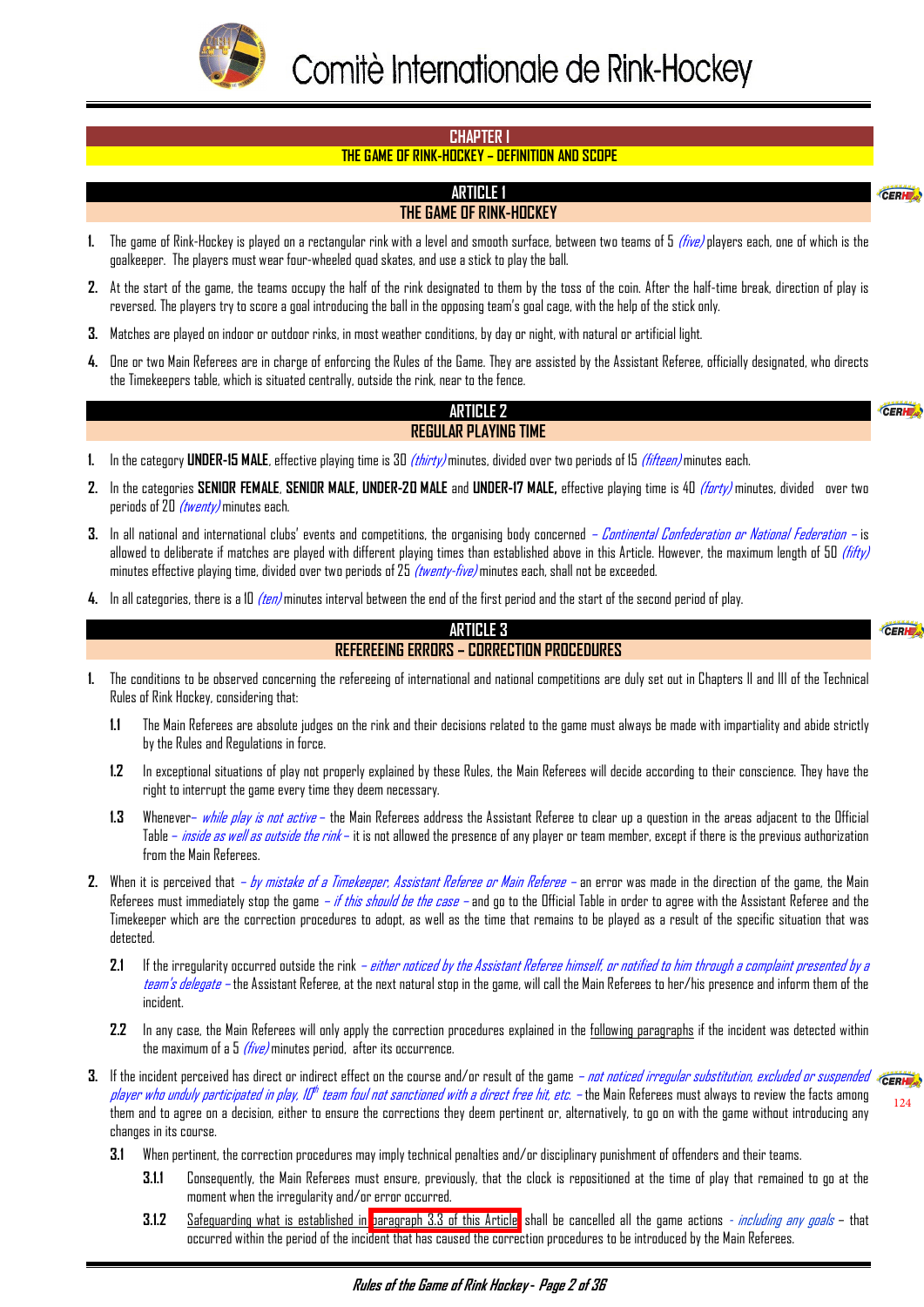<span id="page-2-0"></span>

#### **CHAPTER I**

#### **THE GAME OF RINK-HOCKEY – DEFINITION AND SCOPE**

#### **ARTICLE 1 THE GAME OF RINK-HOCKEY**

- **1.** The game of Rink-Hockey is played on a rectangular rink with a level and smooth surface, between two teams of 5 (five) players each, one of which is the goalkeeper. The players must wear four-wheeled quad skates, and use a stick to play the ball.
- **2.** At the start of the game, the teams occupy the half of the rink designated to them by the toss of the coin. After the half-time break, direction of play is reversed. The players try to score a goal introducing the ball in the opposing team's goal cage, with the help of the stick only.
- **3.** Matches are played on indoor or outdoor rinks, in most weather conditions, by day or night, with natural or artificial light.
- **4.** One or two Main Referees are in charge of enforcing the Rules of the Game. They are assisted by the Assistant Referee, officially designated, who directs the Timekeepers table, which is situated centrally, outside the rink, near to the fence.

#### **ARTICLE 2 REGULAR PLAYING TIME**

CERH

CER

 $\epsilon$ <sub>cept</sub>

- **1.** In the category **UNDER-15 MALE**, effective playing time is 30 (thirty) minutes, divided over two periods of 15 (fifteen) minutes each.
- **2.** In the categories **SENIOR FEMALE**, **SENIOR MALE, UNDER-20 MALE** and **UNDER-17 MALE,** effective playing time is 40 (forty) minutes, divided over two periods of 20  $(twenty)$  minutes each.
- **3.** In all national and international clubs' events and competitions, the organising body concerned Continental Confederation or National Federation is allowed to deliberate if matches are played with different playing times than established above in this Article. However, the maximum length of 50 (fifty) minutes effective playing time, divided over two periods of 25 *(twenty-five)* minutes each, shall not be exceeded.
- **4.** In all categories, there is a 10 (ten) minutes interval between the end of the first period and the start of the second period of play.

#### **ARTICLE 3 REFEREEING ERRORS – CORRECTION PROCEDURES**

- **1.** The conditions to be observed concerning the refereeing of international and national competitions are duly set out in Chapters II and III of the Technical Rules of Rink Hockey, considering that:
	- **1.1** The Main Referees are absolute judges on the rink and their decisions related to the game must always be made with impartiality and abide strictly by the Rules and Regulations in force.
	- **1.2** In exceptional situations of play not properly explained by these Rules, the Main Referees will decide according to their conscience. They have the right to interrupt the game every time they deem necessary.
	- **1.3** Whenever– while play is not active the Main Referees address the Assistant Referee to clear up a question in the areas adjacent to the Official Table – *inside as well as outside the rink* – it is not allowed the presence of any player or team member, except if there is the previous authorization from the Main Referees.
- **2.** When it is perceived that by mistake of a Timekeeper, Assistant Referee or Main Referee an error was made in the direction of the game, the Main Referees must immediately stop the game *– if this should be the case* – and go to the Official Table in order to agree with the Assistant Referee and the Timekeeper which are the correction procedures to adopt, as well as the time that remains to be played as a result of the specific situation that was detected.
	- **2.1** If the irregularity occurred outside the rink either noticed by the Assistant Referee himself, or notified to him through a complaint presented by a team's delegate – the Assistant Referee, at the next natural stop in the game, will call the Main Referees to her/his presence and inform them of the incident.
	- **2.2** In any case, the Main Referees will only apply the correction procedures explained in the following paragraphs if the incident was detected within the maximum of a  $5$  (five) minutes period, after its occurrence.
- **3.** If the incident perceived has direct or indirect effect on the course and/or result of the game *not noticed irregular substitution, excluded or suspended* «CERM player who unduly participated in play, ID<sup>th</sup> team foul not sanctioned with a direct free hit, etc. — the Main Referees must always to review the facts among them and to agree on a decision, either to ensure the corrections they deem pertinent or, alternatively, to go on with the game without introducing any changes in its course.  $124$ 
	- **3.1** When pertinent, the correction procedures may imply technical penalties and/or disciplinary punishment of offenders and their teams.
		- **3.1.1** Consequently, the Main Referees must ensure, previously, that the clock is repositioned at the time of play that remained to go at the moment when the irregularity and/or error occurred.
		- **3.1.2** Safeguarding what is established in [paragraph 3.3 of this Article,](#page-3-0) shall be cancelled all the game actions *including any goals* that occurred within the period of the incident that has caused the correction procedures to be introduced by the Main Referees.

**Rules of the Game of Rink Hockey - Page 2 of 36**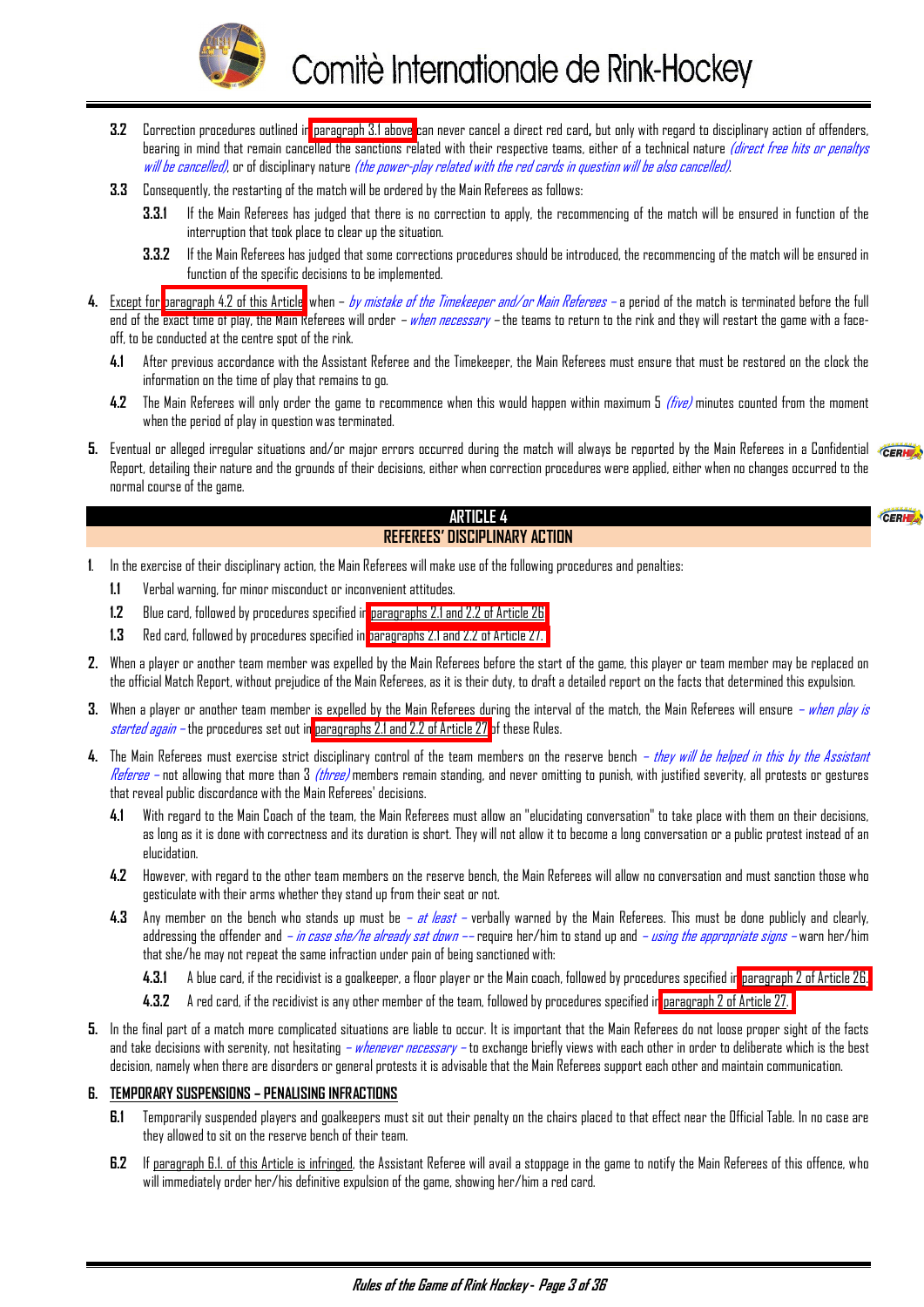

- <span id="page-3-0"></span>**3.2** Correction procedures outlined in [paragraph 3.1 above](#page-2-0) can never cancel a direct red card**,** but only with regard to disciplinary action of offenders, bearing in mind that remain cancelled the sanctions related with their respective teams, either of a technical nature *(direct free hits or penaltys* will be cancelled), or of disciplinary nature (the power-play related with the red cards in question will be also cancelled).
- **3.3** Consequently, the restarting of the match will be ordered by the Main Referees as follows:
	- **3.3.1** If the Main Referees has judged that there is no correction to apply, the recommencing of the match will be ensured in function of the interruption that took place to clear up the situation.
	- **3.3.2** If the Main Referees has judged that some corrections procedures should be introduced, the recommencing of the match will be ensured in function of the specific decisions to be implemented.
- 4. Except for paragraph 4.2 of this Article, when *by mistake of the Timekeeper and/or Main Referees* a period of the match is terminated before the full end of the exact time of play, the Main Referees will order *– when necessary* – the teams to return to the rink and they will restart the game with a faceoff, to be conducted at the centre spot of the rink.
	- **4.1** After previous accordance with the Assistant Referee and the Timekeeper, the Main Referees must ensure that must be restored on the clock the information on the time of play that remains to go.
	- **4.2** The Main Referees will only order the game to recommence when this would happen within maximum 5 (five) minutes counted from the moment when the period of play in question was terminated.
- **5.** Eventual or alleged irregular situations and/or major errors occurred during the match will always be reported by the Main Referees in a Confidential  $\epsilon_{\text{CERH}}$ Report, detailing their nature and the grounds of their decisions, either when correction procedures were applied, either when no changes occurred to the normal course of the game.

CERI

# **ARTICLE 4 REFEREES' DISCIPLINARY ACTION**

- **1**. In the exercise of their disciplinary action, the Main Referees will make use of the following procedures and penalties:
	- **1.1** Verbal warning, for minor misconduct or inconvenient attitudes.
	- **1.2** Blue card, followed by procedures specified i[n paragraphs 2.1 and 2.2 of Article 26.](#page-28-0)
	- **1.3** Red card, followed by procedures specified in [paragraphs 2.1 and 2.2 of Article 27.](#page-29-0)
- **2.** When a player or another team member was expelled by the Main Referees before the start of the game, this player or team member may be replaced on the official Match Report, without prejudice of the Main Referees, as it is their duty, to draft a detailed report on the facts that determined this expulsion.
- **3.** When a player or another team member is expelled by the Main Referees during the interval of the match, the Main Referees will ensure when play is started again – the procedures set out in [paragraphs 2.1 and 2.2 of Article 27](#page-29-0) of these Rules.
- 4. The Main Referees must exercise strict disciplinary control of the team members on the reserve bench *they will be helped in this by the Assistant* Referee – not allowing that more than 3 (three) members remain standing, and never omitting to punish, with justified severity, all protests or gestures that reveal public discordance with the Main Referees' decisions.
	- **4.1** With regard to the Main Coach of the team, the Main Referees must allow an "elucidating conversation" to take place with them on their decisions, as long as it is done with correctness and its duration is short. They will not allow it to become a long conversation or a public protest instead of an elucidation.
	- **4.2** However, with regard to the other team members on the reserve bench, the Main Referees will allow no conversation and must sanction those who gesticulate with their arms whether they stand up from their seat or not.
	- 4.3 Any member on the bench who stands up must be at least verbally warned by the Main Referees. This must be done publicly and clearly, addressing the offender and *– in case she/he already sat down ––* require her/him to stand up and *– using the appropriate signs –* warn her/him that she/he may not repeat the same infraction under pain of being sanctioned with:
		- **4.3.1** A blue card, if the recidivist is a goalkeeper, a floor player or the Main coach, followed by procedures specified i[n paragraph 2 of Article 26.](#page-28-0)
		- **4.3.2** A red card, if the recidivist is any other member of the team, followed by procedures specified in [paragraph 2 of Article 27.](#page-29-0)
- **5.** In the final part of a match more complicated situations are liable to occur. It is important that the Main Referees do not loose proper sight of the facts and take decisions with serenity, not hesitating *– whenever necessary –* to exchange briefly views with each other in order to deliberate which is the best decision, namely when there are disorders or general protests it is advisable that the Main Referees support each other and maintain communication.

#### **6. TEMPORARY SUSPENSIONS – PENALISING INFRACTIONS**

- **6.1** Temporarily suspended players and goalkeepers must sit out their penalty on the chairs placed to that effect near the Official Table. In no case are they allowed to sit on the reserve bench of their team.
- **6.2** If paragraph 6.1. of this Article is infringed, the Assistant Referee will avail a stoppage in the game to notify the Main Referees of this offence, who will immediately order her/his definitive expulsion of the game, showing her/him a red card.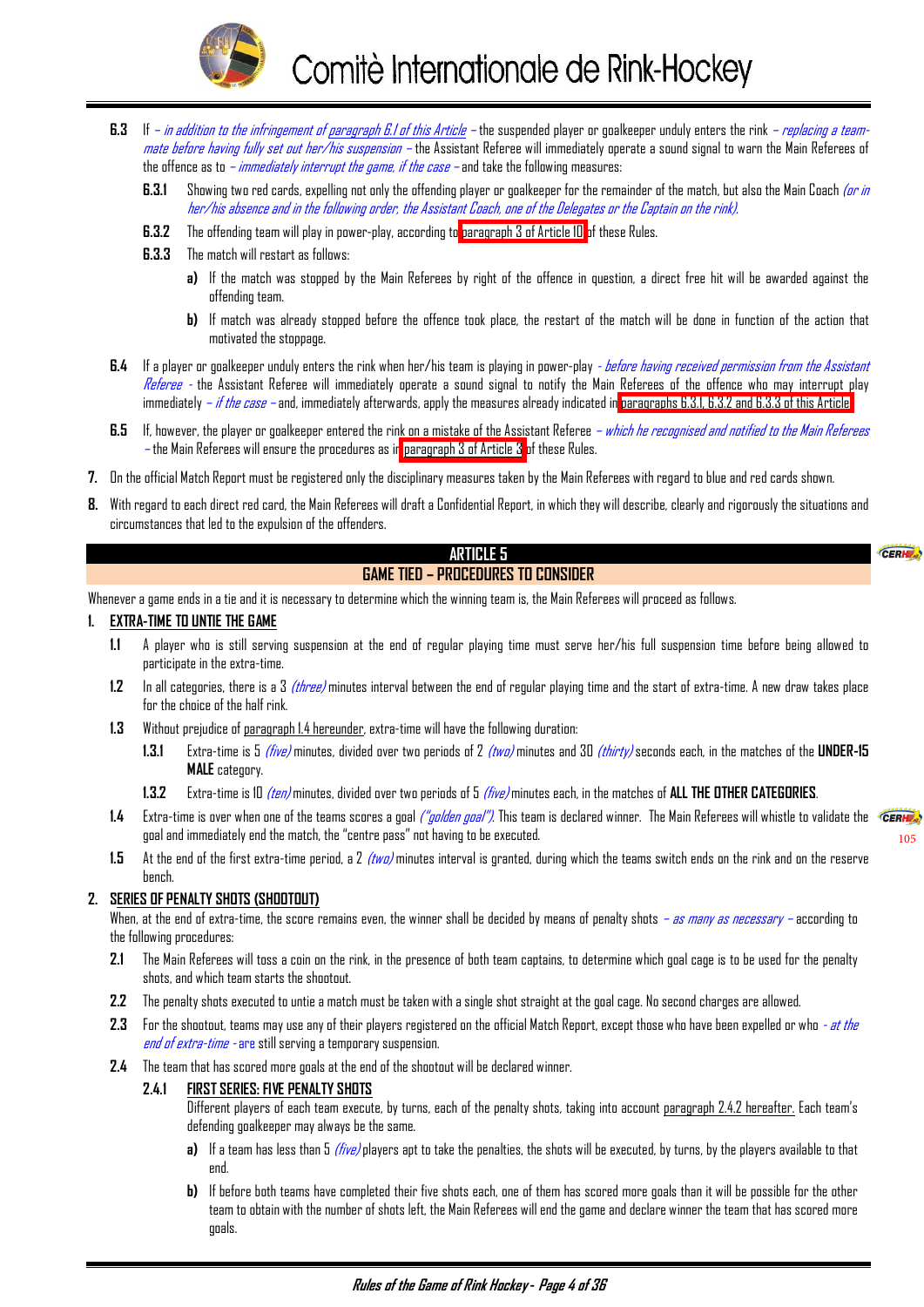

- <span id="page-4-0"></span>**6.3** If – *in addition to the infringement of paragraph 6.1 of this Article* – the suspended player or goalkeeper unduly enters the rink – *replacing a team*mate before having fully set out her/his suspension – the Assistant Referee will immediately operate a sound signal to warn the Main Referees of the offence as to *– immediately interrupt the game, if the case* – and take the following measures:
	- **6.3.1** Showing two red cards, expelling not only the offending player or goalkeeper for the remainder of the match, but also the Main Coach (or in her/his absence and in the following order, the Assistant Coach, one of the Delegates or the Captain on the rink).
	- **6.3.2** The offending team will play in power-play, according to [paragraph 3 of Article 10](#page-9-0) of these Rules.
	- **6.3.3** The match will restart as follows:
		- **a)** If the match was stopped by the Main Referees by right of the offence in question, a direct free hit will be awarded against the offending team.
		- **b)** If match was already stopped before the offence took place, the restart of the match will be done in function of the action that motivated the stoppage.
- **6.4** If a player or goalkeeper unduly enters the rink when her/his team is playing in power-play before having received permission from the Assistant Referee - the Assistant Referee will immediately operate a sound signal to notify the Main Referees of the offence who may interrupt play immediately – if the case – and, immediately afterwards, apply the measures already indicated in paragraphs 6.3.1, 6.3.2 and 6.3.3 of this Article.
- **6.5** If, however, the player or goalkeeper entered the rink on a mistake of the Assistant Referee which he recognised and notified to the Main Referees – the Main Referees will ensure the procedures as i[n paragraph 3 of Article 3](#page-2-0) of these Rules.
- **7.** On the official Match Report must be registered only the disciplinary measures taken by the Main Referees with regard to blue and red cards shown.
- **8.** With regard to each direct red card, the Main Referees will draft a Confidential Report, in which they will describe, clearly and rigorously the situations and circumstances that led to the expulsion of the offenders.

# **ARTICLE 5**

# **GAME TIED – PROCEDURES TO CONSIDER**

Whenever a game ends in a tie and it is necessary to determine which the winning team is, the Main Referees will proceed as follows.

#### **1. EXTRA-TIME TO UNTIE THE GAME**

- **1.1** A player who is still serving suspension at the end of regular playing time must serve her/his full suspension time before being allowed to participate in the extra-time.
- **1.2** In all categories, there is a 3 (three) minutes interval between the end of regular playing time and the start of extra-time. A new draw takes place for the choice of the half rink.
- **1.3** Without prejudice of paragraph 1.4 hereunder, extra-time will have the following duration:
	- **1.3.1** Extra-time is 5 (five) minutes, divided over two periods of 2 (two) minutes and 30 (thirty) seconds each, in the matches of the **UNDER-15 MALE** category.
	- **1.3.2** Extra-time is 10 (ten) minutes, divided over two periods of 5 (five) minutes each, in the matches of **ALL THE OTHER CATEGORIES**.
- **1.4** Extra-time is over when one of the teams scores a goal ("golden goal"). This team is declared winner. The Main Referees will whistle to validate the goal and immediately end the match, the "centre pass" not having to be executed.

[105](#page-19-0)

CERH

**1.5** At the end of the first extra-time period, a 2 (two) minutes interval is granted, during which the teams switch ends on the rink and on the reserve bench.

#### **2. SERIES OF PENALTY SHOTS (SHOOTOUT)**

When, at the end of extra-time, the score remains even, the winner shall be decided by means of penalty shots *– as many as necessary –* according to the following procedures:

- **2.1** The Main Referees will toss a coin on the rink, in the presence of both team captains, to determine which goal cage is to be used for the penalty shots, and which team starts the shootout.
- **2.2** The penalty shots executed to untie a match must be taken with a single shot straight at the goal cage. No second charges are allowed.
- **2.3** For the shootout, teams may use any of their players registered on the official Match Report, except those who have been expelled or who at the end of extra-time - are still serving a temporary suspension.
- **2.4** The team that has scored more goals at the end of the shootout will be declared winner.

#### **2.4.1 FIRST SERIES: FIVE PENALTY SHOTS**

- Different players of each team execute, by turns, each of the penalty shots, taking into account paragraph 2.4.2 hereafter. Each team's defending goalkeeper may always be the same.
- **a)** If a team has less than 5 (five) players apt to take the penalties, the shots will be executed, by turns, by the players available to that end.
- **b)** If before both teams have completed their five shots each, one of them has scored more goals than it will be possible for the other team to obtain with the number of shots left, the Main Referees will end the game and declare winner the team that has scored more goals.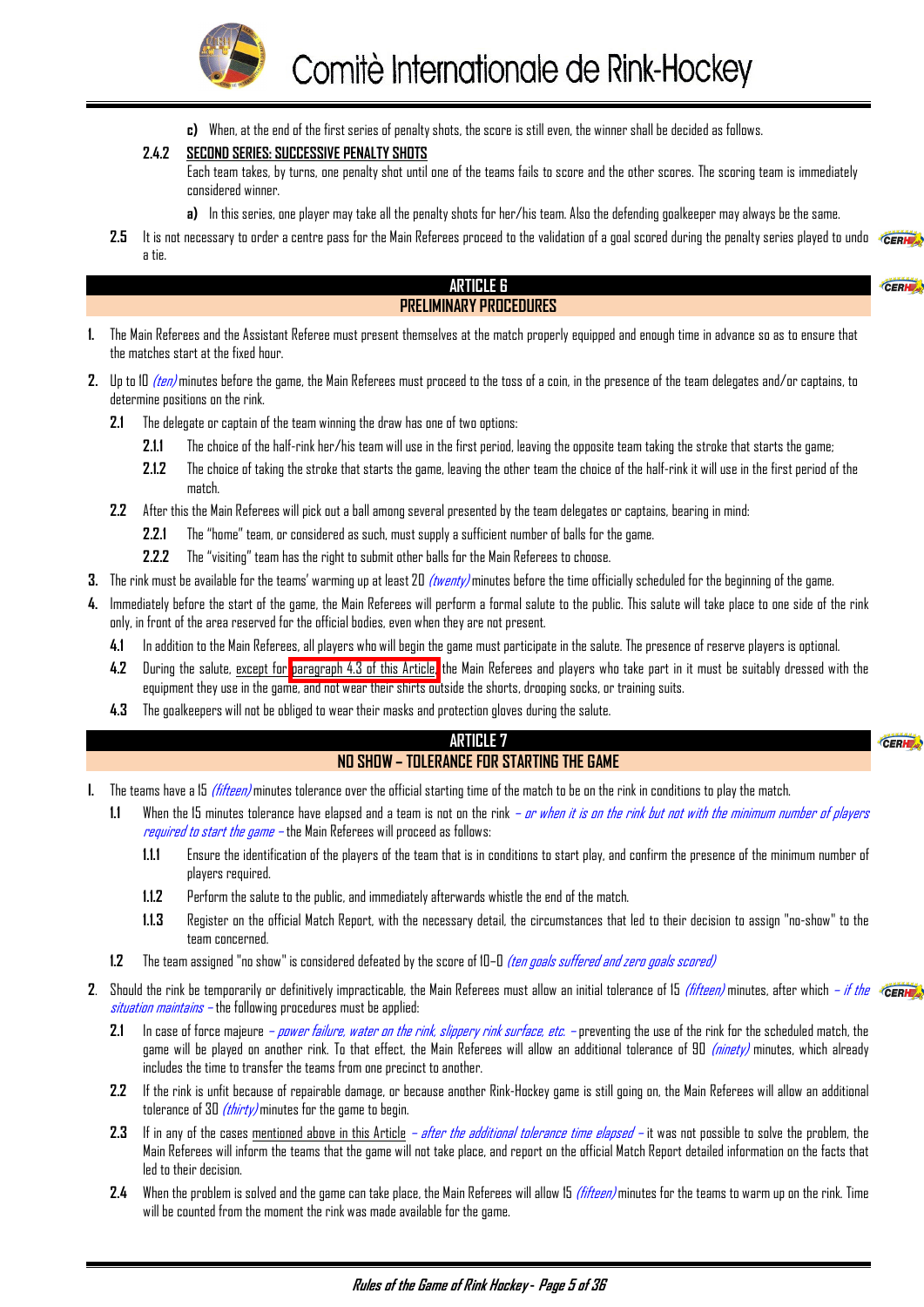<span id="page-5-0"></span>

**c)** When, at the end of the first series of penalty shots, the score is still even, the winner shall be decided as follows.

#### **2.4.2 SECOND SERIES: SUCCESSIVE PENALTY SHOTS**

Each team takes, by turns, one penalty shot until one of the teams fails to score and the other scores. The scoring team is immediately considered winner.

**a)** In this series, one player may take all the penalty shots for her/his team. Also the defending goalkeeper may always be the same.

2.5 It is not necessary to order a centre pass for the Main Referees proceed to the validation of a goal scored during the penalty series played to undo  $\epsilon_{\text{CERH}}$ a tie.

#### **ARTICLE 6 PRELIMINARY PROCEDURES**

- **1.** The Main Referees and the Assistant Referee must present themselves at the match properly equipped and enough time in advance so as to ensure that the matches start at the fixed hour.
- **2.** Up to 10 *(ten)* minutes before the game, the Main Referees must proceed to the toss of a coin, in the presence of the team delegates and/or captains, to determine positions on the rink.
	- **2.1** The delegate or captain of the team winning the draw has one of two options:
		- **2.1.1** The choice of the half-rink her/his team will use in the first period, leaving the opposite team taking the stroke that starts the game;
		- **2.1.2** The choice of taking the stroke that starts the game, leaving the other team the choice of the half-rink it will use in the first period of the match.
	- **2.2** After this the Main Referees will pick out a ball among several presented by the team delegates or captains, bearing in mind:
		- **2.2.1** The "home" team, or considered as such, must supply a sufficient number of balls for the game.
		- **2.2.2** The "visiting" team has the right to submit other balls for the Main Referees to choose.
- **3.** The rink must be available for the teams' warming up at least 20 (twenty) minutes before the time officially scheduled for the beginning of the game.
- **4.** Immediately before the start of the game, the Main Referees will perform a formal salute to the public. This salute will take place to one side of the rink only, in front of the area reserved for the official bodies, even when they are not present.
	- **4.1** In addition to the Main Referees, all players who will begin the game must participate in the salute. The presence of reserve players is optional.
	- **4.2** During the salute, except for paragraph 4.3 of this Article, the Main Referees and players who take part in it must be suitably dressed with the equipment they use in the game, and not wear their shirts outside the shorts, drooping socks, or training suits.
	- **4.3** The goalkeepers will not be obliged to wear their masks and protection gloves during the salute.

#### **ARTICLE 7 NO SHOW – TOLERANCE FOR STARTING THE GAME**

#### CERH

CERH

- **I.** The teams have a 15 (fifteen) minutes tolerance over the official starting time of the match to be on the rink in conditions to play the match.
	- 1.1 When the 15 minutes tolerance have elapsed and a team is not on the rink *or when it is on the rink but not with the minimum number of players* required to start the game – the Main Referees will proceed as follows:
		- **1.1.1** Ensure the identification of the players of the team that is in conditions to start play, and confirm the presence of the minimum number of players required.
		- **1.1.2** Perform the salute to the public, and immediately afterwards whistle the end of the match.
		- **1.1.3** Register on the official Match Report, with the necessary detail, the circumstances that led to their decision to assign "no-show" to the team concerned.
	- **1.2** The team assigned "no show" is considered defeated by the score of 10–0 (ten goals suffered and zero goals scored)
- **2.** Should the rink be temporarily or definitively impracticable, the Main Referees must allow an initial tolerance of 15 *(fifteen)* minutes, after which *if the* «GERNE» situation maintains – the following procedures must be applied:
	- **2.1** In case of force majeure power failure, water on the rink, slippery rink surface, etc. preventing the use of the rink for the scheduled match, the game will be played on another rink. To that effect, the Main Referees will allow an additional tolerance of 90 (ninety) minutes, which already includes the time to transfer the teams from one precinct to another.
	- **2.2** If the rink is unfit because of repairable damage, or because another Rink-Hockey game is still going on, the Main Referees will allow an additional tolerance of 30  $(thirty)$  minutes for the game to begin.
	- **2.3** If in any of the cases mentioned above in this Article after the additional tolerance time elapsed it was not possible to solve the problem, the Main Referees will inform the teams that the game will not take place, and report on the official Match Report detailed information on the facts that led to their decision.
	- **2.4** When the problem is solved and the game can take place, the Main Referees will allow 15 (fifteen) minutes for the teams to warm up on the rink. Time will be counted from the moment the rink was made available for the game.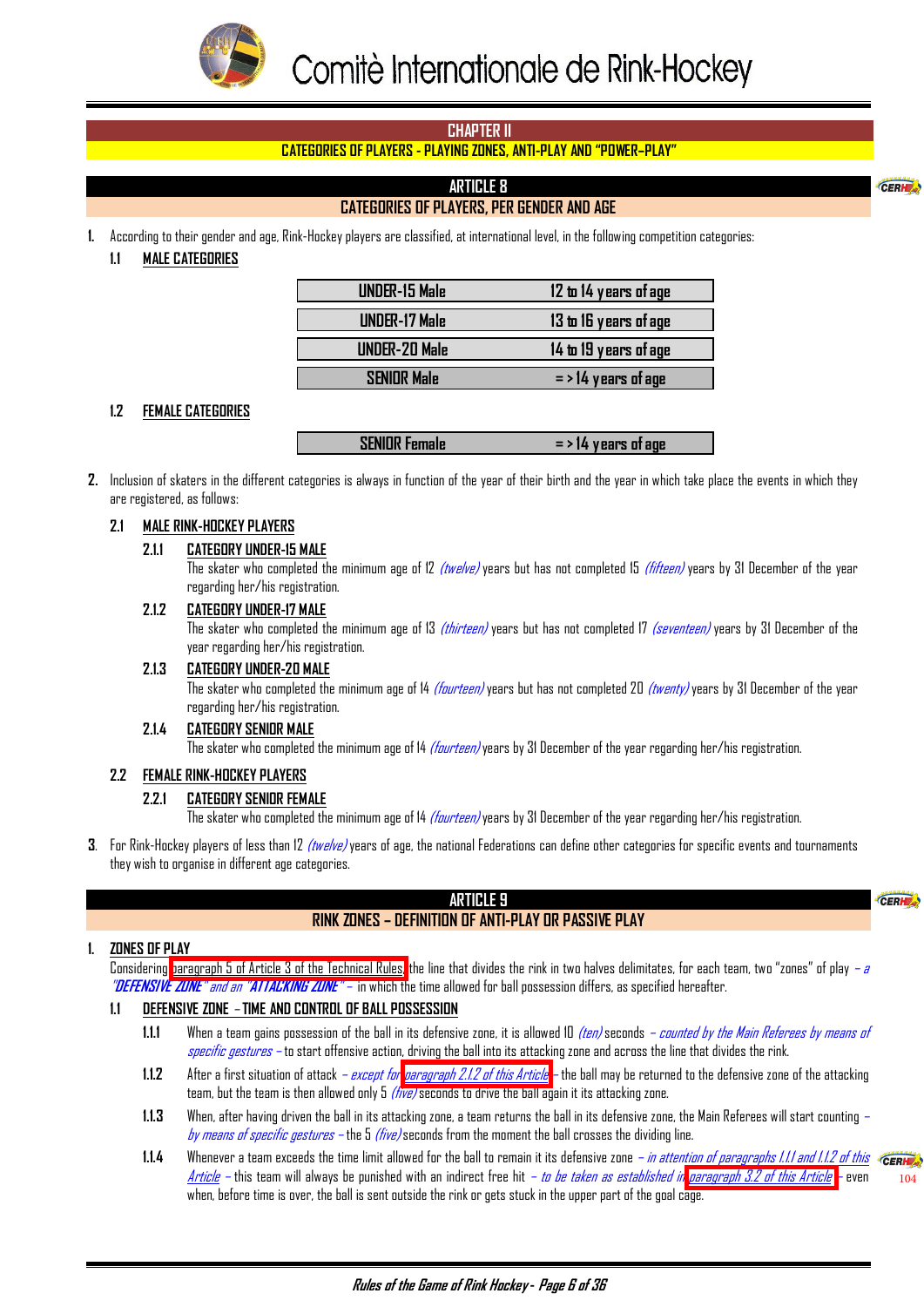<span id="page-6-0"></span>

# **CHAPTER II**

# **CATEGORIES OF PLAYERS - PLAYING ZONES, ANTI-PLAY AND "POWER–PLAY"**

# **ARTICLE 8**

# **CATEGORIES OF PLAYERS, PER GENDER AND AGE**

**1.** According to their gender and age, Rink-Hockey players are classified, at international level, in the following competition categories:

#### **1.1 MALE CATEGORIES**

| <b>UNDER-15 Male</b> | 12 to 14 years of age |
|----------------------|-----------------------|
| <b>UNDER-17 Male</b> | 13 to 16 years of age |
| <b>UNDER-20 Male</b> | 14 to 19 years of age |
|                      |                       |
| <b>SENIOR Male</b>   | $=$ > 14 years of age |

#### **1.2 FEMALE CATEGORIES**

| <b>SENIOR Female</b> | $=$ > 14 years of age |
|----------------------|-----------------------|
|----------------------|-----------------------|

**2.** Inclusion of skaters in the different categories is always in function of the year of their birth and the year in which take place the events in which they are registered, as follows:

#### **2.1 MALE RINK-HOCKEY PLAYERS**

#### **2.1.1 CATEGORY UNDER-15 MALE**

The skater who completed the minimum age of 12 (twelve) years but has not completed 15 (fifteen) years by 31 December of the year regarding her/his registration.

#### **2.1.2 CATEGORY UNDER-17 MALE**

The skater who completed the minimum age of 13 *(thirteen)* years but has not completed 17 *(seventeen)* years by 31 December of the year regarding her/his registration.

#### **2.1.3 CATEGORY UNDER-20 MALE**

The skater who completed the minimum age of 14 *(fourteen)* years but has not completed 20 *(twenty)* years by 31 December of the year regarding her/his registration.

#### **2.1.4 CATEGORY SENIOR MALE**

The skater who completed the minimum age of 14 *(fourteen)* years by 31 December of the year regarding her/his registration.

#### **2.2 FEMALE RINK-HOCKEY PLAYERS**

#### **2.2.1 CATEGORY SENIOR FEMALE**

The skater who completed the minimum age of 14 *(fourteen)* years by 31 December of the year regarding her/his registration.

**3**. For Rink-Hockey players of less than 12 (twelve) years of age, the national Federations can define other categories for specific events and tournaments they wish to organise in different age categories.

# **ARTICLE 9**

#### CERH

CERH

# **RINK ZONES – DEFINITION OF ANTI-PLAY OR PASSIVE PLAY**

#### **1. ZONES OF PLAY**

Considering [paragraph 5 of Article 3 of the Technical Rules,](#page-3-0) the line that divides the rink in two halves delimitates, for each team, two "zones" of play –  $\sigma$ "**DEFENSIVE ZONE**" and an "**ATTACKING ZONE**" – in which the time allowed for ball possession differs, as specified hereafter.

# **1.1 DEFENSIVE ZONE** – **TIME AND CONTROL OF BALL POSSESSION**

- **1.1.1** When a team gains possession of the ball in its defensive zone, it is allowed 10 (ten) seconds counted by the Main Referees by means of specific gestures – to start offensive action, driving the ball into its attacking zone and across the line that divides the rink.
- **1.1.2** After a first situation of attack except for [paragraph 2.1.2 of this Article](#page-7-0)  the ball may be returned to the defensive zone of the attacking team, but the team is then allowed only  $5$  (five) seconds to drive the ball again it its attacking zone.
- **1.1.3** When, after having driven the ball in its attacking zone, a team returns the ball in its defensive zone, the Main Referees will start counting by means of specific gestures – the  $5$  (five) seconds from the moment the ball crosses the dividing line.
- **1.1.4** Whenever a team exceeds the time limit allowed for the ball to remain it its defensive zone *in attention of paragraphs 1.1.1 and 1.1.2 of this* «GERH Article – this team will always be punished with an indirect free hit – to be taken as established i[n paragraph 3.2 of this Article](#page-7-0) – even when, before time is over, the ball is sent outside the rink or gets stuck in the upper part of the goal cage. [104](#page-18-0)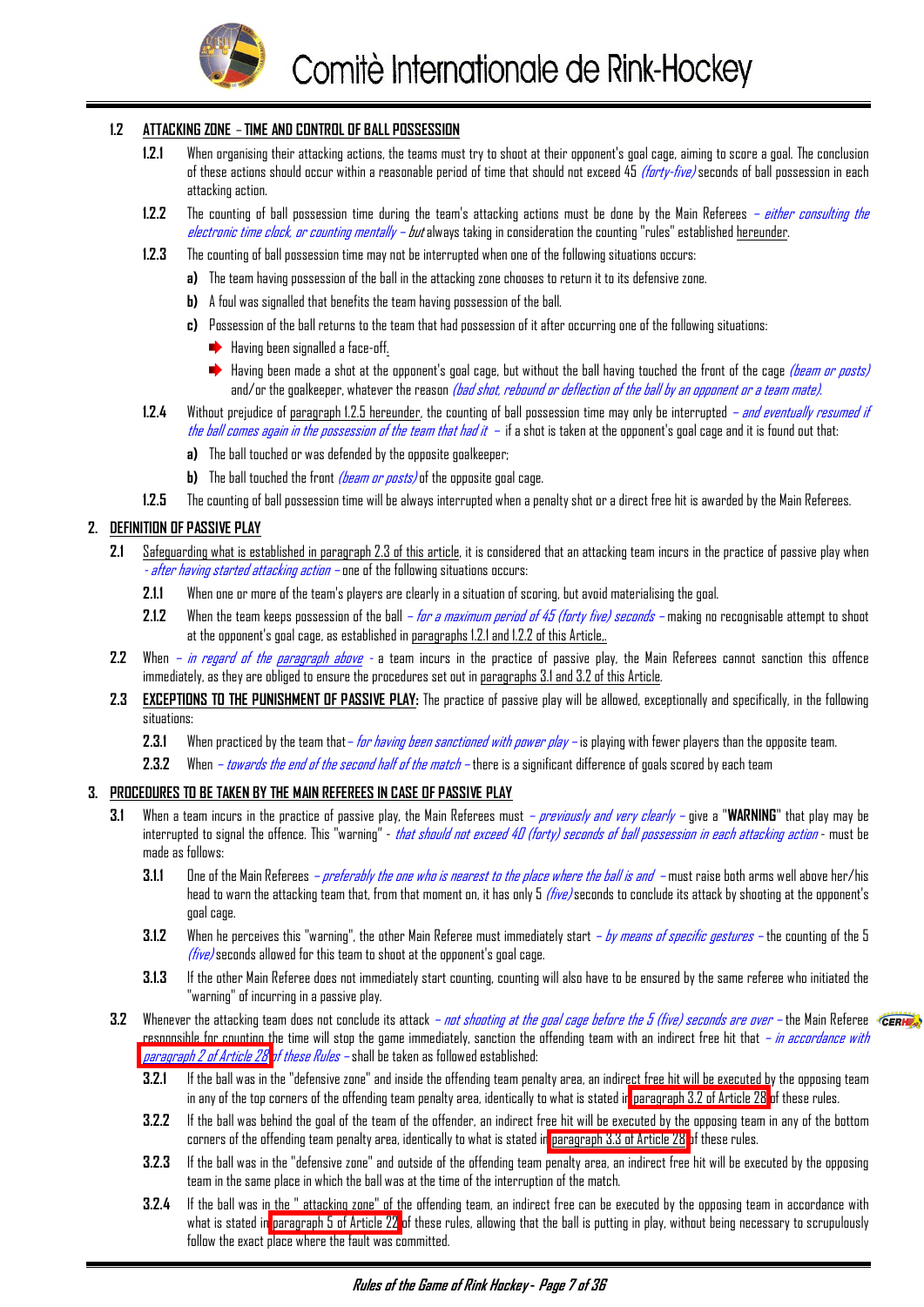

# <span id="page-7-0"></span>**1.2 ATTACKING ZONE** – **TIME AND CONTROL OF BALL POSSESSION**

- **1.2.1** When organising their attacking actions, the teams must try to shoot at their opponent's goal cage, aiming to score a goal. The conclusion of these actions should occur within a reasonable period of time that should not exceed 45 *(forty-five)* seconds of ball possession in each attacking action.
- **1.2.2** The counting of ball possession time during the team's attacking actions must be done by the Main Referees either consulting the electronic time clock, or counting mentally – but always taking in consideration the counting "rules" established hereunder.
- **1.2.3** The counting of ball possession time may not be interrupted when one of the following situations occurs:
	- **a)** The team having possession of the ball in the attacking zone chooses to return it to its defensive zone.
	- **b)** A foul was signalled that benefits the team having possession of the ball.
	- **c)** Possession of the ball returns to the team that had possession of it after occurring one of the following situations:
		- $\rightarrow$  Having been signalled a face-off.
		- Having been made a shot at the opponent's goal cage, but without the ball having touched the front of the cage *(beam or posts)* and/or the goalkeeper, whatever the reason *(bad shot, rebound or deflection of the ball by an opponent or a team mate).*
- **1.2.4** Without prejudice of paragraph 1.2.5 hereunder, the counting of ball possession time may only be interrupted and eventually resumed if the ball comes again in the possession of the team that had it  $-$  if a shot is taken at the opponent's goal cage and it is found out that:
	- **a)** The ball touched or was defended by the opposite goalkeeper;
	- **b)** The ball touched the front *(beam or posts)* of the opposite goal cage.
- **1.2.5** The counting of ball possession time will be always interrupted when a penalty shot or a direct free hit is awarded by the Main Referees.

# **2. DEFINITION OF PASSIVE PLAY**

- **2.1** Safeguarding what is established in paragraph 2.3 of this article, it is considered that an attacking team incurs in the practice of passive play when - after having started attacking action – one of the following situations occurs:
	- **2.1.1** When one or more of the team's players are clearly in a situation of scoring, but avoid materialising the goal.
	- **2.1.2** When the team keeps possession of the ball for a maximum period of 45 (forty five) seconds making no recognisable attempt to shoot at the opponent's goal cage, as established in paragraphs 1.2.1 and 1.2.2 of this Article,.
- **2.2** When in regard of the paragraph above a team incurs in the practice of passive play, the Main Referees cannot sanction this offence immediately, as they are obliged to ensure the procedures set out in paragraphs 3.1 and 3.2 of this Article.
- **2.3 EXCEPTIONS TO THE PUNISHMENT OF PASSIVE PLAY:** The practice of passive play will be allowed, exceptionally and specifically, in the following situations:
	- **2.3.1** When practiced by the team that– for having been sanctioned with power play is playing with fewer players than the opposite team.
	- **2.3.2** When towards the end of the second half of the match there is a significant difference of goals scored by each team

#### **3. PROCEDURES TO BE TAKEN BY THE MAIN REFEREES IN CASE OF PASSIVE PLAY**

- **3.1** When a team incurs in the practice of passive play, the Main Referees must previously and very clearly give a "**WARNING**" that play may be interrupted to signal the offence. This "warning" - that should not exceed 40 (forty) seconds of ball possession in each attacking action - must be made as follows:
	- **3.1.1** One of the Main Referees preferably the one who is nearest to the place where the ball is and must raise both arms well above her/his head to warn the attacking team that, from that moment on, it has only 5 *(five)* seconds to conclude its attack by shooting at the opponent's goal cage.
	- **3.1.2** When he perceives this "warning", the other Main Referee must immediately start by means of specific gestures the counting of the 5  $(five)$  seconds allowed for this team to shoot at the opponent's goal cage.
	- **3.1.3** If the other Main Referee does not immediately start counting, counting will also have to be ensured by the same referee who initiated the "warning" of incurring in a passive play.
- **3.2** Whenever the attacking team does not conclude its attack *not shooting at the goal cage before the 5 (five) seconds are over* the Main Referee responsible for counting the time will stop the game immediately, sanction the offending team with an indirect free hit that – in accordance with [paragraph 2 of Article 28 o](#page-30-0)f these Rules – shall be taken as followed established:
	- **3.2.1** If the ball was in the "defensive zone" and inside the offending team penalty area, an indirect free hit will be executed by the opposing team in any of the top corners of the offending team penalty area, identically to what is stated i[n paragraph 3.2 of Article 28](#page-30-0) of these rules.
	- **3.2.2** If the ball was behind the goal of the team of the offender, an indirect free hit will be executed by the opposing team in any of the bottom corners of the offending team penalty area, identically to what is stated in [paragraph 3.3 of Article 28 o](#page-30-0)f these rules.
	- **3.2.3** If the ball was in the "defensive zone" and outside of the offending team penalty area, an indirect free hit will be executed by the opposing team in the same place in which the ball was at the time of the interruption of the match.
	- **3.2.4** If the ball was in the " attacking zone" of the offending team, an indirect free can be executed by the opposing team in accordance with what is stated in [paragraph 5 of Article 22](#page-23-0) of these rules, allowing that the ball is putting in play, without being necessary to scrupulously follow the exact place where the fault was committed.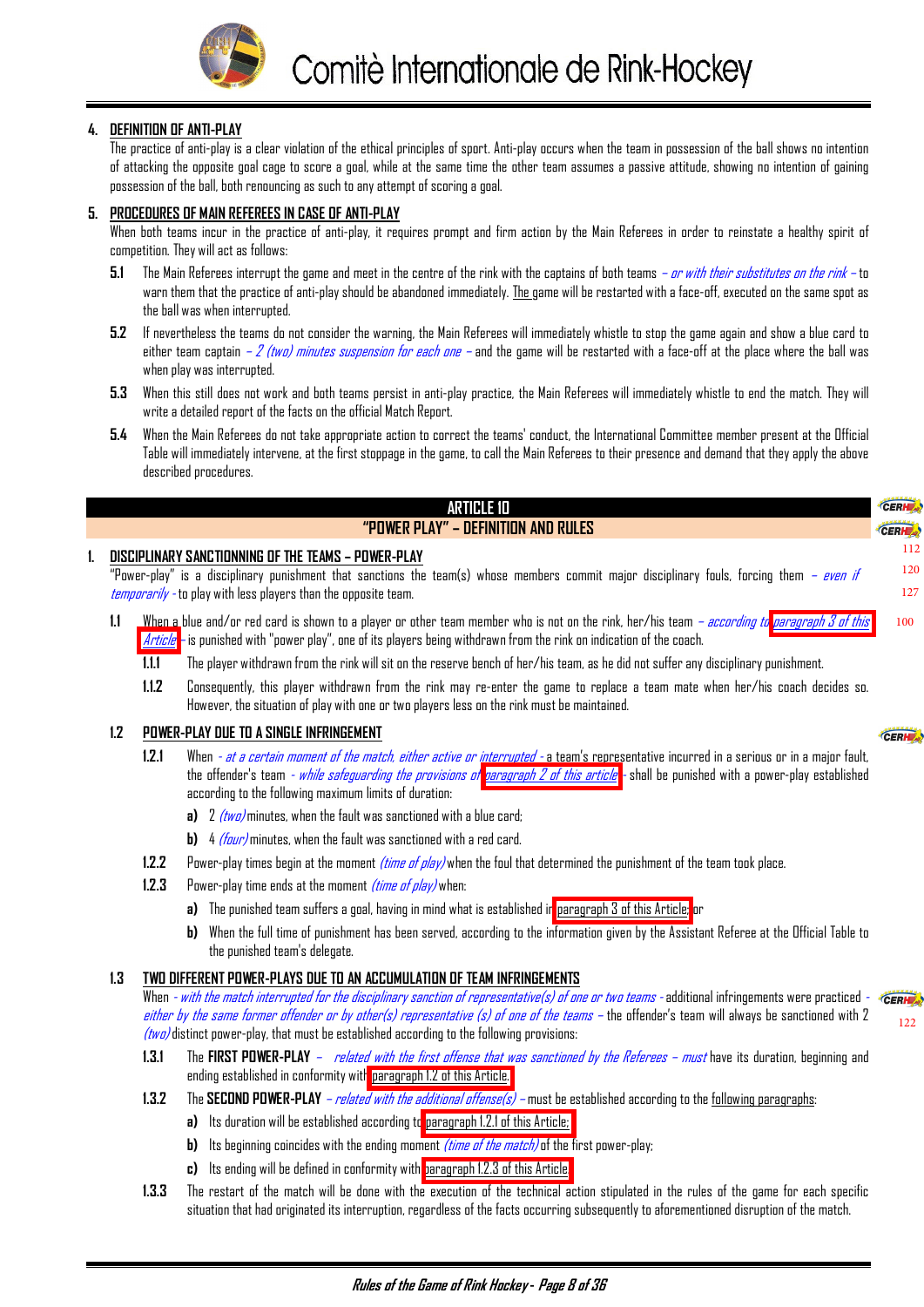

#### <span id="page-8-0"></span>**4. DEFINITION OF ANTI-PLAY**

The practice of anti-play is a clear violation of the ethical principles of sport. Anti-play occurs when the team in possession of the ball shows no intention of attacking the opposite goal cage to score a goal, while at the same time the other team assumes a passive attitude, showing no intention of gaining possession of the ball, both renouncing as such to any attempt of scoring a goal.

#### **5. PROCEDURES OF MAIN REFEREES IN CASE OF ANTI-PLAY**

When both teams incur in the practice of anti-play, it requires prompt and firm action by the Main Referees in order to reinstate a healthy spirit of competition. They will act as follows:

- **5.1** The Main Referees interrupt the game and meet in the centre of the rink with the captains of both teams or with their substitutes on the rink to warn them that the practice of anti-play should be abandoned immediately. The game will be restarted with a face-off, executed on the same spot as the ball was when interrupted.
- **5.2** If nevertheless the teams do not consider the warning, the Main Referees will immediately whistle to stop the game again and show a blue card to either team captain – 2 (two) minutes suspension for each one – and the game will be restarted with a face-off at the place where the ball was when play was interrupted.
- **5.3** When this still does not work and both teams persist in anti-play practice, the Main Referees will immediately whistle to end the match. They will write a detailed report of the facts on the official Match Report.
- **5.4** When the Main Referees do not take appropriate action to correct the teams' conduct, the International Committee member present at the Official Table will immediately intervene, at the first stoppage in the game, to call the Main Referees to their presence and demand that they apply the above described procedures.

| ARTICLE 10                                                                                                                                                                                                                                                                             | <b>CERHEA</b>     |
|----------------------------------------------------------------------------------------------------------------------------------------------------------------------------------------------------------------------------------------------------------------------------------------|-------------------|
| "POWER PLAY" – DEFINITION AND RULES                                                                                                                                                                                                                                                    | CERH <sub>2</sub> |
| DISCIPLINARY SANCTIONNING OF THE TEAMS – POWER-PLAY                                                                                                                                                                                                                                    | 112               |
| "Power-play" is a disciplinary punishment that sanctions the team(s) whose members commit major disciplinary fouls, forcing them - even if                                                                                                                                             | 120               |
| temporarily - to play with less players than the opposite team.                                                                                                                                                                                                                        | 127               |
| When a blue and/or red card is shown to a player or other team member who is not on the rink, her/his team <i>– according to paragraph 3 of this</i><br>1.1<br>$Article$ – is punished with "power play", one of its players being withdrawn from the rink on indication of the coach. | 100               |

- **1.1.1** The player withdrawn from the rink will sit on the reserve bench of her/his team, as he did not suffer any disciplinary punishment.
- **1.1.2** Consequently, this player withdrawn from the rink may re-enter the game to replace a team mate when her/his coach decides so. However, the situation of play with one or two players less on the rink must be maintained.

#### **1.2 POWER-PLAY DUE TO A SINGLE INFRINGEMENT**

- **1.2.1** When at a certain moment of the match, either active or interrupted a team's representative incurred in a serious or in a major fault, the o[f](#page-9-0)fender's team - while safequarding the provisions of [paragraph 2 of this article](#page-9-0) - shall be punished with a power-play established according to the following maximum limits of duration:
	- **a)** 2 *(two)* minutes, when the fault was sanctioned with a blue card;
	- **b)** 4 (four) minutes, when the fault was sanctioned with a red card.
- **1.2.2** Power-play times begin at the moment (time of play) when the foul that determined the punishment of the team took place.
- **1.2.3** Power-play time ends at the moment *(time of play)* when:
	- **a)** The punished team suffers a goal, having in mind what is established i[n paragraph 3 of this Article;](#page-9-0) or
	- **b)** When the full time of punishment has been served, according to the information given by the Assistant Referee at the Official Table to the punished team's delegate.

[122](#page-31-0)

CERIE

#### **1.3 TWO DIFFERENT POWER-PLAYS DUE TO AN ACCUMULATION OF TEAM INFRINGEMENTS**

When *- with the match interrupted for the disciplinary sanction of representative(s) of one or two teams* - additional infringements were practiced -CERHE either by the same former offender or by other(s) representative (s) of one of the teams – the offender's team will always be sanctioned with 2 (two) distinct power-play, that must be established according to the following provisions:

- 1.3.1 The FIRST POWER-PLAY *related with the first offense that was sanctioned by the Referees must* have its duration, beginning and ending established in conformity with paragraph 1.2 of this Article.
- **1.3.2** The SECOND POWER-PLAY  *related with the additional offense(s)* must be established according to the following paragraphs:
	- **a)** Its duration will be established according to paragraph 1.2.1 of this Article;
	- **b)** Its beginning coincides with the ending moment *(time of the match)* of the first power-play;
	- **c)** Its ending will be defined in conformity with paragraph 1.2.3 of this Article.
- **1.3.3** The restart of the match will be done with the execution of the technical action stipulated in the rules of the game for each specific situation that had originated its interruption, regardless of the facts occurring subsequently to aforementioned disruption of the match.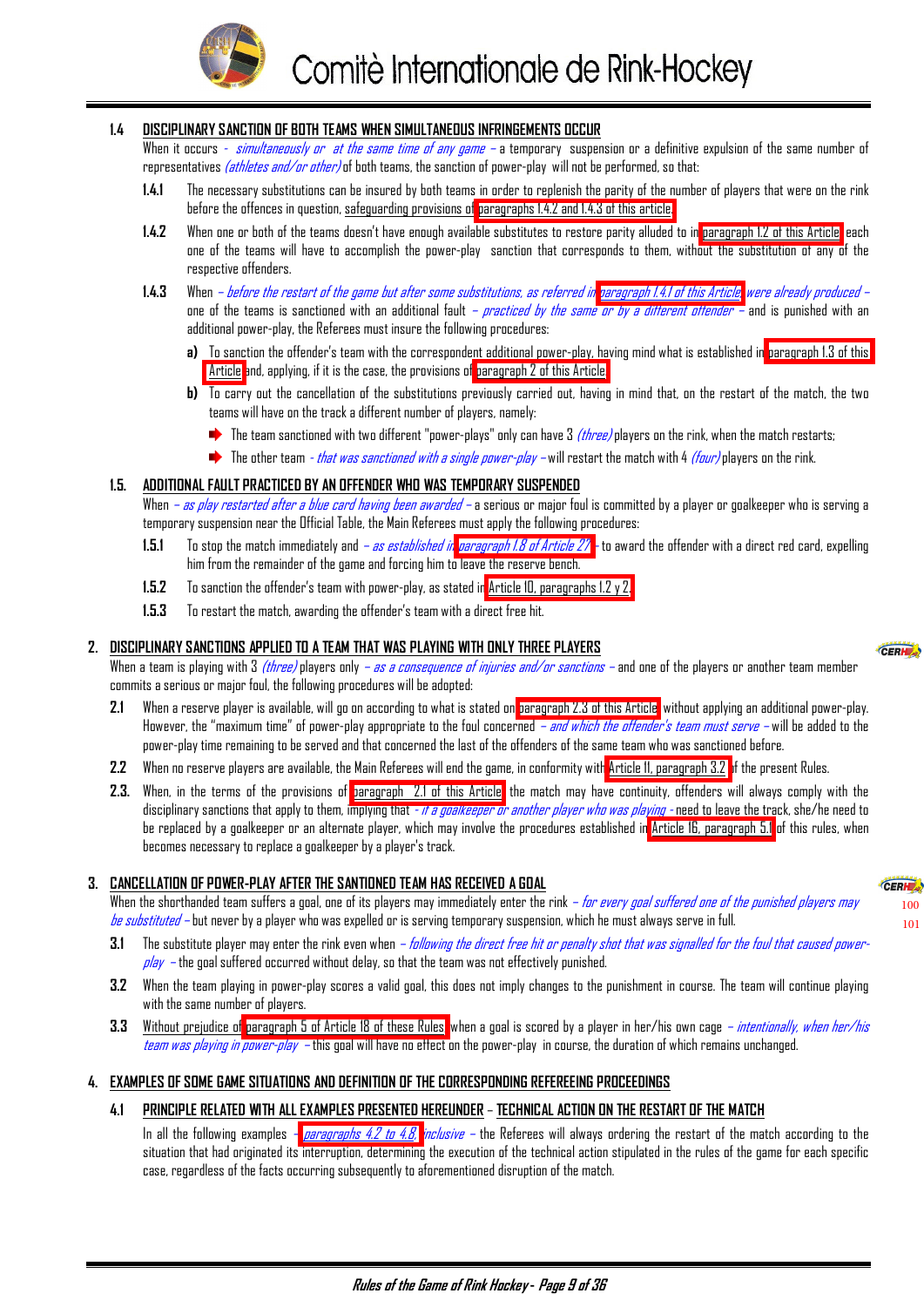

#### <span id="page-9-0"></span>**1.4 DISCIPLINARY SANCTION OF BOTH TEAMS WHEN SIMULTANEOUS INFRINGEMENTS OCCUR**

When it occurs - *simultaneously or at the same time of any game* – a temporary suspension or a definitive expulsion of the same number of representatives *(athletes and/or other)* of both teams, the sanction of power-play will not be performed, so that:

- **1.4.1** The necessary substitutions can be insured by both teams in order to replenish the parity of the number of players that were on the rink before the offences in question, safeguarding provisions of paragraphs 1.4.2 and 1.4.3 of this article.
- **1.4.2** When one or both of the teams doesn't have enough available substitutes to restore parity alluded to in [paragraph 1.2 of this Article,](#page-8-0) each one of the teams will have to accomplish the power-play sanction that corresponds to them, without the substitution of any of the respective offenders.
- **1.4.3** When before the restart of the game but after some substitutions, as referred in paragraph 1.4.1 of this Article, were already produced one of the teams is sanctioned with an additional fault *– practiced by the same or by a different offender –* and is punished with an additional power-play, the Referees must insure the following procedures:
	- **a)** To sanction the offender's team with the correspondent additional power-play, having mind what is established in [paragraph 1.3 of this](#page-8-0) [Article a](#page-8-0)nd, applying, if it is the case, the provisions of paragraph 2 of this Article.
	- **b)** To carry out the cancellation of the substitutions previously carried out, having in mind that, on the restart of the match, the two teams will have on the track a different number of players, namely:
		- $\blacktriangleright$  The team sanctioned with two different "power-plays" only can have 3 (three) players on the rink, when the match restarts;
		- The other team  *that was sanctioned with a single power-play –* will restart the match with 4 *(four)* players on the rink.

#### **1.5. ADDITIONAL FAULT PRACTICED BY AN OFFENDER WHO WAS TEMPORARY SUSPENDED**

When *– as play restarted after a blue card having been awarded –* a serious or major foul is committed by a player or goalkeeper who is serving a temporary suspension near the Official Table, the Main Referees must apply the following procedures:

- **1.5.1** To stop the match immediately and as established in [paragraph 1.8 of Article 27](#page-29-0)  to award the offender with a direct red card, expelling him from the remainder of the game and forcing him to leave the reserve bench.
- **1.5.2** To sanction the offender's team with power-play, as stated i[n Article 10, paragraphs 1.2 y 2.](#page-8-0)
- **1.5.3** To restart the match, awarding the offender's team with a direct free hit.

#### **2. DISCIPLINARY SANCTIONS APPLIED TO A TEAM THAT WAS PLAYING WITH ONLY THREE PLAYERS**

When a team is playing with  $3$  *(three)* players only *— as a consequence of injuries and/or sanctions —* and one of the players or another team member commits a serious or major foul, the following procedures will be adopted:

- **2.1** When a reserve player is available, will go on according to what is stated on paragraph 2.3 of this Article, without applying an additional power-play. However, the "maximum time" of power-play appropriate to the foul concerned *– and which the offender's team must serve* – will be added to the power-play time remaining to be served and that concerned the last of the offenders of the same team who was sanctioned before.
- **2.2** When no reserve players are available, the Main Referees will end the game, in conformity with [Article 11, paragraph 3.2 o](#page-12-0)f the present Rules.
- **2.3.** When, in the terms of the provisions of paragraph 2.1 of this Article, the match may have continuity, offenders will always comply with the disciplinary sanctions that apply to them, implying that *- if a goalkeeper or another player who was playing* - need to leave the track, she/he need to be replaced by a goalkeeper or an alternate player, which may involve the procedures established in [Article 16, paragraph 5.1](#page-16-0) of this rules, when becomes necessary to replace a goalkeeper by a player's track.

#### **3. CANCELLATION OF POWER-PLAY AFTER THE SANTIONED TEAM HAS RECEIVED A GOAL**

When the shorthanded team suffers a goal, one of its players may immediately enter the rink *– for every goal suffered one of the punished players may* be substituted – but never by a player who was expelled or is serving temporary suspension, which he must always serve in full.

- **3.1** The substitute player may enter the rink even when *following the direct free hit or penalty shot that was signalled for the foul that caused power-* $\rho$ /av – the goal suffered occurred without delay, so that the team was not effectively punished.
- **3.2** When the team playing in power-play scores a valid goal, this does not imply changes to the punishment in course. The team will continue playing with the same number of players.
- 3.3 Without prejudice of [paragraph 5 of Article 18 of these Rules,](#page-19-0) when a goal is scored by a player in her/his own cage  *intentionally, when her/his* team was playing in power-play – this goal will have no effect on the power-play in course, the duration of which remains unchanged.

#### **4. EXAMPLES OF SOME GAME SITUATIONS AND DEFINITION OF THE CORRESPONDING REFEREEING PROCEEDINGS**

#### **4.1 PRINCIPLE RELATED WITH ALL EXAMPLES PRESENTED HEREUNDER** – **TECHNICAL ACTION ON THE RESTART OF THE MATCH**

In all the following examples – *paragraphs 4.2 to 4.8, inclusive* – the Referees will always ordering the restart of the match according to the situation that had originated its interruption, determining the execution of the technical action stipulated in the rules of the game for each specific case, regardless of the facts occurring subsequently to aforementioned disruption of the match.

CERHE [100](#page-8-0) [101](#page-12-0)

CERHE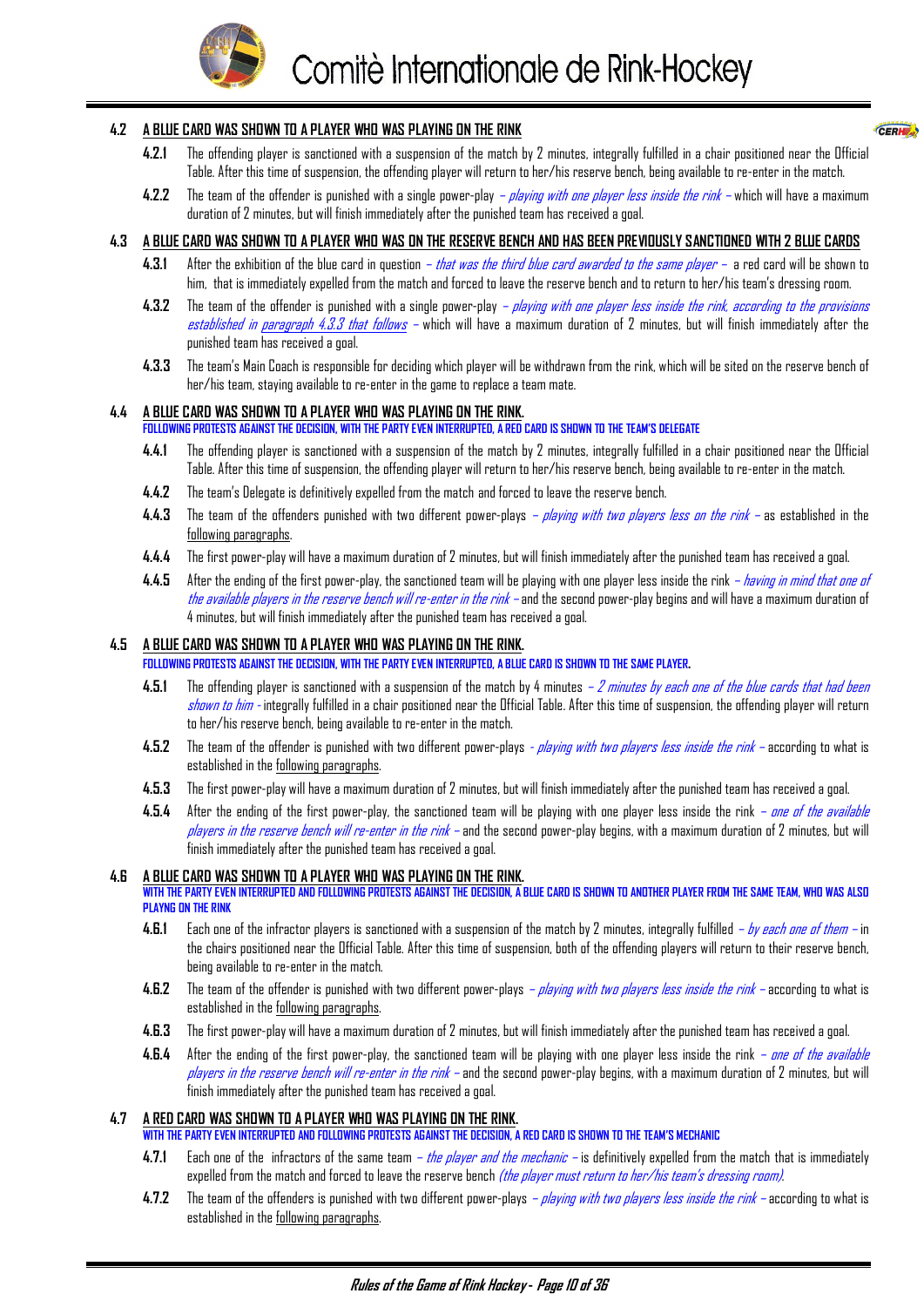

CERH<sub>2</sub>

#### <span id="page-10-0"></span>**4.2 A BLUE CARD WAS SHOWN TO A PLAYER WHO WAS PLAYING ON THE RINK**

- **4.2.1** The offending player is sanctioned with a suspension of the match by 2 minutes, integrally fulfilled in a chair positioned near the Official Table. After this time of suspension, the offending player will return to her/his reserve bench, being available to re-enter in the match.
- 4.2.2 The team of the offender is punished with a single power-play *playing with one player less inside the rink* which will have a maximum duration of 2 minutes, but will finish immediately after the punished team has received a goal.

#### **4.3 A BLUE CARD WAS SHOWN TO A PLAYER WHO WAS ON THE RESERVE BENCH AND HAS BEEN PREVIOUSLY SANCTIONED WITH 2 BLUE CARDS**

- **4.3.1** After the exhibition of the blue card in question that was the third blue card awarded to the same player a red card will be shown to him, that is immediately expelled from the match and forced to leave the reserve bench and to return to her/his team's dressing room.
- 4.3.2 The team of the offender is punished with a single power-play *playing with one player less inside the rink, according to the provisions* established in paragraph 4.3.3 that follows - which will have a maximum duration of 2 minutes, but will finish immediately after the punished team has received a goal.
- **4.3.3** The team's Main Coach is responsible for deciding which player will be withdrawn from the rink, which will be sited on the reserve bench of her/his team, staying available to re-enter in the game to replace a team mate.

#### **4.4 A BLUE CARD WAS SHOWN TO A PLAYER WHO WAS PLAYING ON THE RINK.**

#### **FOLLOWING PROTESTS AGAINST THE DECISION, WITH THE PARTY EVEN INTERRUPTED, A RED CARD IS SHOWN TO THE TEAM'S DELEGATE**

- **4.4.1** The offending player is sanctioned with a suspension of the match by 2 minutes, integrally fulfilled in a chair positioned near the Official Table. After this time of suspension, the offending player will return to her/his reserve bench, being available to re-enter in the match.
- **4.4.2** The team's Delegate is definitively expelled from the match and forced to leave the reserve bench.
- 4.4.3 The team of the offenders punished with two different power-plays playing with two players less on the rink as established in the following paragraphs.
- **4.4.4** The first power-play will have a maximum duration of 2 minutes, but will finish immediately after the punished team has received a goal.
- **4.4.5** After the ending of the first power-play, the sanctioned team will be playing with one player less inside the rink having in mind that one of the available players in the reserve bench will re-enter in the rink – and the second power-play begins and will have a maximum duration of 4 minutes, but will finish immediately after the punished team has received a goal.

#### **4.5 A BLUE CARD WAS SHOWN TO A PLAYER WHO WAS PLAYING ON THE RINK.**

**FOLLOWING PROTESTS AGAINST THE DECISION, WITH THE PARTY EVEN INTERRUPTED, A BLUE CARD IS SHOWN TO THE SAME PLAYER.** 

- 4.5.1 The offending player is sanctioned with a suspension of the match by 4 minutes 2 minutes by each one of the blue cards that had been shown to him - integrally fulfilled in a chair positioned near the Official Table. After this time of suspension, the offending player will return to her/his reserve bench, being available to re-enter in the match.
- **4.5.2** The team of the offender is punished with two different power-plays playing with two players less inside the rink according to what is established in the following paragraphs.
- **4.5.3** The first power-play will have a maximum duration of 2 minutes, but will finish immediately after the punished team has received a goal.
- 4.5.4 After the ending of the first power-play, the sanctioned team will be playing with one player less inside the rink *one of the available* players in the reserve bench will re-enter in the rink – and the second power-play begins, with a maximum duration of 2 minutes, but will finish immediately after the punished team has received a goal.

#### **4.6 A BLUE CARD WAS SHOWN TO A PLAYER WHO WAS PLAYING ON THE RINK.**

**WITH THE PARTY EVEN INTERRUPTED AND FOLLOWING PROTESTS AGAINST THE DECISION, A BLUE CARD IS SHOWN TO ANOTHER PLAYER FROM THE SAME TEAM, WHO WAS ALSO PLAYNG ON THE RINK**

- **4.6.1** Each one of the infractor players is sanctioned with a suspension of the match by 2 minutes, integrally fulfilled by each one of them in the chairs positioned near the Official Table. After this time of suspension, both of the offending players will return to their reserve bench, being available to re-enter in the match.
- **4.6.2** The team of the offender is punished with two different power-plays playing with two players less inside the rink according to what is established in the following paragraphs.
- **4.6.3** The first power-play will have a maximum duration of 2 minutes, but will finish immediately after the punished team has received a goal.
- 4.6.4 After the ending of the first power-play, the sanctioned team will be playing with one player less inside the rink *one of the available* players in the reserve bench will re-enter in the rink – and the second power-play begins, with a maximum duration of 2 minutes, but will finish immediately after the punished team has received a goal.

#### **4.7 A RED CARD WAS SHOWN TO A PLAYER WHO WAS PLAYING ON THE RINK.**

- **WITH THE PARTY EVEN INTERRUPTED AND FOLLOWING PROTESTS AGAINST THE DECISION, A RED CARD IS SHOWN TO THE TEAM'S MECHANIC**
	- 4.7.1 Each one of the infractors of the same team *the player and the mechanic* is definitively expelled from the match that is immediately expelled from the match and forced to leave the reserve bench *(the player must return to her/his team's dressing room)*.
	- **4.7.2** The team of the offenders is punished with two different power-plays playing with two players less inside the rink according to what is established in the following paragraphs.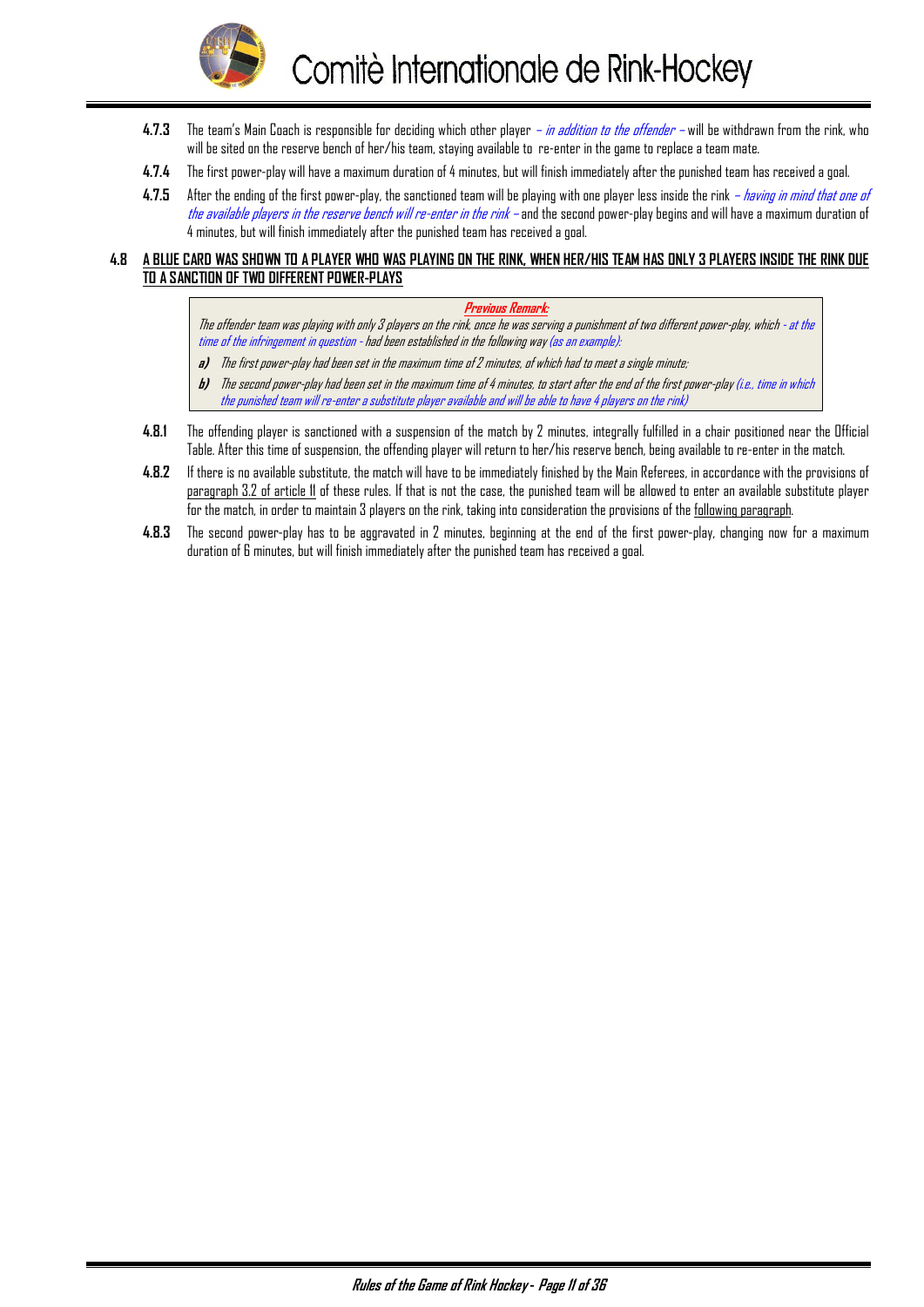

- **4.7.3** The team's Main Coach is responsible for deciding which other player in addition to the offender will be withdrawn from the rink, who will be sited on the reserve bench of her/his team, staying available to re-enter in the game to replace a team mate.
- **4.7.4** The first power-play will have a maximum duration of 4 minutes, but will finish immediately after the punished team has received a goal.
- **4.7.5** After the ending of the first power-play, the sanctioned team will be playing with one player less inside the rink having in mind that one of the available players in the reserve bench will re-enter in the rink – and the second power-play begins and will have a maximum duration of 4 minutes, but will finish immediately after the punished team has received a goal.

#### **4.8 A BLUE CARD WAS SHOWN TO A PLAYER WHO WAS PLAYING ON THE RINK, WHEN HER/HIS TEAM HAS ONLY 3 PLAYERS INSIDE THE RINK DUE TO A SANCTION OF TWO DIFFERENT POWER-PLAYS**

#### **Previous Remark:**

The offender team was playing with only 3 players on the rink, once he was serving a punishment of two different power-play, which - at the time of the infringement in question - had been established in the following way (as an example):

- **a)** The first power-play had been set in the maximum time of 2 minutes, of which had to meet a single minute;
- **b)** The second power-play had been set in the maximum time of 4 minutes, to start after the end of the first power-play (i.e., time in which the punished team will re-enter a substitute player available and will be able to have 4 players on the rink)
- **4.8.1** The offending player is sanctioned with a suspension of the match by 2 minutes, integrally fulfilled in a chair positioned near the Official Table. After this time of suspension, the offending player will return to her/his reserve bench, being available to re-enter in the match.
- **4.8.2** If there is no available substitute, the match will have to be immediately finished by the Main Referees, in accordance with the provisions of paragraph 3.2 of article 11 of these rules. If that is not the case, the punished team will be allowed to enter an available substitute player for the match, in order to maintain 3 players on the rink, taking into consideration the provisions of the following paragraph.
- **4.8.3** The second power-play has to be aggravated in 2 minutes, beginning at the end of the first power-play, changing now for a maximum duration of 6 minutes, but will finish immediately after the punished team has received a goal.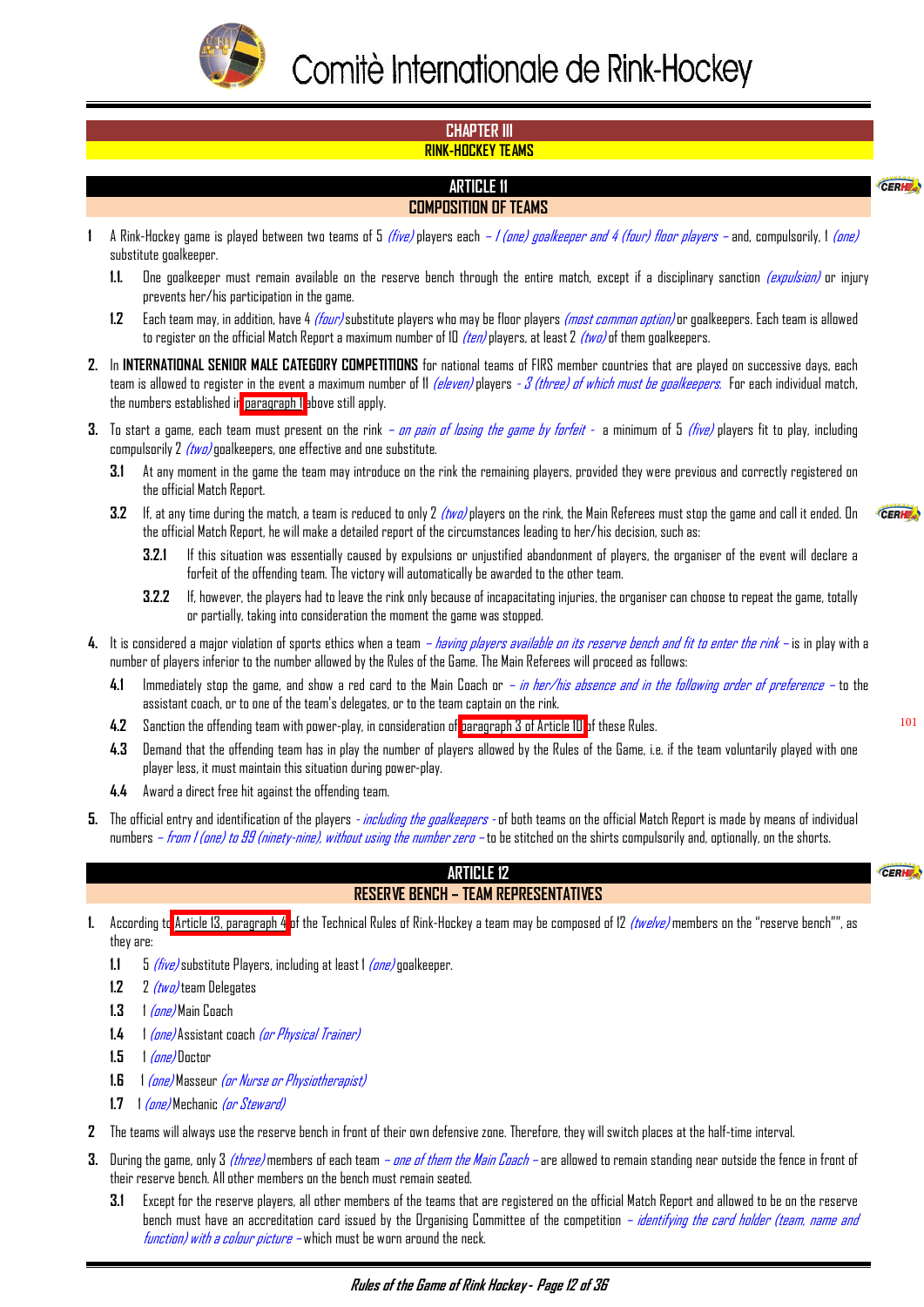<span id="page-12-0"></span>

#### **CHAPTER III RINK-HOCKEY TEAMS**

# **ARTICLE 11**

# **COMPOSITION OF TEAMS**

- **1** A Rink-Hockey game is played between two teams of 5 (five) players each 1 (one) goalkeeper and 4 (four) floor players and, compulsorily, 1 (one) substitute goalkeeper.
	- **1.1.** One goalkeeper must remain available on the reserve bench through the entire match, except if a disciplinary sanction (expulsion) or injury prevents her/his participation in the game.
	- **1.2** Each team may, in addition, have 4 (four) substitute players who may be floor players (most common option) or goalkeepers. Each team is allowed to register on the official Match Report a maximum number of 10  $(ten)$  players, at least 2  $(two)$  of them goalkeepers.
- **2.** In **INTERNATIONAL SENIOR MALE CATEGORY COMPETITIONS** for national teams of FIRS member countries that are played on successive days, each team is allowed to register in the event a maximum number of 11 (eleven) players -  $3$  (three) of which must be goalkeepers. For each individual match, the numbers established in paragraph 1 above still apply.
- **3.** To start a game, each team must present on the rink *on pain of losing the game by forfeit* a minimum of 5 *(five)* players fit to play, including compulsorily  $2$  (two) goalkeepers, one effective and one substitute.
	- **3.1** At any moment in the game the team may introduce on the rink the remaining players, provided they were previous and correctly registered on the official Match Report.
	- **3.2** If, at any time during the match, a team is reduced to only 2 (two) players on the rink, the Main Referees must stop the game and call it ended. On the official Match Report, he will make a detailed report of the circumstances leading to her/his decision, such as:
		- **3.2.1** If this situation was essentially caused by expulsions or unjustified abandonment of players, the organiser of the event will declare a forfeit of the offending team. The victory will automatically be awarded to the other team.
		- **3.2.2** If, however, the players had to leave the rink only because of incapacitating injuries, the organiser can choose to repeat the game, totally or partially, taking into consideration the moment the game was stopped.
- **4.** It is considered a major violation of sports ethics when a team *having players available on its reserve bench and fit to enter the rink –* is in play with a number of players inferior to the number allowed by the Rules of the Game. The Main Referees will proceed as follows:
	- **4.1** Immediately stop the game, and show a red card to the Main Coach or in her/his absence and in the following order of preference to the assistant coach, or to one of the team's delegates, or to the team captain on the rink.
	- **4.2** Sanction the offending team with power-play, in consideration of [paragraph 3 of Article 10](#page-9-0) of these Rules.
	- **4.3** Demand that the offending team has in play the number of players allowed by the Rules of the Game, i.e. if the team voluntarily played with one player less, it must maintain this situation during power-play.
	- **4.4** Award a direct free hit against the offending team.
- **5.** The official entry and identification of the players  *including the goalkeepers* of both teams on the official Match Report is made by means of individual numbers – from I (ane) to 99 (ninety-nine), without using the number zero – to be stitched on the shirts compulsorily and, optionally, on the shorts.

# **ARTICLE 12**

# **RESERVE BENCH – TEAM REPRESENTATIVES**

CERH

101

CERHE

CERH

- **1.** According to [Article 13, paragraph 4](#page-13-0) of the Technical Rules of Rink-Hockey a team may be composed of 12 (twelve) members on the "reserve bench"", as they are:
	- **1.1** 5 (five) substitute Players, including at least 1 (one) goalkeeper.
	- **1.2** 2 (two) team Delegates
	- **1.3** 1 (one) Main Coach
	- **1.4** 1 (one) Assistant coach (or Physical Trainer)
	- **1.5** 1 (one) Doctor
	- **1.6** 1 (one) Masseur (or Nurse or Physiotherapist)
	- **1.7** 1 (one) Mechanic (or Steward)
- **2** The teams will always use the reserve bench in front of their own defensive zone. Therefore, they will switch places at the half-time interval.
- **3.** During the game, only 3 *(three)* members of each team  *one of them the Main Coach* are allowed to remain standing near outside the fence in front of their reserve bench. All other members on the bench must remain seated.
	- **3.1** Except for the reserve players, all other members of the teams that are registered on the official Match Report and allowed to be on the reserve bench must have an accreditation card issued by the Organising Committee of the competition – *identifying the card holder (team, name and*  $function$ ) with a colour picture – which must be worn around the neck.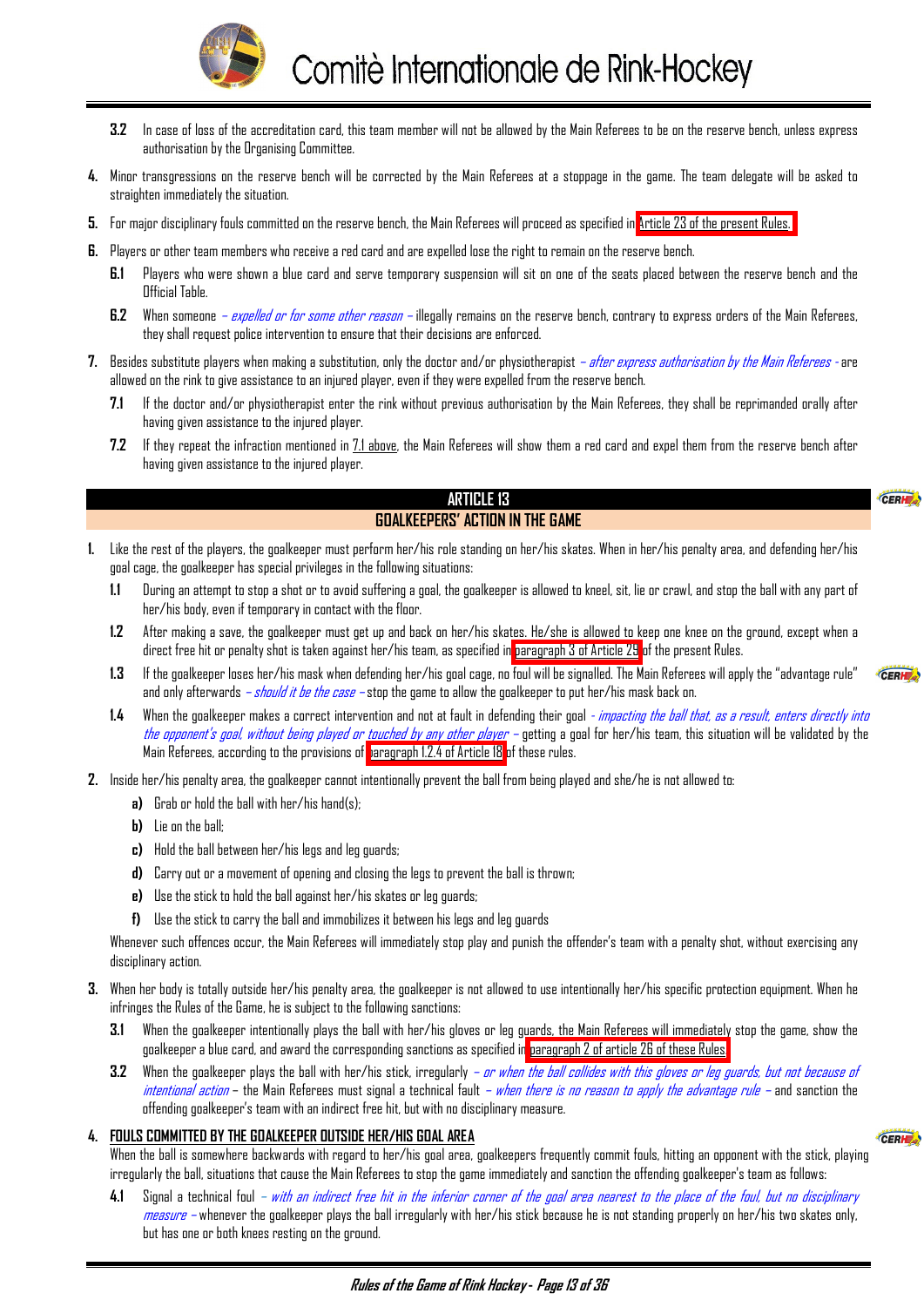

- <span id="page-13-0"></span>**3.2** In case of loss of the accreditation card, this team member will not be allowed by the Main Referees to be on the reserve bench, unless express authorisation by the Organising Committee.
- **4.** Minor transgressions on the reserve bench will be corrected by the Main Referees at a stoppage in the game. The team delegate will be asked to straighten immediately the situation.
- **5.** For major disciplinary fouls committed on the reserve bench, the Main Referees will proceed as specified in [Article 23 of the present Rules.](#page-25-0)
- **6.** Players or other team members who receive a red card and are expelled lose the right to remain on the reserve bench.
	- **6.1** Players who were shown a blue card and serve temporary suspension will sit on one of the seats placed between the reserve bench and the Official Table.
	- **6.2** When someone expelled or for some other reason illegally remains on the reserve bench, contrary to express orders of the Main Referees, they shall request police intervention to ensure that their decisions are enforced.
- **7.** Besides substitute players when making a substitution, only the doctor and/or physiotherapist after express authorisation by the Main Referees are allowed on the rink to give assistance to an injured player, even if they were expelled from the reserve bench.
	- **7.1** If the doctor and/or physiotherapist enter the rink without previous authorisation by the Main Referees, they shall be reprimanded orally after having given assistance to the injured player.
	- **7.2** If they repeat the infraction mentioned in 7.1 above, the Main Referees will show them a red card and expel them from the reserve bench after having given assistance to the injured player.

CERH

CERH

CERH

#### **ARTICLE 13 GOALKEEPERS' ACTION IN THE GAME**

- **1.** Like the rest of the players, the goalkeeper must perform her/his role standing on her/his skates. When in her/his penalty area, and defending her/his goal cage, the goalkeeper has special privileges in the following situations:
	- **1.1** During an attempt to stop a shot or to avoid suffering a goal, the goalkeeper is allowed to kneel, sit, lie or crawl, and stop the ball with any part of her/his body, even if temporary in contact with the floor.
	- **1.2** After making a save, the goalkeeper must get up and back on her/his skates. He/she is allowed to keep one knee on the ground, except when a direct free hit or penalty shot is taken against her/his team, as specified in [paragraph 3 of Article 29](#page-31-0) of the present Rules.
	- **1.3** If the goalkeeper loses her/his mask when defending her/his goal cage, no foul will be signalled. The Main Referees will apply the "advantage rule" and only afterwards *– should it be the case –* stop the game to allow the goalkeeper to put her/his mask back on.
	- **1.4** When the goalkeeper makes a correct intervention and not at fault in defending their goal impacting the ball that, as a result, enters directly into the appanent's goal, without being played or touched by any other player - getting a goal for her/his team, this situation will be validated by the Main Referees, according to the provisions of [paragraph 1.2.4 of Article 18](#page-18-0) of these rules.
- **2.** Inside her/his penalty area, the goalkeeper cannot intentionally prevent the ball from being played and she/he is not allowed to:
	- **a)** Grab or hold the ball with her/his hand(s);
	- **b)** Lie on the ball;
	- **c)** Hold the ball between her/his legs and leg guards;
	- **d)** Carry out or a movement of opening and closing the legs to prevent the ball is thrown;
	- **e)** Use the stick to hold the ball against her/his skates or leg guards;
	- **f)** Use the stick to carry the ball and immobilizes it between his legs and leg guards

Whenever such offences occur, the Main Referees will immediately stop play and punish the offender's team with a penalty shot, without exercising any disciplinary action.

- **3.** When her body is totally outside her/his penalty area, the goalkeeper is not allowed to use intentionally her/his specific protection equipment. When he infringes the Rules of the Game, he is subject to the following sanctions:
	- **3.1** When the goalkeeper intentionally plays the ball with her/his gloves or leg guards, the Main Referees will immediately stop the game, show the goalkeeper a blue card, and award the corresponding sanctions as specified in [paragraph 2 of article 26 of these Rules.](#page-28-0)
	- **3.2** When the goalkeeper plays the ball with her/his stick, irregularly *or when the ball collides with this gloves or leg guards, but not because of* intentional action – the Main Referees must signal a technical fault – when there is no reason to apply the advantage rule – and sanction the offending goalkeeper's team with an indirect free hit, but with no disciplinary measure.

#### **4. FOULS COMMITTED BY THE GOALKEEPER OUTSIDE HER/HIS GOAL AREA**

When the ball is somewhere backwards with regard to her/his goal area, goalkeepers frequently commit fouls, hitting an opponent with the stick, playing irregularly the ball, situations that cause the Main Referees to stop the game immediately and sanction the offending goalkeeper's team as follows:

**4.1** Signal a technical foul – with an indirect free hit in the inferior corner of the goal area nearest to the place of the foul, but no disciplinary  $m$ easure – whenever the goalkeeper plays the ball irregularly with her/his stick because he is not standing properly on her/his two skates only, but has one or both knees resting on the ground.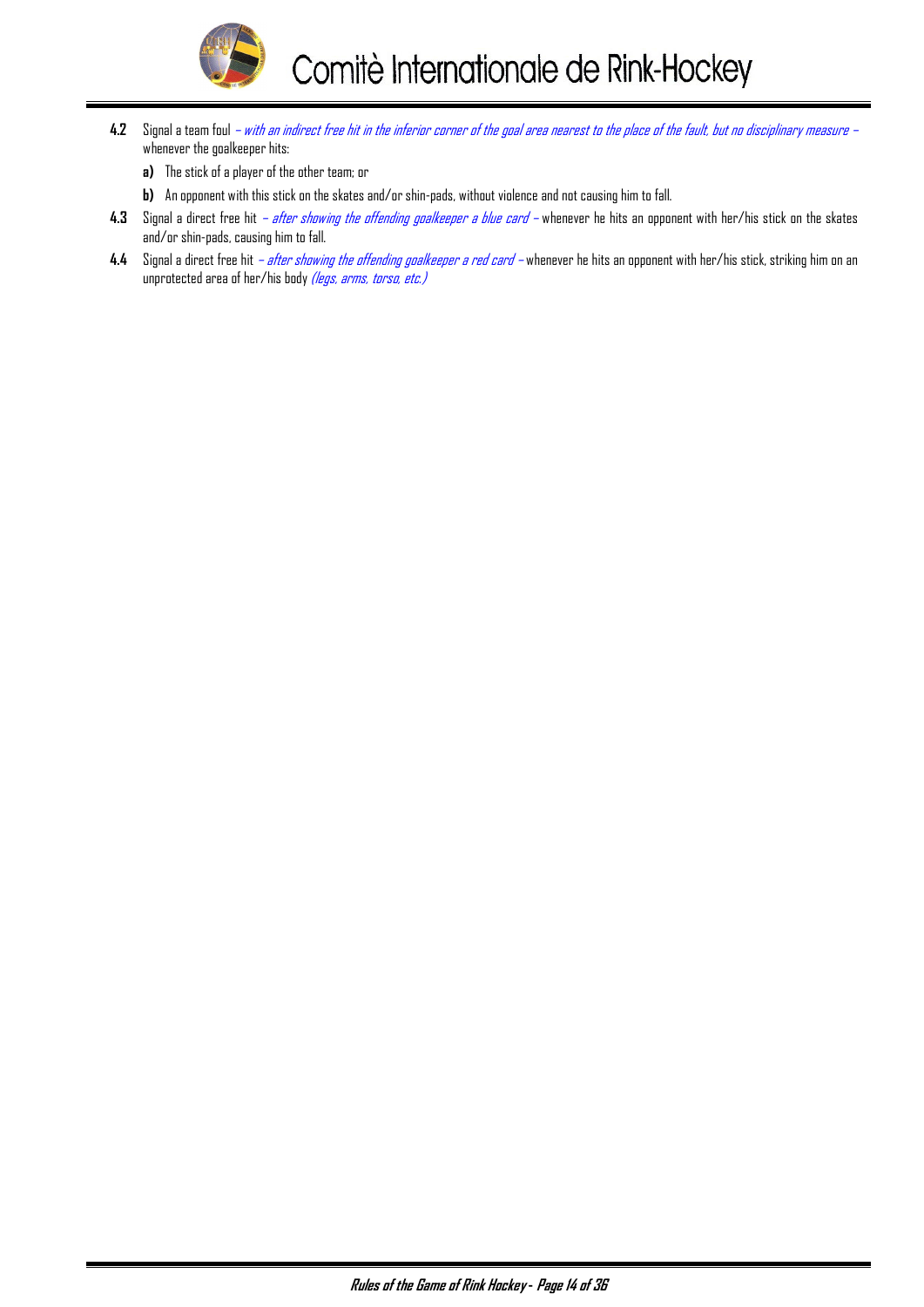

- **4.2** Signal a team foul with an indirect free hit in the inferior corner of the goal area nearest to the place of the fault, but no disciplinary measure whenever the goalkeeper hits:
	- **a)** The stick of a player of the other team; or
	- **b)** An opponent with this stick on the skates and/or shin-pads, without violence and not causing him to fall.
- **4.3** Signal a direct free hit after showing the offending goalkeeper a blue card whenever he hits an opponent with her/his stick on the skates and/or shin-pads, causing him to fall.
- **4.4** Signal a direct free hit after showing the offending goalkeeper a red card whenever he hits an opponent with her/his stick, striking him on an unprotected area of her/his body (legs, arms, torso, etc.)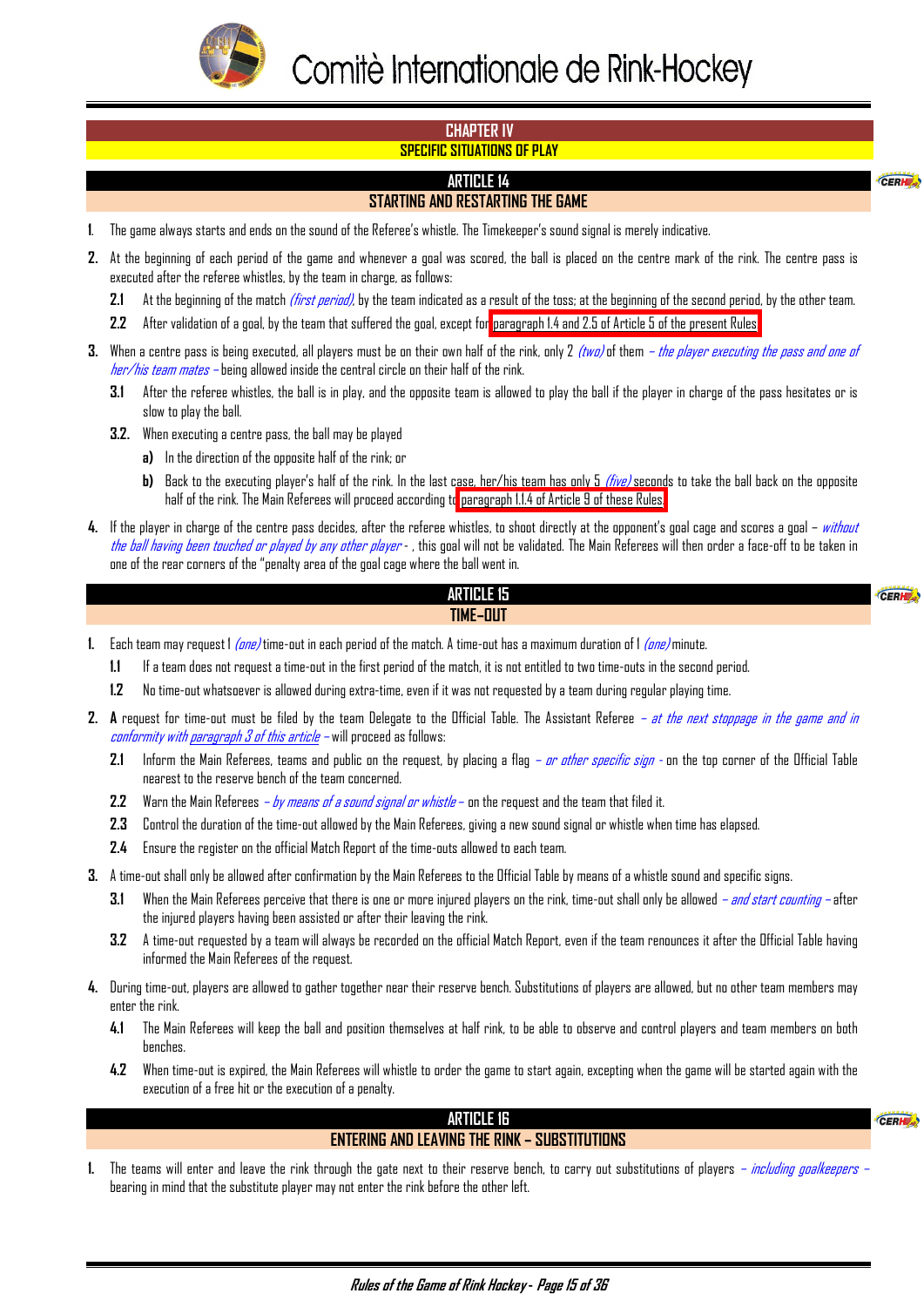<span id="page-15-0"></span>

#### **CHAPTER IV SPECIFIC SITUATIONS OF PLAY**

# **ARTICLE 14**

# **STARTING AND RESTARTING THE GAME**

- **1**. The game always starts and ends on the sound of the Referee's whistle. The Timekeeper's sound signal is merely indicative.
- **2.** At the beginning of each period of the game and whenever a goal was scored, the ball is placed on the centre mark of the rink. The centre pass is executed after the referee whistles, by the team in charge, as follows:
	- **2.1** At the beginning of the match (first period), by the team indicated as a result of the toss; at the beginning of the second period, by the other team.
	- **2.2** After validation of a goal, by the team that suffered the goal, except for [paragraph 1.4 and 2.5 of Article 5 of the present Rules.](#page-4-0)
- **3.** When a centre pass is being executed, all players must be on their own half of the rink, only 2 *(two)* of them *the player executing the pass and one of her/his team mates –* being allowed inside the central circle on their half of the rink.
	- **3.1** After the referee whistles, the ball is in play, and the opposite team is allowed to play the ball if the player in charge of the pass hesitates or is slow to play the ball.
	- **3.2.** When executing a centre pass, the ball may be played
		- **a)** In the direction of the opposite half of the rink; or
			- **b)** Back to the executing player's half of the rink. In the last case, her/his team has only 5 (*five)* seconds to take the ball back on the opposite half of the rink. The Main Referees will proceed according t[o paragraph 1.1.4 of Article 9 of these Rules.](#page-6-0)
- **4.** If the player in charge of the centre pass decides, after the referee whistles, to shoot directly at the opponent's goal cage and scores a goal without the ball having been touched or played by any other player - , this goal will not be validated. The Main Referees will then order a face-off to be taken in one of the rear corners of the "penalty area of the goal cage where the ball went in.

#### **ARTICLE 15 TIME–OUT**

- **1.** Each team may request 1 (one) time-out in each period of the match. A time-out has a maximum duration of 1 (one) minute.
	- **1.1** If a team does not request a time-out in the first period of the match, it is not entitled to two time-outs in the second period.
	- **1.2** No time-out whatsoever is allowed during extra-time, even if it was not requested by a team during regular playing time.
- **2. A** request for time-out must be filed by the team Delegate to the Official Table. The Assistant Referee at the next stoppage in the game and in conformity with paragraph 3 of this article – will proceed as follows:
	- **2.1** Inform the Main Referees, teams and public on the request, by placing a flag *or other specific sign* on the top corner of the Official Table nearest to the reserve bench of the team concerned.
	- **2.2** Warn the Main Referees  *by means of a sound signal or whistle* on the request and the team that filed it.
	- **2.3** Control the duration of the time-out allowed by the Main Referees, giving a new sound signal or whistle when time has elapsed.
	- **2.4** Ensure the register on the official Match Report of the time-outs allowed to each team.
- **3.** A time-out shall only be allowed after confirmation by the Main Referees to the Official Table by means of a whistle sound and specific signs.
	- **3.1** When the Main Referees perceive that there is one or more injured players on the rink, time-out shall only be allowed and start counting after the injured players having been assisted or after their leaving the rink.
	- **3.2** A time-out requested by a team will always be recorded on the official Match Report, even if the team renounces it after the Official Table having informed the Main Referees of the request.
- **4.** During time-out, players are allowed to gather together near their reserve bench. Substitutions of players are allowed, but no other team members may enter the rink.
	- **4.1** The Main Referees will keep the ball and position themselves at half rink, to be able to observe and control players and team members on both benches.
	- **4.2** When time-out is expired, the Main Referees will whistle to order the game to start again, excepting when the game will be started again with the execution of a free hit or the execution of a penalty.

#### **ARTICLE 16**

# **ENTERING AND LEAVING THE RINK – SUBSTITUTIONS**

CERHE

CERH

CERH

**1.** The teams will enter and leave the rink through the gate next to their reserve bench, to carry out substitutions of players – *including goalkeepers* – bearing in mind that the substitute player may not enter the rink before the other left.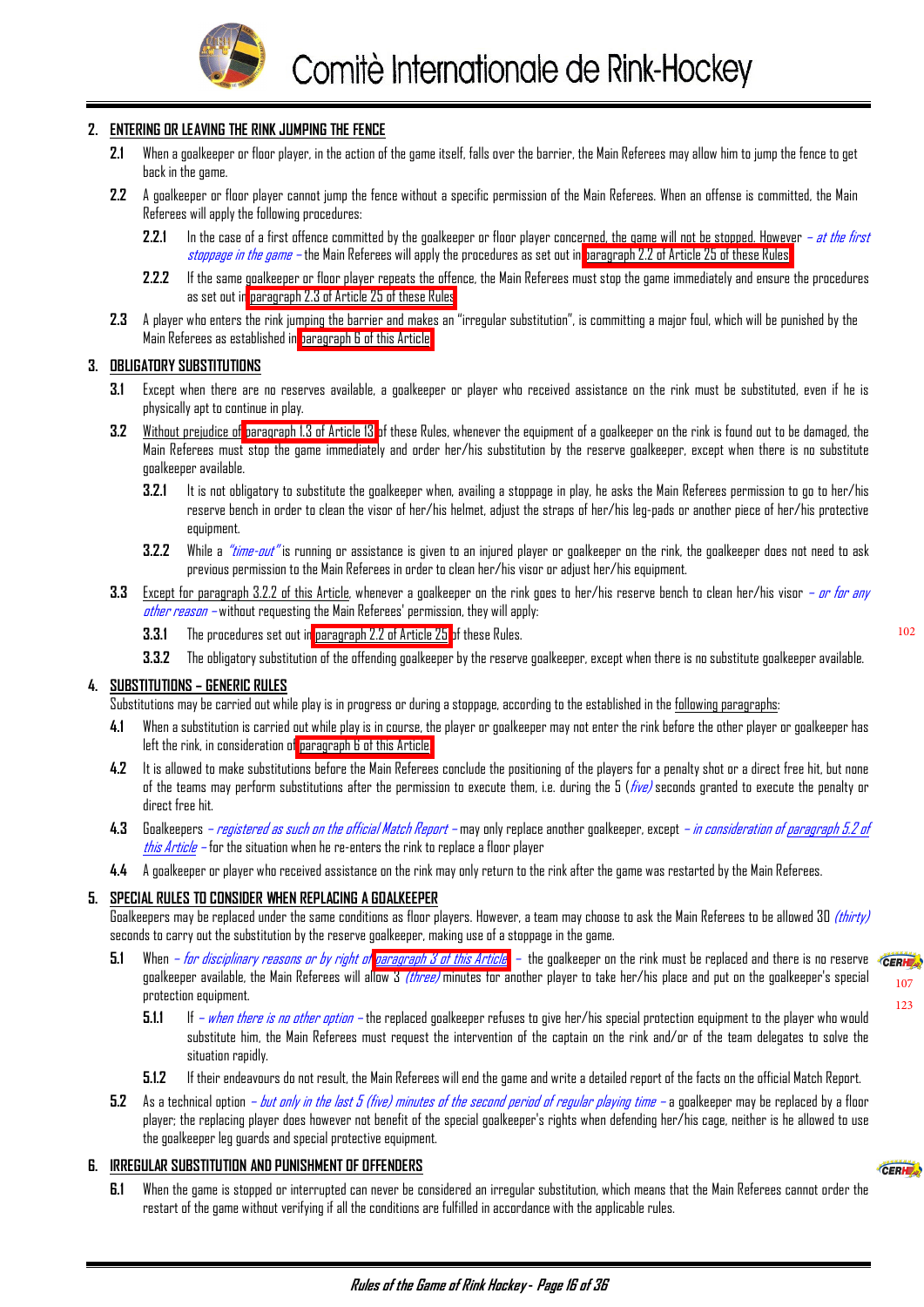

#### <span id="page-16-0"></span>**2. ENTERING OR LEAVING THE RINK JUMPING THE FENCE**

- **2.1** When a goalkeeper or floor player, in the action of the game itself, falls over the barrier, the Main Referees may allow him to jump the fence to get back in the game.
- **2.2** A goalkeeper or floor player cannot jump the fence without a specific permission of the Main Referees. When an offense is committed, the Main Referees will apply the following procedures:
	- **2.2.1** In the case of a first offence committed by the goalkeeper or floor player concerned, the game will not be stopped. However  *at the first* stoppage in the game – the Main Referees will apply the procedures as set out in [paragraph 2.2 of Article 25 of these Rules](#page-27-0)
	- **2.2.2** If the same goalkeeper or floor player repeats the offence, the Main Referees must stop the game immediately and ensure the procedures as set out in [paragraph 2.3 of Article 25 of these Rules](#page-27-0).
- **2.3** A player who enters the rink jumping the barrier and makes an "irregular substitution", is committing a major foul, which will be punished by the Main Referees as established in paragraph 6 of this Article.

#### **3. OBLIGATORY SUBSTITUTIONS**

- **3.1** Except when there are no reserves available, a goalkeeper or player who received assistance on the rink must be substituted, even if he is physically apt to continue in play.
- **3.2** Without prejudice of [paragraph 1.3 of Article 13](#page-13-0) of these Rules, whenever the equipment of a goalkeeper on the rink is found out to be damaged, the Main Referees must stop the game immediately and order her/his substitution by the reserve goalkeeper, except when there is no substitute goalkeeper available.
	- **3.2.1** It is not obligatory to substitute the goalkeeper when, availing a stoppage in play, he asks the Main Referees permission to go to her/his reserve bench in order to clean the visor of her/his helmet, adjust the straps of her/his leg-pads or another piece of her/his protective equipment.
	- **3.2.2** While a *"time-out"* is running or assistance is given to an injured player or goalkeeper on the rink, the goalkeeper does not need to ask previous permission to the Main Referees in order to clean her/his visor or adjust her/his equipment.
- **3.3** Except for paragraph 3.2.2 of this Article, whenever a goalkeeper on the rink goes to her/his reserve bench to clean her/his visor or for any other reason – without requesting the Main Referees' permission, they will apply:
	- **3.3.1** The procedures set out in [paragraph 2.2 of Article 25](#page-27-0) of these Rules.

 $107$ [123](#page-32-0)

CEDLE .

**3.3.2** The obligatory substitution of the offending goalkeeper by the reserve goalkeeper, except when there is no substitute goalkeeper available.

#### **4. SUBSTITUTIONS – GENERIC RULES**

Substitutions may be carried out while play is in progress or during a stoppage, according to the established in the following paragraphs:

- **4.1** When a substitution is carried out while play is in course, the player or goalkeeper may not enter the rink before the other player or goalkeeper has left the rink, in consideration of paragraph 6 of this Article.
- **4.2** It is allowed to make substitutions before the Main Referees conclude the positioning of the players for a penalty shot or a direct free hit, but none of the teams may perform substitutions after the permission to execute them, i.e. during the 5 ( $five$ ) seconds granted to execute the penalty or direct free hit.
- **4.3** Goalkeepers registered as such on the official Match Report may only replace another goalkeeper, except in consideration of paragraph 5.2 of this Article – for the situation when he re-enters the rink to replace a floor player
- **4.4** A goalkeeper or player who received assistance on the rink may only return to the rink after the game was restarted by the Main Referees.

#### **5. SPECIAL RULES TO CONSIDER WHEN REPLACING A GOALKEEPER**

Goalkeepers may be replaced under the same conditions as floor players. However, a team may choose to ask the Main Referees to be allowed 30 *(thirty)* seconds to carry out the substitution by the reserve goalkeeper, making use of a stoppage in the game.

- 5.1 When *for disciplinary reasons or by right of paragraph 3 of this Article* the goalkeeper on the rink must be replaced and there is no reserve **ERNE** goalkeeper available, the Main Referees will allow 3 *(three)* minutes for another player to take her/his place and put on the goalkeeper's special protection equipment.
	- **5.1.1** If when there is no other option the replaced goalkeeper refuses to give her/his special protection equipment to the player who would substitute him, the Main Referees must request the intervention of the captain on the rink and/or of the team delegates to solve the situation rapidly.
	- **5.1.2** If their endeavours do not result, the Main Referees will end the game and write a detailed report of the facts on the official Match Report.
- **5.2** As a technical option but only in the last 5 (five) minutes of the second period of regular playing time a goalkeeper may be replaced by a floor player; the replacing player does however not benefit of the special goalkeeper's rights when defending her/his cage, neither is he allowed to use the goalkeeper leg guards and special protective equipment.

#### **6. IRREGULAR SUBSTITUTION AND PUNISHMENT OF OFFENDERS**

**6.1** When the game is stopped or interrupted can never be considered an irregular substitution, which means that the Main Referees cannot order the restart of the game without verifying if all the conditions are fulfilled in accordance with the applicable rules.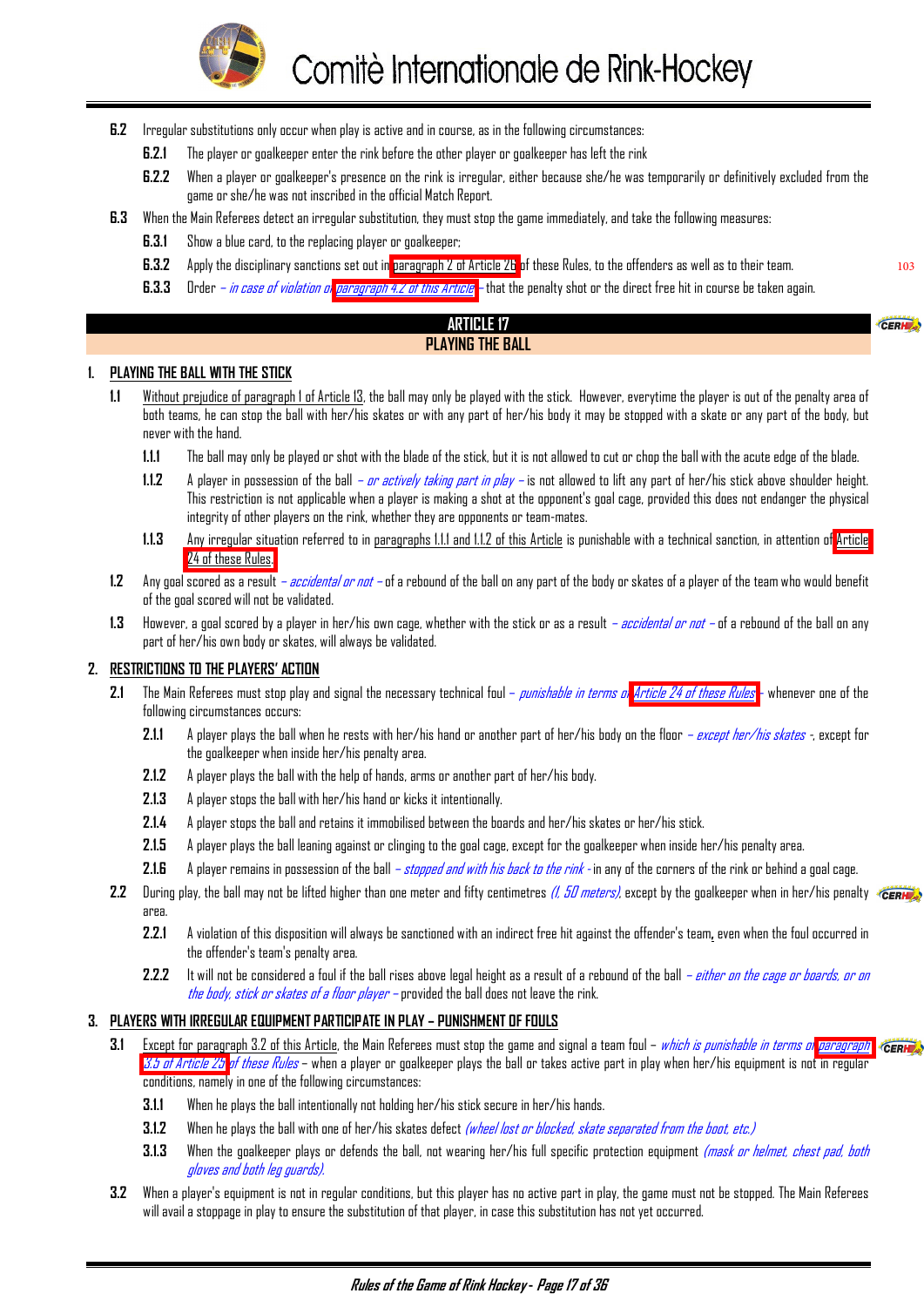

- <span id="page-17-0"></span>**6.2** Irregular substitutions only occur when play is active and in course, as in the following circumstances:
	- **6.2.1** The player or goalkeeper enter the rink before the other player or goalkeeper has left the rink
	- **6.2.2** When a player or goalkeeper's presence on the rink is irregular, either because she/he was temporarily or definitively excluded from the game or she/he was not inscribed in the official Match Report.

103

CEDU

- **6.3** When the Main Referees detect an irregular substitution, they must stop the game immediately, and take the following measures:
	- **6.3.1** Show a blue card, to the replacing player or goalkeeper;
	- **6.3.2** Apply the disciplinary sanctions set out in [paragraph 2 of Article 26](#page-28-0) of these Rules, to the offenders as well as to their team.
	- **6.3.3** Order *in case of violation of paragraph 4.2 of this Article* that the penalty shot or the direct free hit in course be taken again.

#### **ARTICLE 17 PLAYING THE BALL**

#### **1. PLAYING THE BALL WITH THE STICK**

- **1.1** Without prejudice of paragraph 1 of Article 13, the ball may only be played with the stick. However, everytime the player is out of the penalty area of both teams, he can stop the ball with her/his skates or with any part of her/his body it may be stopped with a skate or any part of the body, but never with the hand.
	- **1.1.1** The ball may only be played or shot with the blade of the stick, but it is not allowed to cut or chop the ball with the acute edge of the blade.
	- **1.1.2** A player in possession of the ball or actively taking part in play is not allowed to lift any part of her/his stick above shoulder height. This restriction is not applicable when a player is making a shot at the opponent's goal cage, provided this does not endanger the physical integrity of other players on the rink, whether they are opponents or team-mates.
	- **1.1.3** Any irregular situation referred to in paragraphs 1.1.1 and 1.1.2 of this Article is punishable with a technical sanction, in attention of [Article](#page-26-0)  [24 of these Rules.](#page-26-0)
- **1.2** Any goal scored as a result accidental or not of a rebound of the ball on any part of the body or skates of a player of the team who would benefit of the goal scored will not be validated.
- **1.3** However, a goal scored by a player in her/his own cage, whether with the stick or as a result accidental or not of a rebound of the ball on any part of her/his own body or skates, will always be validated.

#### **2. RESTRICTIONS TO THE PLAYERS' ACTION**

- **2.1** The Main Referees must stop play and signal the necessary technical foul punishable in terms o[f Article 24 of these Rules](#page-26-0) whenever one of the following circumstances occurs:
	- **2.1.1** A player plays the ball when he rests with her/his hand or another part of her/his body on the floor except her/his skates -, except for the goalkeeper when inside her/his penalty area.
	- **2.1.2** A player plays the ball with the help of hands, arms or another part of her/his body.
	- **2.1.3** A player stops the ball with her/his hand or kicks it intentionally.
	- **2.1.4** A player stops the ball and retains it immobilised between the boards and her/his skates or her/his stick.
	- **2.1.5** A player plays the ball leaning against or clinging to the goal cage, except for the goalkeeper when inside her/his penalty area.
	- 2.1.6 A player remains in possession of the ball  *stopped and with his back to the rink* in any of the corners of the rink or behind a goal cage.
- 2.2 During play, the ball may not be lifted higher than one meter and fifty centimetres *(1, 50 meters)*, except by the goalkeeper when in her/his penalty area.
	- **2.2.1** A violation of this disposition will always be sanctioned with an indirect free hit against the offender's team**,** even when the foul occurred in the offender's team's penalty area.
	- **2.2.2** It will not be considered a foul if the ball rises above legal height as a result of a rebound of the ball either on the cage or boards, or on the body, stick or skates of a floor player – provided the ball does not leave the rink.

#### **3. PLAYERS WITH IRREGULAR EQUIPMENT PARTICIPATE IN PLAY – PUNISHMENT OF FOULS**

- **3.1** Except for paragraph 3.2 of this Article, the Main Referees must stop the game and signal a team foul which is punishable in terms o[f paragraph](#page-28-0) **CERH** [3.5 of Article 25](#page-28-0) of these Rules – when a player or goalkeeper plays the ball or takes active part in play when her/his equipment is not in regular conditions, namely in one of the following circumstances:
	- **3.1.1** When he plays the ball intentionally not holding her/his stick secure in her/his hands.
	- **3.1.2** When he plays the ball with one of her/his skates defect *(wheel lost or blocked, skate separated from the boot, etc.)*
	- **3.1.3** When the goalkeeper plays or defends the ball, not wearing her/his full specific protection equipment *(mask or helmet, chest pad, both* gloves and both leg guards).
- **3.2** When a player's equipment is not in regular conditions, but this player has no active part in play, the game must not be stopped. The Main Referees will avail a stoppage in play to ensure the substitution of that player, in case this substitution has not yet occurred.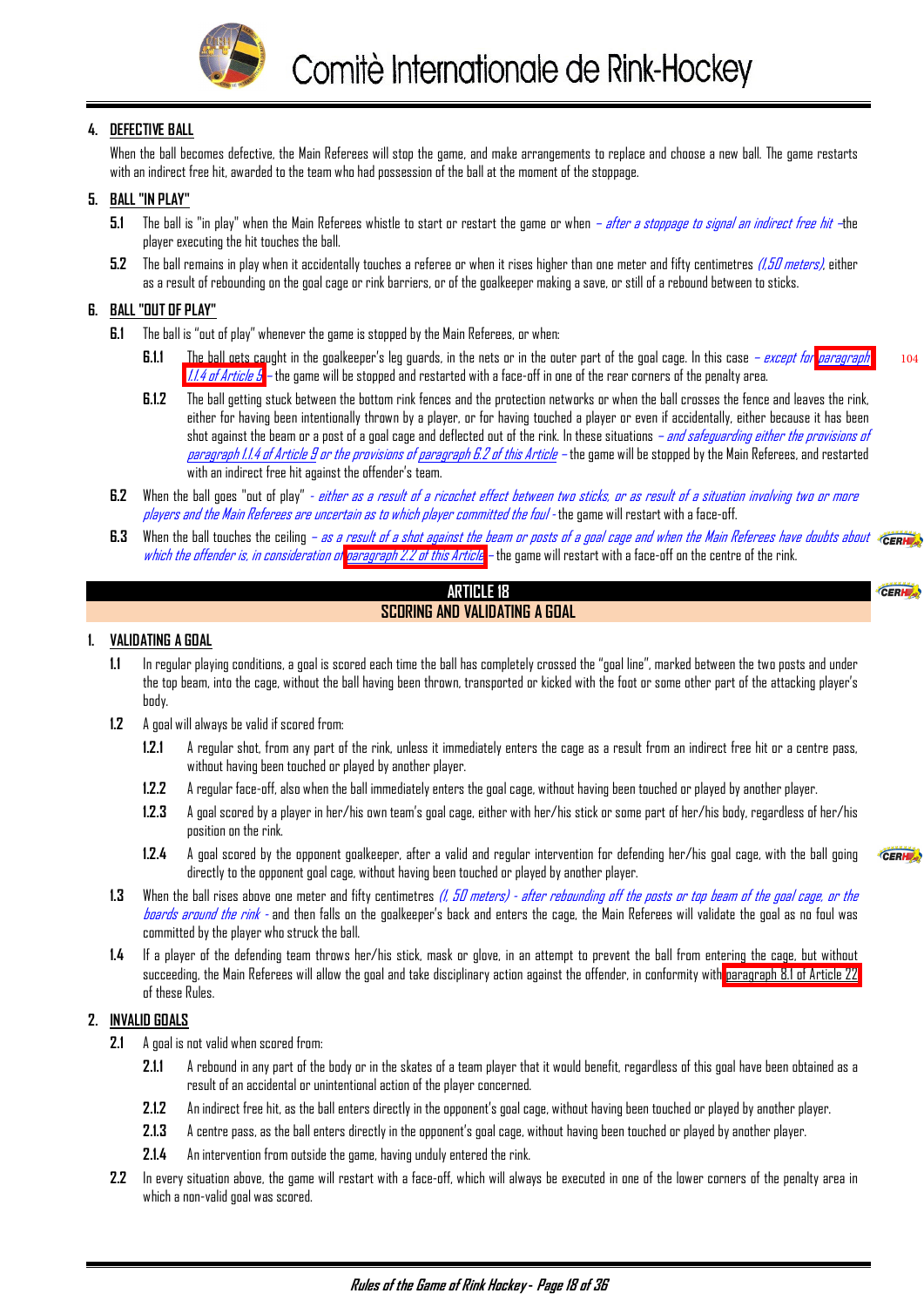

#### <span id="page-18-0"></span>**4. DEFECTIVE BALL**

When the ball becomes defective, the Main Referees will stop the game, and make arrangements to replace and choose a new ball. The game restarts with an indirect free hit, awarded to the team who had possession of the ball at the moment of the stoppage.

#### **5. BALL "IN PLAY"**

- 5.1 The ball is "in play" when the Main Referees whistle to start or restart the game or when after a stoppage to signal an indirect free hit –the player executing the hit touches the ball.
- **5.2** The ball remains in play when it accidentally touches a referee or when it rises higher than one meter and fifty centimetres (1,50 meters), either as a result of rebounding on the goal cage or rink barriers, or of the goalkeeper making a save, or still of a rebound between to sticks.

# **6. BALL "OUT OF PLAY"**

- **6.1** The ball is "out of play" whenever the game is stopped by the Main Referees, or when:
	- **6.1.1** The ball gets caught in the goalkeeper's leg guards, in the nets or in the outer part of the goal cage. In this case except for paragraph [1.1.4 of Article 9](#page-6-0) – the game will be stopped and restarted with a face-off in one of the rear corners of the penalty area.
	- **6.1.2** The ball getting stuck between the bottom rink fences and the protection networks or when the ball crosses the fence and leaves the rink, either for having been intentionally thrown by a player, or for having touched a player or even if accidentally, either because it has been shot against the beam or a post of a goal cage and deflected out of the rink. In these situations *– and safeguarding either the provisions of* paragraph 1.1.4 of Article 9 or the provisions of paragraph 6.2 of this Article – the game will be stopped by the Main Referees, and restarted with an indirect free hit against the offender's team.
- **6.2** When the ball goes "out of play"  *either as a result of a ricochet effect between two sticks, or as result of a situation involving two or more* players and the Main Referees are uncertain as to which player committed the foul - the game will restart with a face-off.
- **6.3** When the ball touches the ceiling as a result of a shot against the beam or posts of a goal cage and when the Main Referees have doubts about **CERK** which the o[f](#page-17-0)fender is, in consideration of [paragraph 2.2 of this Article](#page-17-0) – the game will restart with a face-off on the centre of the rink.

#### **ARTICLE 18 SCORING AND VALIDATING A GOAL**

#### **1. VALIDATING A GOAL**

- **1.1** In regular playing conditions, a goal is scored each time the ball has completely crossed the "goal line", marked between the two posts and under the top beam, into the cage, without the ball having been thrown, transported or kicked with the foot or some other part of the attacking player's body.
- **1.2** A goal will always be valid if scored from:
	- **1.2.1** A regular shot, from any part of the rink, unless it immediately enters the cage as a result from an indirect free hit or a centre pass, without having been touched or played by another player.
	- **1.2.2** A regular face-off, also when the ball immediately enters the goal cage, without having been touched or played by another player.
	- **1.2.3** A goal scored by a player in her/his own team's goal cage, either with her/his stick or some part of her/his body, regardless of her/his position on the rink.
	- **1.2.4** A goal scored by the opponent goalkeeper, after a valid and regular intervention for defending her/his goal cage, with the ball going directly to the opponent goal cage, without having been touched or played by another player.
- 1.3 When the ball rises above one meter and fifty centimetres *(I, 50 meters) after rebounding off the posts or top beam of the goal cage, or the* boards around the rink - and then falls on the goalkeeper's back and enters the cage, the Main Referees will validate the goal as no foul was committed by the player who struck the ball.
- **1.4** If a player of the defending team throws her/his stick, mask or glove, in an attempt to prevent the ball from entering the cage, but without succeeding, the Main Referees will allow the goal and take disciplinary action against the offender, in conformity with paragraph 8.1 of Article 22 of these Rules.

#### **2. INVALID GOALS**

- **2.1** A goal is not valid when scored from:
	- **2.1.1** A rebound in any part of the body or in the skates of a team player that it would benefit, regardless of this goal have been obtained as a result of an accidental or unintentional action of the player concerned.
	- **2.1.2** An indirect free hit, as the ball enters directly in the opponent's goal cage, without having been touched or played by another player.
	- **2.1.3** A centre pass, as the ball enters directly in the opponent's goal cage, without having been touched or played by another player.
	- **2.1.4** An intervention from outside the game, having unduly entered the rink.
- **2.2** In every situation above, the game will restart with a face-off, which will always be executed in one of the lower corners of the penalty area in which a non-valid goal was scored.

CERH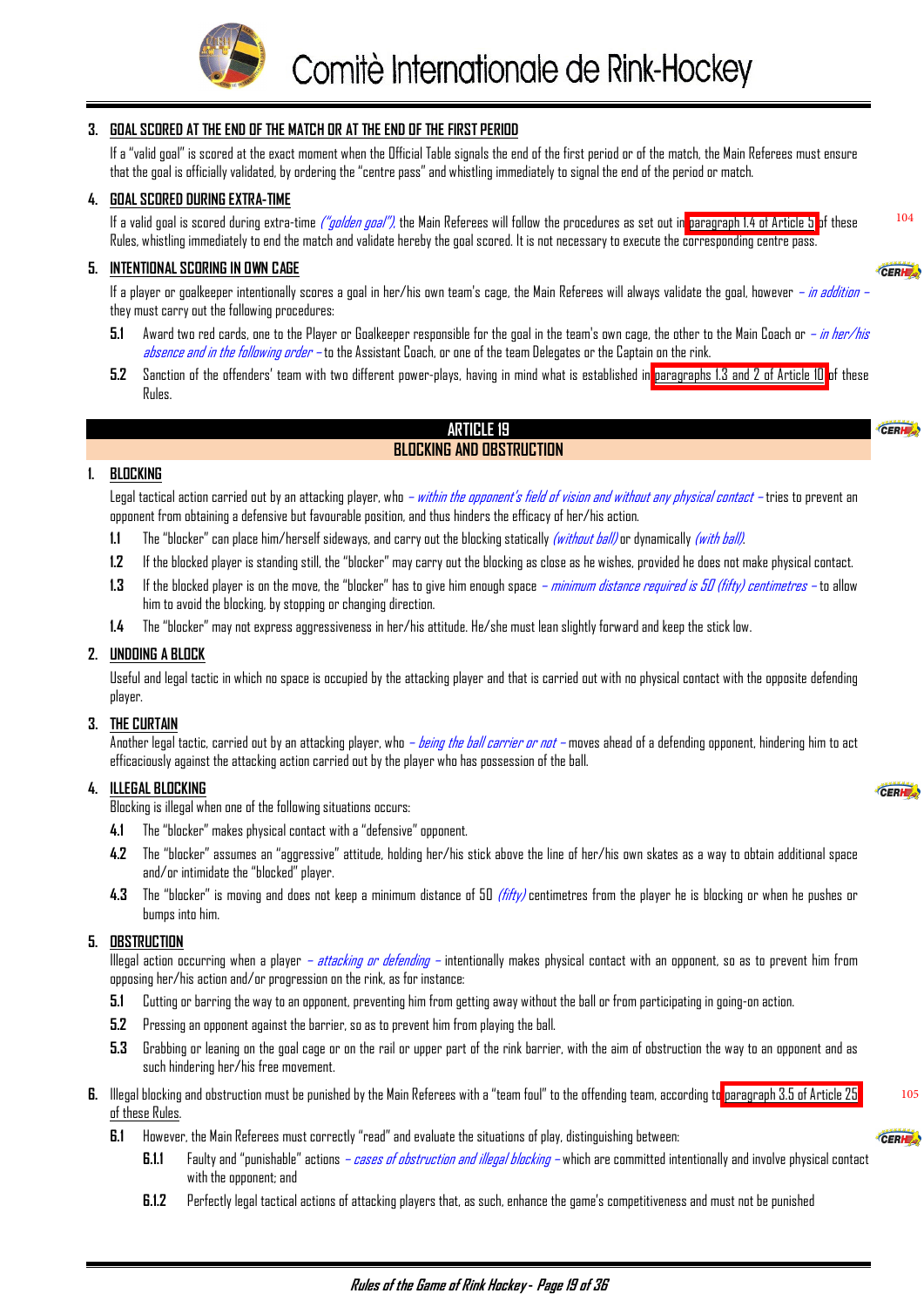

#### <span id="page-19-0"></span>**3. GOAL SCORED AT THE END OF THE MATCH OR AT THE END OF THE FIRST PERIOD**

If a "valid goal" is scored at the exact moment when the Official Table signals the end of the first period or of the match, the Main Referees must ensure that the goal is officially validated, by ordering the "centre pass" and whistling immediately to signal the end of the period or match.

#### **4. GOAL SCORED DURING EXTRA-TIME**

If a valid goal is scored during extra-time *("golden goal")*, the Main Referees will follow the procedures as set out in [paragraph 1.4 of Article 5](#page-4-0) of these Rules, whistling immediately to end the match and validate hereby the goal scored. It is not necessary to execute the corresponding centre pass.

#### **5. INTENTIONAL SCORING IN OWN CAGE**

If a player or goalkeeper intentionally scores a goal in her/his own team's cage, the Main Referees will always validate the goal, however *– in addition* they must carry out the following procedures:

- **5.1** Award two red cards, one to the Player or Goalkeeper responsible for the goal in the team's own cage, the other to the Main Coach or in her/his *absence and in the following order –* to the Assistant Coach, or one of the team Delegates or the Captain on the rink.
- **5.2** Sanction of the offenders' team with two different power-plays, having in mind what is established in [paragraphs 1.3 and 2 of Article 10](#page-8-0) of these Rules.

#### **ARTICLE 19 BLOCKING AND OBSTRUCTION**

#### **1. BLOCKING**

Legal tactical action carried out by an attacking player, who – within the apponent's field of vision and without any physical contact – tries to prevent an opponent from obtaining a defensive but favourable position, and thus hinders the efficacy of her/his action.

- **1.1** The "blocker" can place him/herself sideways, and carry out the blocking statically (without ball) or dynamically (with ball).
- **1.2** If the blocked player is standing still, the "blocker" may carry out the blocking as close as he wishes, provided he does not make physical contact.
- **1.3** If the blocked player is on the move, the "blocker" has to give him enough space minimum distance required is 50 (fifty) centimetres to allow him to avoid the blocking, by stopping or changing direction.
- **1.4** The "blocker" may not express aggressiveness in her/his attitude. He/she must lean slightly forward and keep the stick low.

#### **2. UNDOING A BLOCK**

Useful and legal tactic in which no space is occupied by the attacking player and that is carried out with no physical contact with the opposite defending player.

#### **3. THE CURTAIN**

Another legal tactic, carried out by an attacking player, who – *being the ball carrier or not –* moves ahead of a defending opponent, hindering him to act efficaciously against the attacking action carried out by the player who has possession of the ball.

#### **4. ILLEGAL BLOCKING**

Blocking is illegal when one of the following situations occurs:

- **4.1** The "blocker" makes physical contact with a "defensive" opponent.
- **4.2** The "blocker" assumes an "aggressive" attitude, holding her/his stick above the line of her/his own skates as a way to obtain additional space and/or intimidate the "blocked" player.
- **4.3** The "blocker" is moving and does not keep a minimum distance of 50 (fifty) centimetres from the player he is blocking or when he pushes or bumps into him.

#### **5. OBSTRUCTION**

Illegal action occurring when a player – *attacking or defending* – intentionally makes physical contact with an opponent, so as to prevent him from opposing her/his action and/or progression on the rink, as for instance:

- **5.1** Cutting or barring the way to an opponent, preventing him from getting away without the ball or from participating in going-on action.
- **5.2** Pressing an opponent against the barrier, so as to prevent him from playing the ball.
- **5.3** Grabbing or leaning on the goal cage or on the rail or upper part of the rink barrier, with the aim of obstruction the way to an opponent and as such hindering her/his free movement.
- **6.** Illegal blocking and obstruction must be punished by the Main Referees with a "team foul" to the offending team, according to [paragraph 3.5 of Article 25](#page-28-0) of these Rules.
	- **6.1** However, the Main Referees must correctly "read" and evaluate the situations of play, distinguishing between:
		- **6.1.1** Faulty and "punishable" actions cases of obstruction and illegal blocking which are committed intentionally and involve physical contact with the opponent; and
		- **6.1.2** Perfectly legal tactical actions of attacking players that, as such, enhance the game's competitiveness and must not be punished

105

CERH

CEPH

CERHE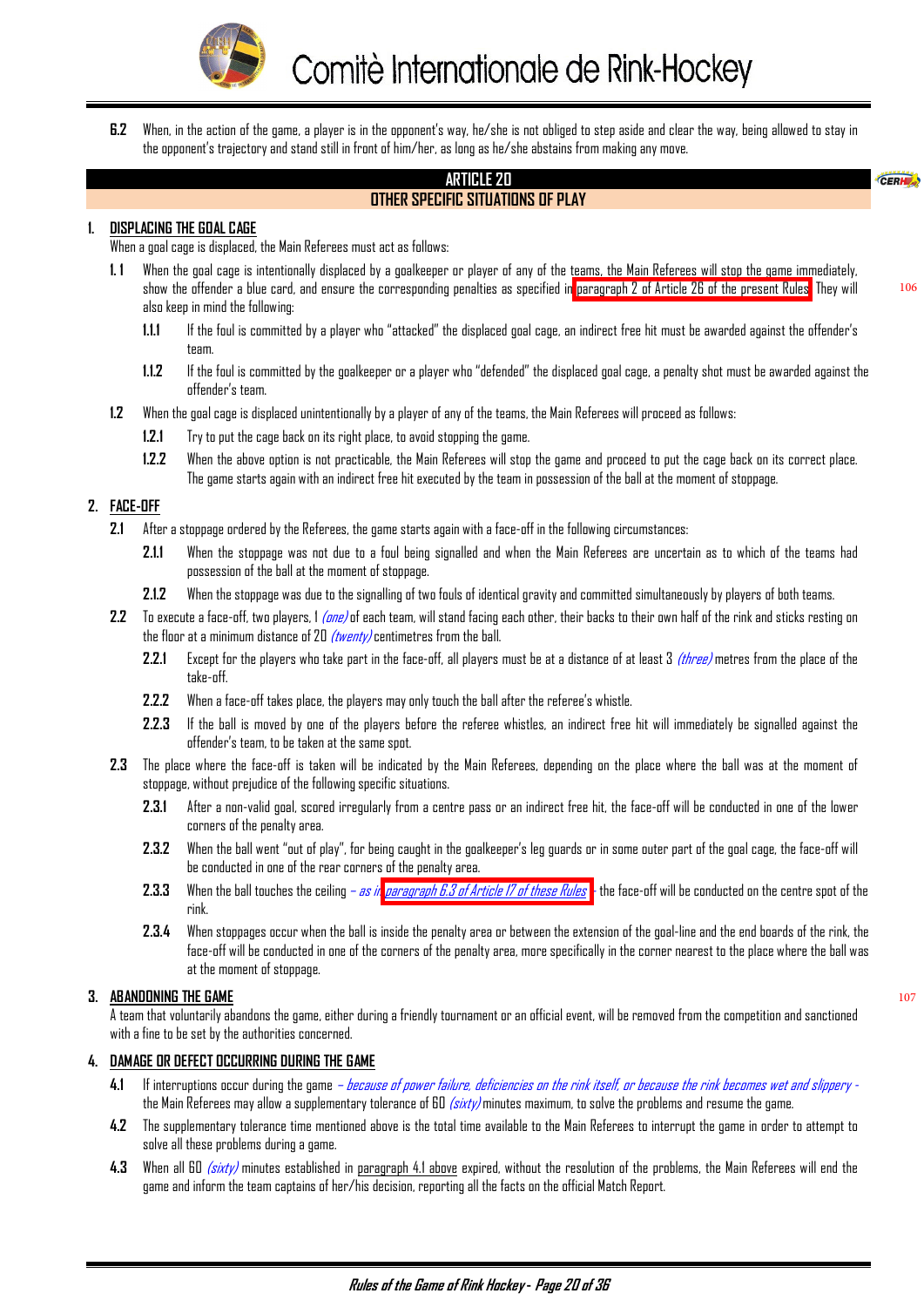

<span id="page-20-0"></span>**6.2** When, in the action of the game, a player is in the opponent's way, he/she is not obliged to step aside and clear the way, being allowed to stay in the opponent's trajectory and stand still in front of him/her, as long as he/she abstains from making any move.

#### **ARTICLE 20 OTHER SPECIFIC SITUATIONS OF PLAY**

#### **1. DISPLACING THE GOAL CAGE**

When a goal cage is displaced, the Main Referees must act as follows:

- **1. 1** When the goal cage is intentionally displaced by a goalkeeper or player of any of the teams, the Main Referees will stop the game immediately, show the offender a blue card, and ensure the corresponding penalties as specified in [paragraph 2 of Article 26 of the present Rules.](#page-28-0) They will also keep in mind the following:
	- **1.1.1** If the foul is committed by a player who "attacked" the displaced goal cage, an indirect free hit must be awarded against the offender's team.
	- **1.1.2** If the foul is committed by the goalkeeper or a player who "defended" the displaced goal cage, a penalty shot must be awarded against the offender's team.
- **1.2** When the goal cage is displaced unintentionally by a player of any of the teams, the Main Referees will proceed as follows:
	- **1.2.1** Try to put the cage back on its right place, to avoid stopping the game.
	- **1.2.2** When the above option is not practicable, the Main Referees will stop the game and proceed to put the cage back on its correct place. The game starts again with an indirect free hit executed by the team in possession of the ball at the moment of stoppage.

#### **2. FACE-OFF**

- **2.1** After a stoppage ordered by the Referees, the game starts again with a face-off in the following circumstances:
	- **2.1.1** When the stoppage was not due to a foul being signalled and when the Main Referees are uncertain as to which of the teams had possession of the ball at the moment of stoppage.
	- **2.1.2** When the stoppage was due to the signalling of two fouls of identical gravity and committed simultaneously by players of both teams.
- **2.2** To execute a face-off, two players, 1 (one) of each team, will stand facing each other, their backs to their own half of the rink and sticks resting on the floor at a minimum distance of 20  $(twenty)$  centimetres from the ball.
	- **2.2.1** Except for the players who take part in the face-off, all players must be at a distance of at least 3 *(three)* metres from the place of the take-off.
	- **2.2.2** When a face-off takes place, the players may only touch the ball after the referee's whistle.
	- **2.2.3** If the ball is moved by one of the players before the referee whistles, an indirect free hit will immediately be signalled against the offender's team, to be taken at the same spot.
- **2.3** The place where the face-off is taken will be indicated by the Main Referees, depending on the place where the ball was at the moment of stoppage, without prejudice of the following specific situations.
	- **2.3.1** After a non-valid goal, scored irregularly from a centre pass or an indirect free hit, the face-off will be conducted in one of the lower corners of the penalty area.
	- **2.3.2** When the ball went "out of play", for being caught in the goalkeeper's leg guards or in some outer part of the goal cage, the face-off will be conducted in one of the rear corners of the penalty area.
	- **2.3.3** When the ball touches the ceiling as in paragraph 6.3 [of Article 17 of these Rules](#page-18-0) the face-off will be conducted on the centre spot of the rink.
	- **2.3.4** When stoppages occur when the ball is inside the penalty area or between the extension of the goal-line and the end boards of the rink, the face-off will be conducted in one of the corners of the penalty area, more specifically in the corner nearest to the place where the ball was at the moment of stoppage.

#### **3. ABANDONING THE GAME**

A team that voluntarily abandons the game, either during a friendly tournament or an official event, will be removed from the competition and sanctioned with a fine to be set by the authorities concerned.

#### **4. DAMAGE OR DEFECT OCCURRING DURING THE GAME**

- **4.1** If interruptions occur during the game because of power failure, deficiencies on the rink itself, or because the rink becomes wet and slippery the Main Referees may allow a supplementary tolerance of 60 (sixty) minutes maximum, to solve the problems and resume the game.
- **4.2** The supplementary tolerance time mentioned above is the total time available to the Main Referees to interrupt the game in order to attempt to solve all these problems during a game.
- **4.3** When all 60 (sixty) minutes established in paragraph 4.1 above expired, without the resolution of the problems, the Main Referees will end the game and inform the team captains of her/his decision, reporting all the facts on the official Match Report.

CERH<sub>2</sub>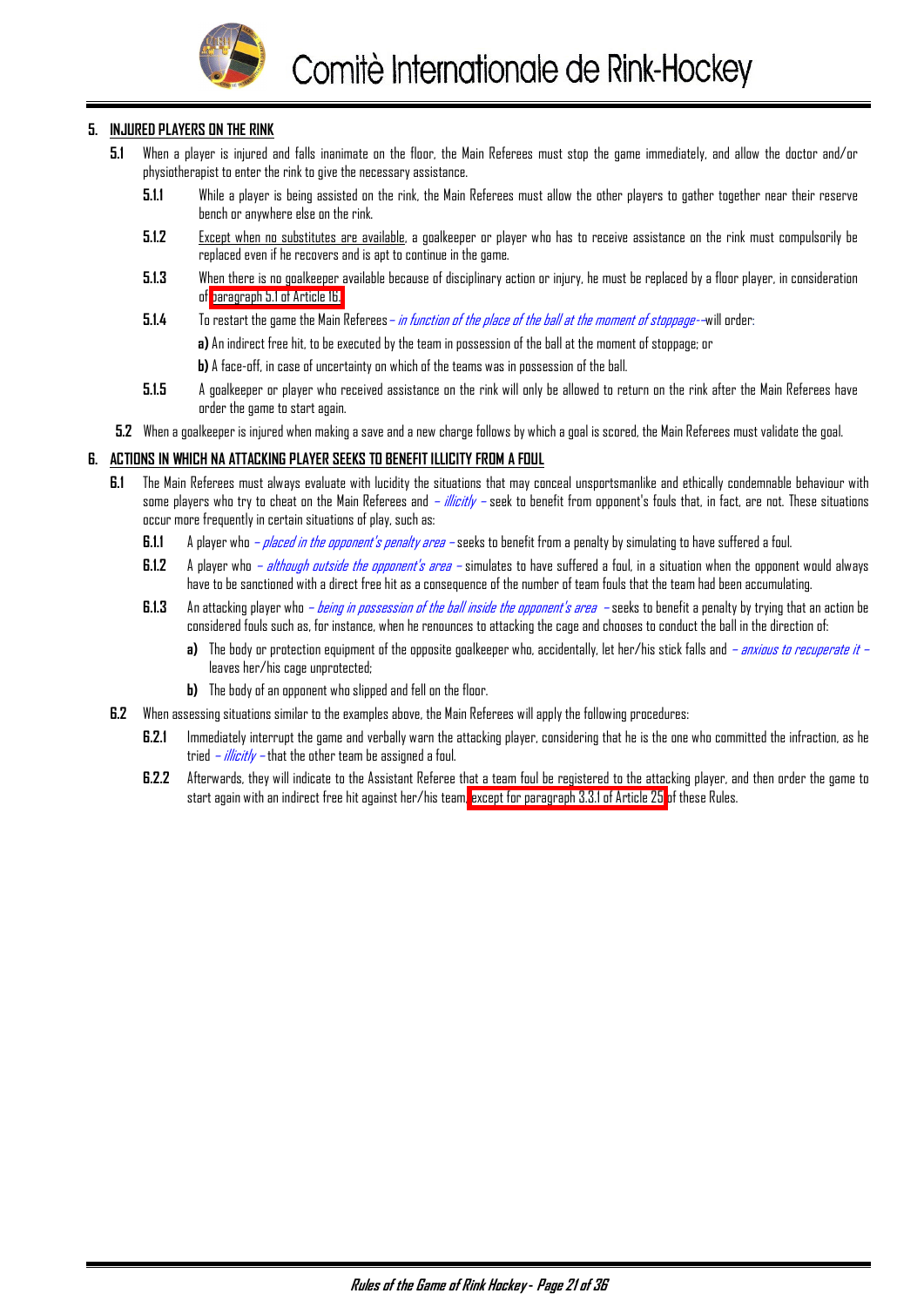

#### **5. INJURED PLAYERS ON THE RINK**

- **5.1** When a player is injured and falls inanimate on the floor, the Main Referees must stop the game immediately, and allow the doctor and/or physiotherapist to enter the rink to give the necessary assistance.
	- **5.1.1** While a player is being assisted on the rink, the Main Referees must allow the other players to gather together near their reserve bench or anywhere else on the rink.
	- **5.1.2** Except when no substitutes are available, a goalkeeper or player who has to receive assistance on the rink must compulsorily be replaced even if he recovers and is apt to continue in the game.
	- **5.1.3** When there is no goalkeeper available because of disciplinary action or injury, he must be replaced by a floor player, in consideration of [paragraph 5.1 of Article 16.](#page-16-0)
	- **5.1.4** To restart the game the Main Referees– in function of the place of the ball at the moment of stoppage-–will order:
		- **a)** An indirect free hit, to be executed by the team in possession of the ball at the moment of stoppage; or
		- **b)** A face-off, in case of uncertainty on which of the teams was in possession of the ball.
	- **5.1.5** A goalkeeper or player who received assistance on the rink will only be allowed to return on the rink after the Main Referees have order the game to start again.
- **5.2** When a goalkeeper is injured when making a save and a new charge follows by which a goal is scored, the Main Referees must validate the goal.

#### **6. ACTIONS IN WHICH NA ATTACKING PLAYER SEEKS TO BENEFIT ILLICITY FROM A FOUL**

- **6.1** The Main Referees must always evaluate with lucidity the situations that may conceal unsportsmanlike and ethically condemnable behaviour with some players who try to cheat on the Main Referees and – illicitly – seek to benefit from opponent's fouls that, in fact, are not. These situations occur more frequently in certain situations of play, such as:
	- **6.1.1** A player who  *placed in the opponent's penalty area* seeks to benefit from a penalty by simulating to have suffered a foul.
	- **6.1.2** A player who  *although outside the opponent's area* simulates to have suffered a foul, in a situation when the opponent would always have to be sanctioned with a direct free hit as a consequence of the number of team fouls that the team had been accumulating.
	- **6.1.3** An attacking player who  *being in possession of the ball inside the opponent's area* seeks to benefit a penalty by trying that an action be considered fouls such as, for instance, when he renounces to attacking the cage and chooses to conduct the ball in the direction of:
		- **a)** The body or protection equipment of the opposite goalkeeper who, accidentally, let her/his stick falls and  *anxious to recuperate it* leaves her/his cage unprotected;
		- **b)** The body of an opponent who slipped and fell on the floor.
- **6.2** When assessing situations similar to the examples above, the Main Referees will apply the following procedures:
	- **6.2.1** Immediately interrupt the game and verbally warn the attacking player, considering that he is the one who committed the infraction, as he tried  $-i$  *ilicitly* – that the other team be assigned a foul.
	- **6.2.2** Afterwards, they will indicate to the Assistant Referee that a team foul be registered to the attacking player, and then order the game to start again with an indirect free hit against her/his team, [except for paragraph 3.3.1 of Article 25](#page-27-0) of these Rules.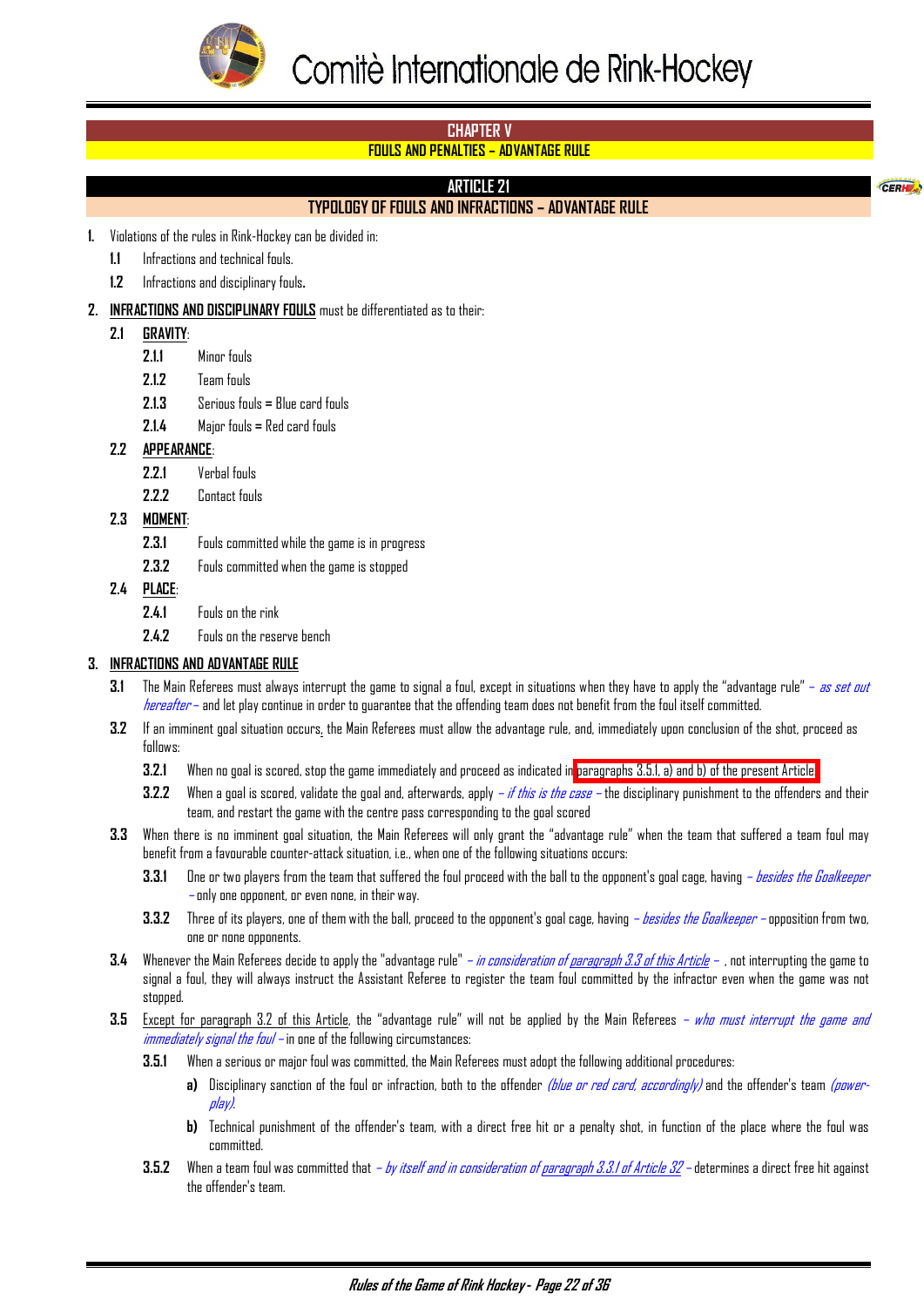<span id="page-22-0"></span>

CERH

# **CHAPTER V**

# **FOULS AND PENALTIES – ADVANTAGE RULE**

# **ARTICLE 21**

# **TYPOLOGY OF FOULS AND INFRACTIONS – ADVANTAGE RULE**

**1.** Violations of the rules in Rink-Hockey can be divided in:

- **1.1** Infractions and technical fouls.
- **1.2** Infractions and disciplinary fouls**.**
- **2. INFRACTIONS AND DISCIPLINARY FOULS** must be differentiated as to their:

#### **2.1 GRAVITY**:

- **2.1.1** Minor fouls
- **2.1.2** Team fouls
- **2.1.3** Serious fouls **=** Blue card fouls
- **2.1.4** Major fouls **=** Red card fouls

#### **2.2 APPEARANCE**:

- **2.2.1** Verbal fouls
- **2.2.2** Contact fouls
- **2.3 MOMENT**:
	- **2.3.1** Fouls committed while the game is in progress
	- **2.3.2** Fouls committed when the game is stopped
- **2.4 PLACE**:
	- **2.4.1** Fouls on the rink
	- **2.4.2** Fouls on the reserve bench

#### **3. INFRACTIONS AND ADVANTAGE RULE**

- **3.1** The Main Referees must always interrupt the game to signal a foul, except in situations when they have to apply the "advantage rule" as set out hereafter – and let play continue in order to guarantee that the offending team does not benefit from the foul itself committed.
- **3.2** If an imminent goal situation occurs, the Main Referees must allow the advantage rule, and, immediately upon conclusion of the shot, proceed as follows:
	- **3.2.1** When no goal is scored, stop the game immediately and proceed as indicated in paragraphs 3.5.1, a) and b) of the present Article.
	- **3.2.2** When a goal is scored, validate the goal and, afterwards, apply *if this is the case* the disciplinary punishment to the offenders and their team, and restart the game with the centre pass corresponding to the goal scored
- **3.3** When there is no imminent goal situation, the Main Referees will only grant the "advantage rule" when the team that suffered a team foul may benefit from a favourable counter-attack situation, i.e., when one of the following situations occurs:
	- **3.3.1** One or two players from the team that suffered the foul proceed with the ball to the opponent's goal cage, having besides the Goalkeeper – only one opponent, or even none, in their way.
	- **3.3.2** Three of its players, one of them with the ball, proceed to the opponent's goal cage, having besides the Goalkeeper opposition from two, one or none opponents.
- **3.4** Whenever the Main Referees decide to apply the "advantage rule" *in consideration of paragraph 3.3 of this Article* , not interrupting the game to signal a foul, they will always instruct the Assistant Referee to register the team foul committed by the infractor even when the game was not stopped
- **3.5** Except for paragraph 3.2 of this Article, the "advantage rule" will not be applied by the Main Referees who must interrupt the game and immediately signal the foul – in one of the following circumstances:
	- **3.5.1** When a serious or major foul was committed, the Main Referees must adopt the following additional procedures:
		- **a)** Disciplinary sanction of the foul or infraction, both to the offender *(blue or red card, accordingly)* and the offender's team *(power*play).
		- **b)** Technical punishment of the offender's team, with a direct free hit or a penalty shot, in function of the place where the foul was committed.
	- **3.5.2** When a team foul was committed that by itself and in consideration of paragraph 3.3.1 of Article 32 determines a direct free hit against the offender's team.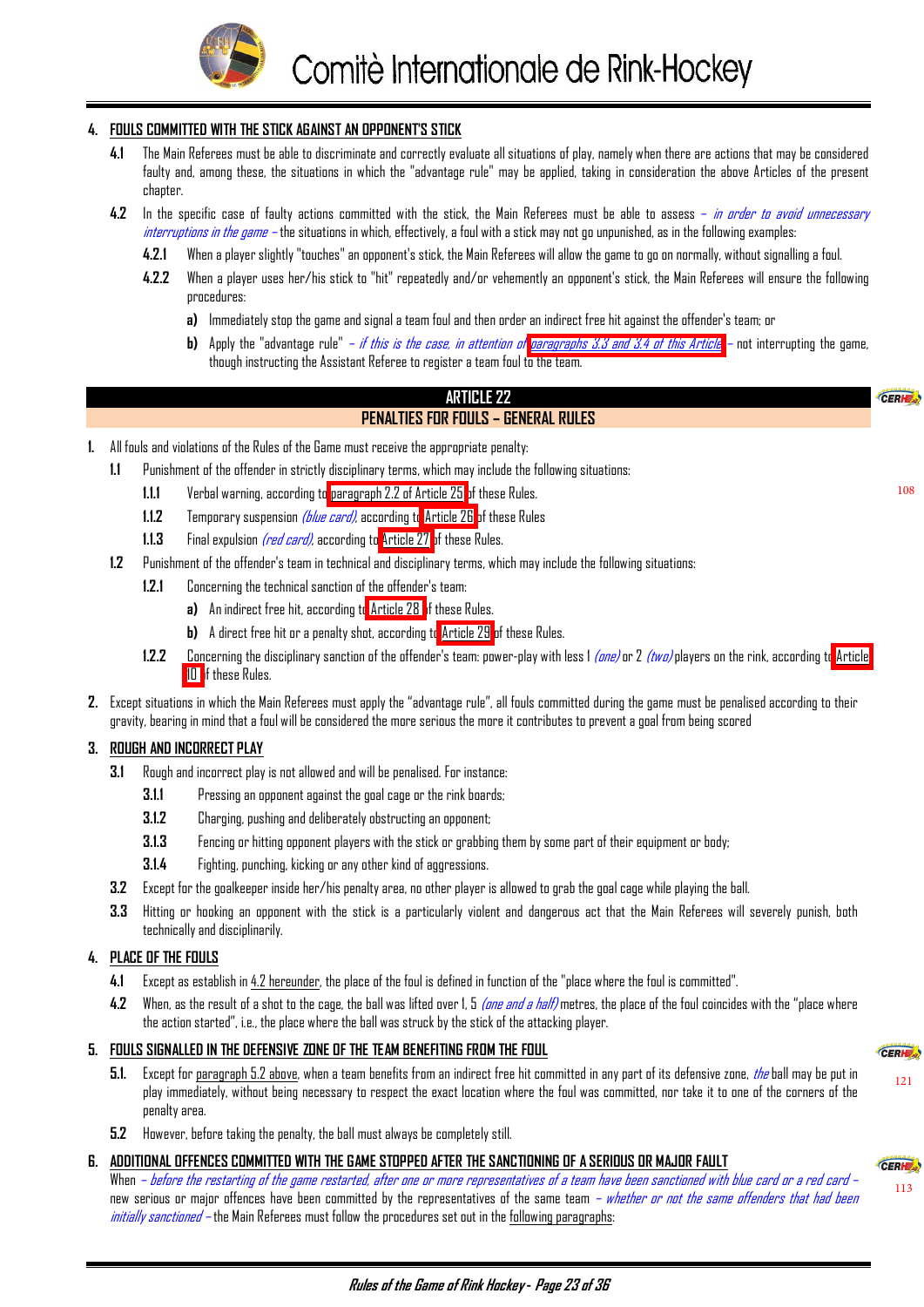

#### <span id="page-23-0"></span>**4. FOULS COMMITTED WITH THE STICK AGAINST AN OPPONENT'S STICK**

- **4.1** The Main Referees must be able to discriminate and correctly evaluate all situations of play, namely when there are actions that may be considered faulty and, among these, the situations in which the "advantage rule" may be applied, taking in consideration the above Articles of the present chapter.
- **4.2** In the specific case of faulty actions committed with the stick, the Main Referees must be able to assess in order to avoid unnecessary interruptions in the game – the situations in which, effectively, a foul with a stick may not go unpunished, as in the following examples:
	- **4.2.1** When a player slightly "touches" an opponent's stick, the Main Referees will allow the game to go on normally, without signalling a foul.
	- **4.2.2** When a player uses her/his stick to "hit" repeatedly and/or vehemently an opponent's stick, the Main Referees will ensure the following procedures:
		- **a)** Immediately stop the game and signal a team foul and then order an indirect free hit against the offender's team; or
		- **b)** Apply the "advantage rule" *i[f](#page-22-0) this is the case, in attention of paragraphs 3.3 and 3.4 of this Article* not interrupting the game, though instructing the Assistant Referee to register a team foul to the team.

#### **ARTICLE 22 PENALTIES FOR FOULS – GENERAL RULES**

- **1.** All fouls and violations of the Rules of the Game must receive the appropriate penalty:
	- Punishment of the offender in strictly disciplinary terms, which may include the following situations:
		- **1.1.1** Verbal warning, according to [paragraph 2.2 of Article 25 o](#page-27-0)f these Rules.
		- **1.1.2** Temporary suspension *(blue card)*, according to <u>Article 26</u> of these Rules
		- **1.1.3** Final expulsion *(red card)*, according to [Article 27 o](#page-29-0)f these Rules.
	- **1.2** Punishment of the offender's team in technical and disciplinary terms, which may include the following situations:
		- **1.2.1** Concerning the technical sanction of the offender's team:
			- **a)** An indirect free hit, according t[o Article 28 o](#page-30-0)f these Rules.
			- **b)** A direct free hit or a penalty shot, according t[o Article 29](#page-31-0) of these Rules.
		- **1.2.2** Concerning the disciplinary sanction of the offender's team: power-play with less 1 (one) or 2 (two) players on the rink, according t[o Article](#page-8-0)  [10 o](#page-8-0)f these Rules.
- **2.** Except situations in which the Main Referees must apply the "advantage rule", all fouls committed during the game must be penalised according to their gravity, bearing in mind that a foul will be considered the more serious the more it contributes to prevent a goal from being scored

#### **3. ROUGH AND INCORRECT PLAY**

- **3.1** Rough and incorrect play is not allowed and will be penalised. For instance:
	- **3.1.1** Pressing an opponent against the goal cage or the rink boards;
	- **3.1.2** Charging, pushing and deliberately obstructing an opponent;
	- **3.1.3** Fencing or hitting opponent players with the stick or grabbing them by some part of their equipment or body;
	- **3.1.4** Fighting, punching, kicking or any other kind of aggressions.
- **3.2** Except for the goalkeeper inside her/his penalty area, no other player is allowed to grab the goal cage while playing the ball.
- **3.3** Hitting or hooking an opponent with the stick is a particularly violent and dangerous act that the Main Referees will severely punish, both technically and disciplinarily.

#### **4. PLACE OF THE FOULS**

- **4.1** Except as establish in 4.2 hereunder, the place of the foul is defined in function of the "place where the foul is committed".
- **4.2** When, as the result of a shot to the cage, the ball was lifted over 1, 5 *(one and a half)* metres, the place of the foul coincides with the "place where the action started", i.e., the place where the ball was struck by the stick of the attacking player.

#### **5. FOULS SIGNALLED IN THE DEFENSIVE ZONE OF THE TEAM BENEFITING FROM THE FOUL**

- **5.1.** Except for paragraph 5.2 above, when a team benefits from an indirect free hit committed in any part of its defensive zone, the ball may be put in play immediately, without being necessary to respect the exact location where the foul was committed, nor take it to one of the corners of the penalty area.
- **5.2** However, before taking the penalty, the ball must always be completely still.

#### **6. ADDITIONAL OFFENCES COMMITTED WITH THE GAME STOPPED AFTER THE SANCTIONING OF A SERIOUS OR MAJOR FAULT**

When – before the restarting of the game restarted, after one or more representatives of a team have been sanctioned with blue card or a red card – new serious or major offences have been committed by the representatives of the same team *– whether or not the same offenders that had been* initially sanctioned – the Main Referees must follow the procedures set out in the following paragraphs:

[121](#page-30-0)

CEDLE

[113](#page-28-0)

108

CERH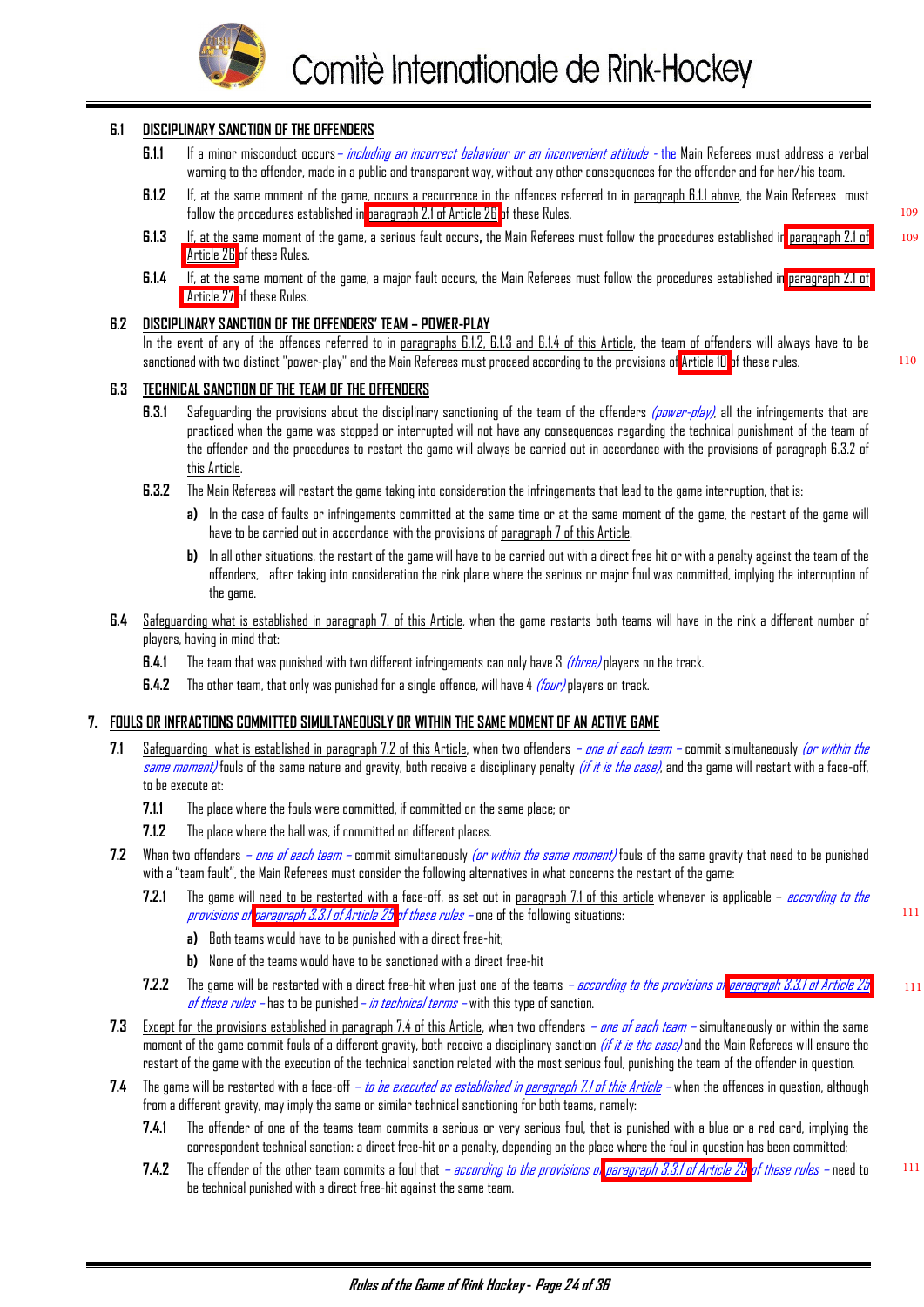

#### <span id="page-24-0"></span>**6.1 DISCIPLINARY SANCTION OF THE OFFENDERS**

- **6.1.1** If a minor misconduct occurs– including an incorrect behaviour or an inconvenient attitude the Main Referees must address a verbal warning to the offender, made in a public and transparent way, without any other consequences for the offender and for her/his team.
- **6.1.2** If, at the same moment of the game, occurs a recurrence in the offences referred to in paragraph 6.1.1 above, the Main Referees must follow the procedures established in [paragraph 2.1 of Article 26](#page-28-0) of these Rules.
- **6.1.3** If, at the same moment of the game, a serious fault occurs**,** the Main Referees must follow the procedures established in [paragraph 2.1 of](#page-28-0)  [Article 26](#page-28-0) of these Rules. 109
- **6.1.4** If, at the same moment of the game, a major fault occurs, the Main Referees must follow the procedures established in [paragraph 2.1 of](#page-29-0)  [Article 27](#page-29-0) of these Rules.

#### **6.2 DISCIPLINARY SANCTION OF THE OFFENDERS' TEAM – POWER-PLAY**

In the event of any of the offences referred to in paragraphs 6.1.2, 6.1.3 and 6.1.4 of this Article, the team of offenders will always have to be sanctioned with two distinct "power-play" and the Main Referees must proceed according to the provisions of [Article 10](#page-8-0) of these rules.

#### **6.3 TECHNICAL SANCTION OF THE TEAM OF THE OFFENDERS**

- **6.3.1** Safeguarding the provisions about the disciplinary sanctioning of the team of the offenders (power-play), all the infringements that are practiced when the game was stopped or interrupted will not have any consequences regarding the technical punishment of the team of the offender and the procedures to restart the game will always be carried out in accordance with the provisions of paragraph 6.3.2 of this Article.
- **6.3.2** The Main Referees will restart the game taking into consideration the infringements that lead to the game interruption, that is:
	- **a)** In the case of faults or infringements committed at the same time or at the same moment of the game, the restart of the game will have to be carried out in accordance with the provisions of paragraph 7 of this Article.
	- **b)** In all other situations, the restart of the game will have to be carried out with a direct free hit or with a penalty against the team of the offenders, after taking into consideration the rink place where the serious or major foul was committed, implying the interruption of the game.
- **6.4** Safeguarding what is established in paragraph 7. of this Article, when the game restarts both teams will have in the rink a different number of players, having in mind that:
	- **6.4.1** The team that was punished with two different infringements can only have 3 *(three)* players on the track.
	- **6.4.2** The other team, that only was punished for a single offence, will have 4 *(four)* players on track.

#### **7. FOULS OR INFRACTIONS COMMITTED SIMULTANEOUSLY OR WITHIN THE SAME MOMENT OF AN ACTIVE GAME**

- 7.1 Safeguarding what is established in paragraph 7.2 of this Article, when two offenders *one of each team* commit simultaneously *(or within the* same moment) fouls of the same nature and gravity, both receive a disciplinary penalty (if it is the case), and the game will restart with a face-off, to be execute at:
	- **7.1.1** The place where the fouls were committed, if committed on the same place; or
	- **7.1.2** The place where the ball was, if committed on different places.
- **7.2** When two offenders one of each team commit simultaneously (or within the same moment) fouls of the same gravity that need to be punished with a "team fault", the Main Referees must consider the following alternatives in what concerns the restart of the game:
	- **7.2.1** The game will need to be restarted with a face-off, as set out in paragraph 7.1 of this article whenever is applicable according to the provisions of [paragraph 3.3.1 of Article 25](#page-27-0) of these rules – one of the following situations:
		- **a)** Both teams would have to be punished with a direct free-hit;
		- **b)** None of the teams would have to be sanctioned with a direct free-hit
	- **7.2.2** The game will be restarted with a direct free-hit when just one of the teams according to the provisions o[f paragraph 3.3.1 of Article 25](#page-27-0)  of these rules – has to be punished – in technical terms – with this type of sanction.
- 7.3 Except for the provisions established in paragraph 7.4 of this Article, when two offenders  *one of each team* simultaneously or within the same moment of the game commit fouls of a different gravity, both receive a disciplinary sanction *(if it is the case)* and the Main Referees will ensure the restart of the game with the execution of the technical sanction related with the most serious foul, punishing the team of the offender in question.
- **7.4** The game will be restarted with a face-off to be executed as established in paragraph 7.1 of this Article when the offences in question, although from a different gravity, may imply the same or similar technical sanctioning for both teams, namely:
	- **7.4.1** The offender of one of the teams team commits a serious or very serious foul, that is punished with a blue or a red card, implying the correspondent technical sanction: a direct free-hit or a penalty, depending on the place where the foul in question has been committed;
	- **7.4.2** The offender of the other team commits a foul that according to the provisions o[f paragraph 3.3.1 of Article 25](#page-27-0) of these rules need to be technical punished with a direct free-hit against the same team.

111

111

111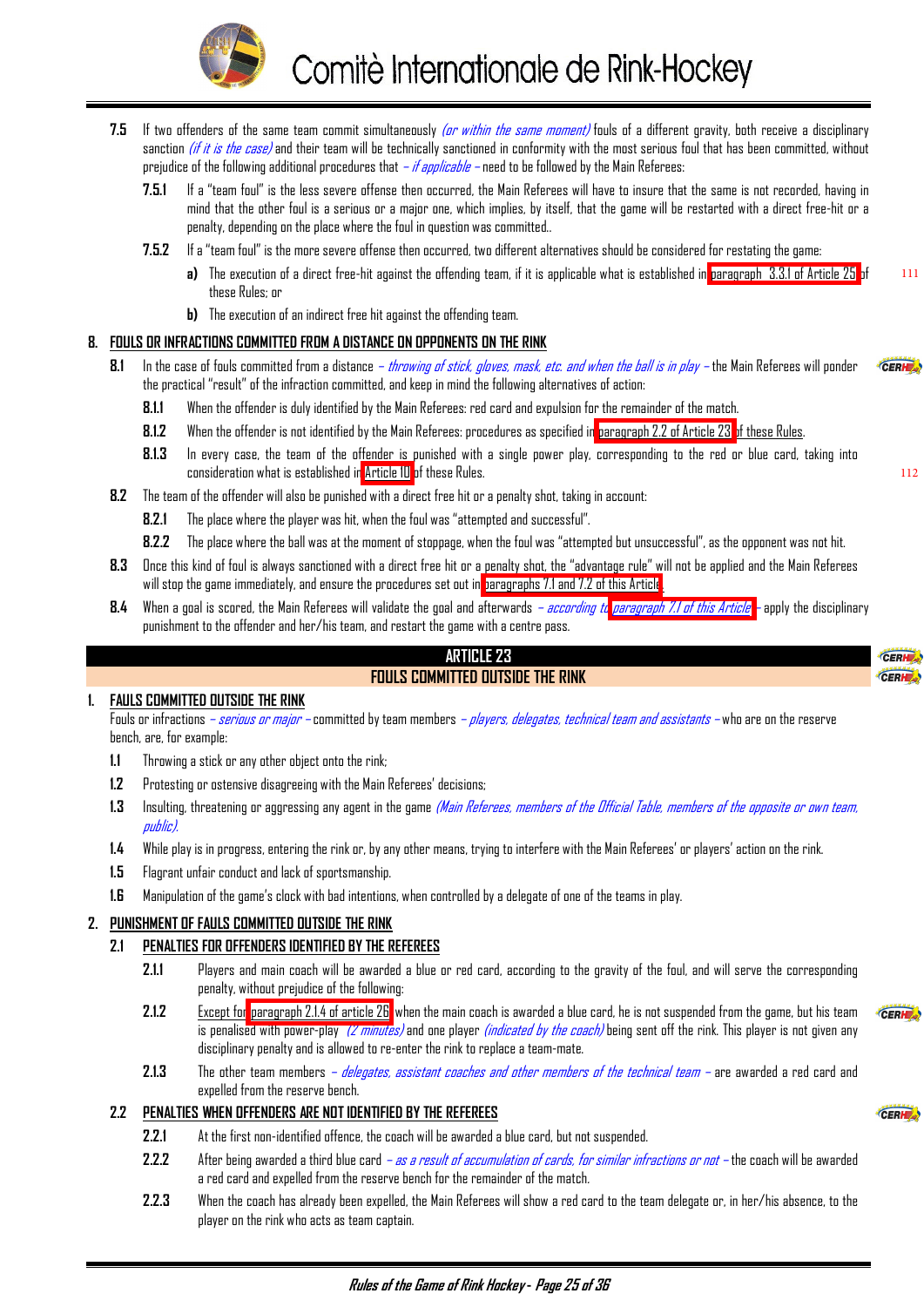

- <span id="page-25-0"></span>**7.5** If two offenders of the same team commit simultaneously (or within the same moment) fouls of a different gravity, both receive a disciplinary sanction (if it is the case) and their team will be technically sanctioned in conformity with the most serious foul that has been committed, without prejudice of the following additional procedures that  $-i f$  applicable – need to be followed by the Main Referees:
	- **7.5.1** If a "team foul" is the less severe offense then occurred, the Main Referees will have to insure that the same is not recorded, having in mind that the other foul is a serious or a major one, which implies, by itself, that the game will be restarted with a direct free-hit or a penalty, depending on the place where the foul in question was committed..
	- **7.5.2** If a "team foul" is the more severe offense then occurred, two different alternatives should be considered for restating the game:
		- **a)** The execution of a direct free-hit against the offending team, if it is applicable what is established in [paragraph 3.3.1 of Article 25](#page-27-0) of these Rules; or
		- **b)** The execution of an indirect free hit against the offending team.

#### **8. FOULS OR INFRACTIONS COMMITTED FROM A DISTANCE ON OPPONENTS ON THE RINK**

- **8.1** In the case of fouls committed from a distance throwing of stick, gloves, mask, etc. and when the ball is in play the Main Referees will ponder CERHE the practical "result" of the infraction committed, and keep in mind the following alternatives of action:
	- **8.1.1** When the offender is duly identified by the Main Referees: red card and expulsion for the remainder of the match.
	- **8.1.2** When the offender is not identified by the Main Referees: procedures as specified in paragraph 2.2 of Article 23 of these Rules.
	- **8.1.3** In every case, the team of the offender is punished with a single power play, corresponding to the red or blue card, taking into consideration what is established in [Article 10](#page-8-0) of these Rules.
- **8.2** The team of the offender will also be punished with a direct free hit or a penalty shot, taking in account:
	- **8.2.1** The place where the player was hit, when the foul was "attempted and successful".
	- **8.2.2** The place where the ball was at the moment of stoppage, when the foul was "attempted but unsuccessful", as the opponent was not hit.
- **8.3** Once this kind of foul is always sanctioned with a direct free hit or a penalty shot, the "advantage rule" will not be applied and the Main Referees will stop the game immediately, and ensure the procedures set out in [paragraphs 7.1 and 7.2 of this Article](#page-24-0).
- **8.4** When a goal is scored, the Main Referees will validate the goal and afterwards according t[o paragraph 7.1 of this Article](#page-24-0)  apply the disciplinary punishment to the offender and her/his team, and restart the game with a centre pass.

#### **ARTICLE 23**

#### **FOULS COMMITTED OUTSIDE THE RINK**

#### **1. FAULS COMMITTED OUTSIDE THE RINK**

Fouls or infractions *– serious or major –* committed by team members *– players, delegates, technical team and assistants –* who are on the reserve bench, are, for example:

- **1.1** Throwing a stick or any other object onto the rink;
- **1.2** Protesting or ostensive disagreeing with the Main Referees' decisions;
- **1.3** Insulting, threatening or aggressing any agent in the game (Main Referees, members of the Official Table, members of the opposite or own team, public).
- **1.4** While play is in progress, entering the rink or, by any other means, trying to interfere with the Main Referees' or players' action on the rink.
- **1.5** Flagrant unfair conduct and lack of sportsmanship.
- **1.6** Manipulation of the game's clock with bad intentions, when controlled by a delegate of one of the teams in play.

#### **2. PUNISHMENT OF FAULS COMMITTED OUTSIDE THE RINK**

#### **2.1 PENALTIES FOR OFFENDERS IDENTIFIED BY THE REFEREES**

- **2.1.1** Players and main coach will be awarded a blue or red card, according to the gravity of the foul, and will serve the corresponding penalty, without prejudice of the following:
- **2.1.2** Except for [paragraph 2.1.4 of article 26,](#page-28-0) when the main coach is awarded a blue card, he is not suspended from the game, but his team is penalised with power-play (2 minutes) and one player *(indicated by the coach)* being sent off the rink. This player is not given any disciplinary penalty and is allowed to re-enter the rink to replace a team-mate.
- **2.1.3** The other team members delegates, assistant coaches and other members of the technical team are awarded a red card and expelled from the reserve bench.

#### **2.2 PENALTIES WHEN OFFENDERS ARE NOT IDENTIFIED BY THE REFEREES**

- **2.2.1** At the first non-identified offence, the coach will be awarded a blue card, but not suspended.
- **2.2.2** After being awarded a third blue card as a result of accumulation of cards, for similar infractions or not the coach will be awarded a red card and expelled from the reserve bench for the remainder of the match.
- **2.2.3** When the coach has already been expelled, the Main Referees will show a red card to the team delegate or, in her/his absence, to the player on the rink who acts as team captain.

CERH

111

112

CERI CERL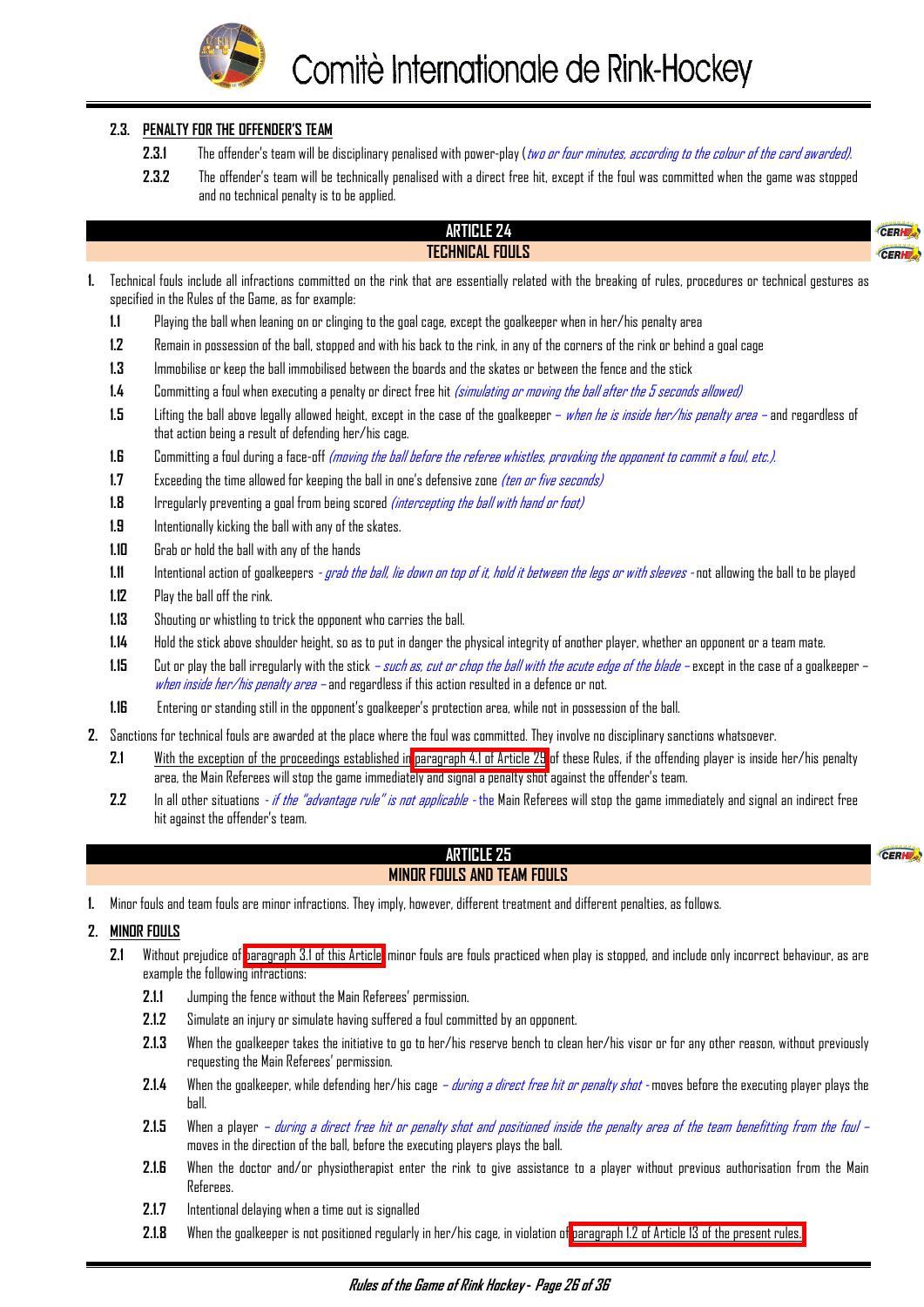

#### <span id="page-26-0"></span>**2.3. PENALTY FOR THE OFFENDER'S TEAM**

- **2.3.1** The offender's team will be disciplinary penalised with power-play (two or four minutes, according to the colour of the card awarded).
- **2.3.2** The offender's team will be technically penalised with a direct free hit, except if the foul was committed when the game was stopped and no technical penalty is to be applied.

#### **ARTICLE 24 TECHNICAL FOULS**

CERH

CERHE

- **1.** Technical fouls include all infractions committed on the rink that are essentially related with the breaking of rules, procedures or technical gestures as specified in the Rules of the Game, as for example:
	- **1.1** Playing the ball when leaning on or clinging to the goal cage, except the goalkeeper when in her/his penalty area
	- **1.2** Remain in possession of the ball, stopped and with his back to the rink, in any of the corners of the rink or behind a goal cage
	- **1.3** Immobilise or keep the ball immobilised between the boards and the skates or between the fence and the stick
	- **1.4** Committing a foul when executing a penalty or direct free hit (simulating or moving the ball after the 5 seconds allowed)
	- **1.5** Lifting the ball above legally allowed height, except in the case of the goalkeeper when he is inside her/his penalty area and regardless of that action being a result of defending her/his cage.
	- **1.6** Committing a foul during a face-off (moving the ball before the referee whistles, provoking the opponent to commit a foul, etc.).
	- **1.7** Exceeding the time allowed for keeping the ball in one's defensive zone *(ten or five seconds)*
	- **1.8** Irregularly preventing a goal from being scored *(intercepting the ball with hand or foot)*
	- **1.9** Intentionally kicking the ball with any of the skates.
	- **1.10** Grab or hold the ball with any of the hands
	- **1.11** Intentional action of goalkeepers grab the ball, lie down on top of it, hold it between the legs or with sleeves not allowing the ball to be played
	- **1.12** Play the ball off the rink.
	- **1.13** Shouting or whistling to trick the opponent who carries the ball.
	- **1.14** Hold the stick above shoulder height, so as to put in danger the physical integrity of another player, whether an opponent or a team mate.
	- **1.15** Cut or play the ball irregularly with the stick such as, cut or chop the ball with the acute edge of the blade except in the case of a goalkeeper when inside her/his penalty area – and regardless if this action resulted in a defence or not.
	- **1.16** Entering or standing still in the opponent's goalkeeper's protection area, while not in possession of the ball.
- **2.** Sanctions for technical fouls are awarded at the place where the foul was committed. They involve no disciplinary sanctions whatsoever.
	- **2.1** With the exception of the proceedings established in [paragraph 4.1 of Article 29](#page-32-0) of these Rules, if the offending player is inside her/his penalty area, the Main Referees will stop the game immediately and signal a penalty shot against the offender's team.
	- **2.2** In all other situations if the "advantage rule" is not applicable the Main Referees will stop the game immediately and signal an indirect free hit against the offender's team.

#### **ARTICLE 25 MINOR FOULS AND TEAM FOULS**

**1.** Minor fouls and team fouls are minor infractions. They imply, however, different treatment and different penalties, as follows.

#### **2. MINOR FOULS**

- **2.1** Without prejudice of [paragraph 3.1 of this Article,](#page-27-0) minor fouls are fouls practiced when play is stopped, and include only incorrect behaviour, as are example the following infractions:
	- **2.1.1** Jumping the fence without the Main Referees' permission.
	- **2.1.2** Simulate an injury or simulate having suffered a foul committed by an opponent.
	- **2.1.3** When the goalkeeper takes the initiative to go to her/his reserve bench to clean her/his visor or for any other reason, without previously requesting the Main Referees' permission.
	- **2.1.4** When the goalkeeper, while defending her/his cage during a direct free hit or penalty shot moves before the executing player plays the ball.
	- **2.1.5** When a player during a direct free hit or penalty shot and positioned inside the penalty area of the team benefitting from the foul moves in the direction of the ball, before the executing players plays the ball.
	- **2.1.6** When the doctor and/or physiotherapist enter the rink to give assistance to a player without previous authorisation from the Main Referees.
	- **2.1.7** Intentional delaying when a time out is signalled
	- **2.1.8** When the goalkeeper is not positioned regularly in her/his cage, in violation of [paragraph 1.2 of Article 13 of the present rules.](#page-13-0)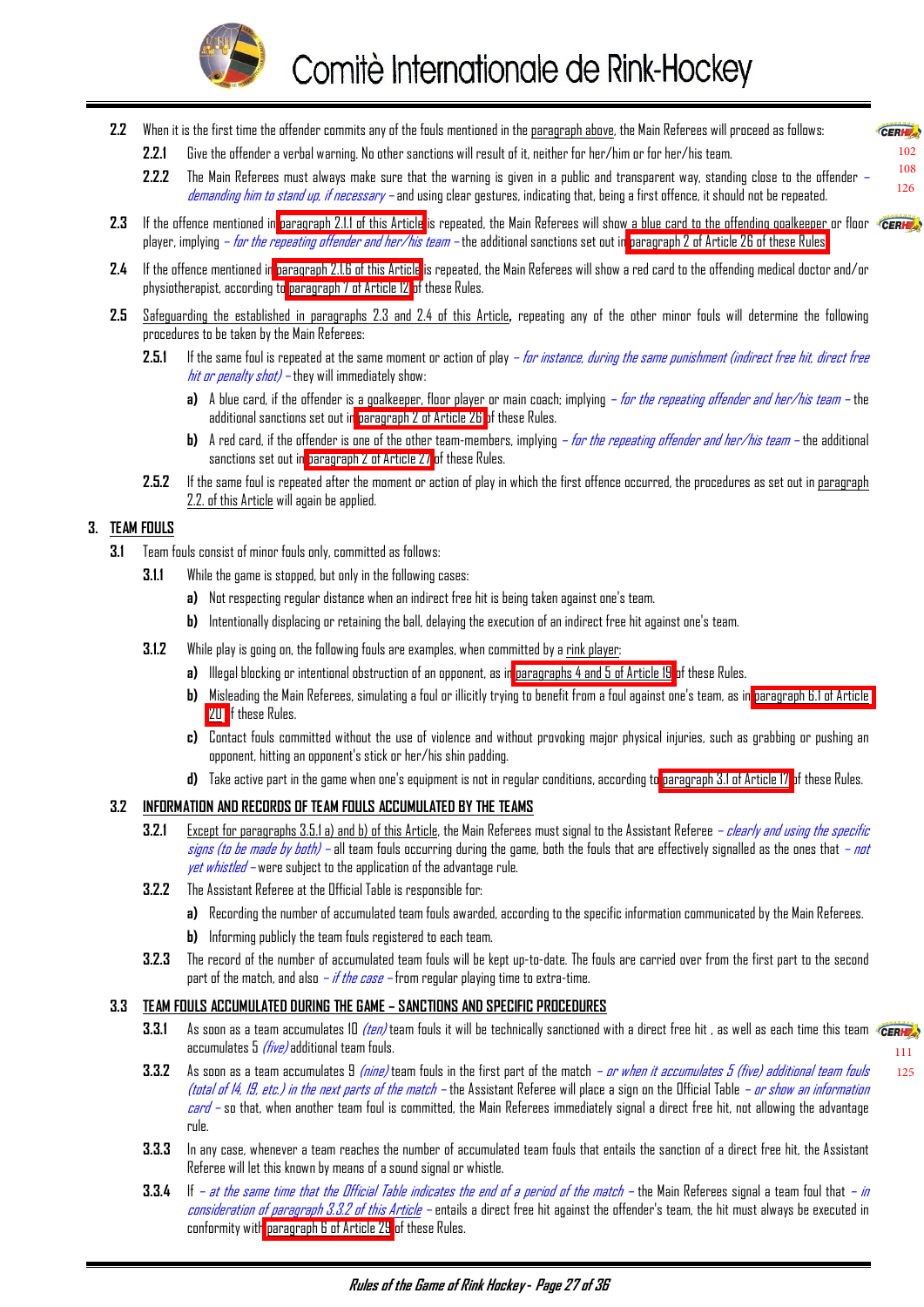

- <span id="page-27-0"></span>**2.2** When it is the first time the offender commits any of the fouls mentioned in the paragraph above, the Main Referees will proceed as follows:
	- **2.2.1** Give the offender a verbal warning. No other sanctions will result of it, neither for her/him or for her/his team.
	- **2.2.2** The Main Referees must always make sure that the warning is given in a public and transparent way, standing close to the offender demanding him to stand up, if necessary - and using clear gestures, indicating that, being a first offence, it should not be repeated.
- 2.3 If the offence mentioned in [paragraph 2.1.1 of this Article](#page-26-0) is repeated, the Main Referees will show a blue card to the offending goalkeeper or floor *CERH* player, implying *– for the repeating offender and her/his team* – the additional sanctions set out in [paragraph 2 of Article 26 of these Rules.](#page-28-0)
- **2.4** If the offence mentioned in [paragraph 2.1.6 of this Article](#page-26-0) is repeated, the Main Referees will show a red card to the offending medical doctor and/or physiotherapist, according to [paragraph 7 of Article 12](#page-13-0) of these Rules.
- **2.5** Safeguarding the established in paragraphs 2.3 and 2.4 of this Article**,** repeating any of the other minor fouls will determine the following procedures to be taken by the Main Referees:
	- **2.5.1** If the same foul is repeated at the same moment or action of play *for instance, during the same punishment (indirect free hit, direct free* hit or penalty shot) – they will immediately show:
		- **a)** A blue card, if the offender is a goalkeeper, floor player or main coach; implying for the repeating offender and her/his team the additional sanctions set out in [paragraph 2 of Article 26 o](#page-28-0)f these Rules.
		- **b)** A red card, if the offender is one of the other team-members, implying for the repeating offender and her/his team the additional sanctions set out in [paragraph 2 of Article 27](#page-29-0) of these Rules.
	- **2.5.2** If the same foul is repeated after the moment or action of play in which the first offence occurred, the procedures as set out in paragraph 2.2. of this Article will again be applied.

#### **3. TEAM FOULS**

- **3.1** Team fouls consist of minor fouls only, committed as follows:
	- **3.1.1** While the game is stopped, but only in the following cases:
		- **a)** Not respecting regular distance when an indirect free hit is being taken against one's team.
		- **b)** Intentionally displacing or retaining the ball, delaying the execution of an indirect free hit against one's team.
	- **3.1.2** While play is going on, the following fouls are examples, when committed by a rink player:
		- **a)** Illegal blocking or intentional obstruction of an opponent, as in [paragraphs 4 and 5 of Article 19](#page-19-0) of these Rules.
		- **b)** Misleading the Main Referees, simulating a foul or illicitly trying to benefit from a foul against one's team, as in [paragraph 6.1 of Article](#page-20-0) [20 o](#page-20-0)f these Rules.
		- **c)** Contact fouls committed without the use of violence and without provoking major physical injuries, such as grabbing or pushing an opponent, hitting an opponent's stick or her/his shin padding.
		- **d)** Take active part in the game when one's equipment is not in regular conditions, according to [paragraph 3.1 of Article 17](#page-17-0) of these Rules.

#### **3.2 INFORMATION AND RECORDS OF TEAM FOULS ACCUMULATED BY THE TEAMS**

- **3.2.1** Except for paragraphs 3.5.1 a) and b) of this Article, the Main Referees must signal to the Assistant Referee  *clearly and using the specific* signs (to be made by both) – all team fouls occurring during the game, both the fouls that are effectively signalled as the ones that *– not yet whistled* – were subject to the application of the advantage rule.
- **3.2.2** The Assistant Referee at the Official Table is responsible for:
	- **a)** Recording the number of accumulated team fouls awarded, according to the specific information communicated by the Main Referees.
	- **b)** Informing publicly the team fouls registered to each team.
- **3.2.3** The record of the number of accumulated team fouls will be kept up-to-date. The fouls are carried over from the first part to the second part of the match, and also *– if the case –* from regular playing time to extra-time.

#### **3.3 TEAM FOULS ACCUMULATED DURING THE GAME – SANCTIONS AND SPECIFIC PROCEDURES**

- **3.3.1** As soon as a team accumulates 10 *(ten)* team fouls it will be technically sanctioned with a direct free hit , as well as each time this team (CERH). accumulates 5 *(five)* additional team fouls. [111](#page-24-0)
- **3.3.2** As soon as a team accumulates 9 (nine) team fouls in the first part of the match or when it accumulates 5 (five) additional team fouls (total of 14, 19, etc.) in the next parts of the match – the Assistant Referee will place a sign on the Official Table *– or show an information* card – so that, when another team foul is committed, the Main Referees immediately signal a direct free hit, not allowing the advantage rule.
- **3.3.3** In any case, whenever a team reaches the number of accumulated team fouls that entails the sanction of a direct free hit, the Assistant Referee will let this known by means of a sound signal or whistle.
- **3.3.4** If  *at the same time that the Official Table indicates the end of a period of the match the Main Referees signal a team foul that <i>- in* consideration of paragraph 3.3.2 of this Article – entails a direct free hit against the offender's team, the hit must always be executed in conformity wit[h paragraph 6 of Article 29](#page-34-0) of these Rules.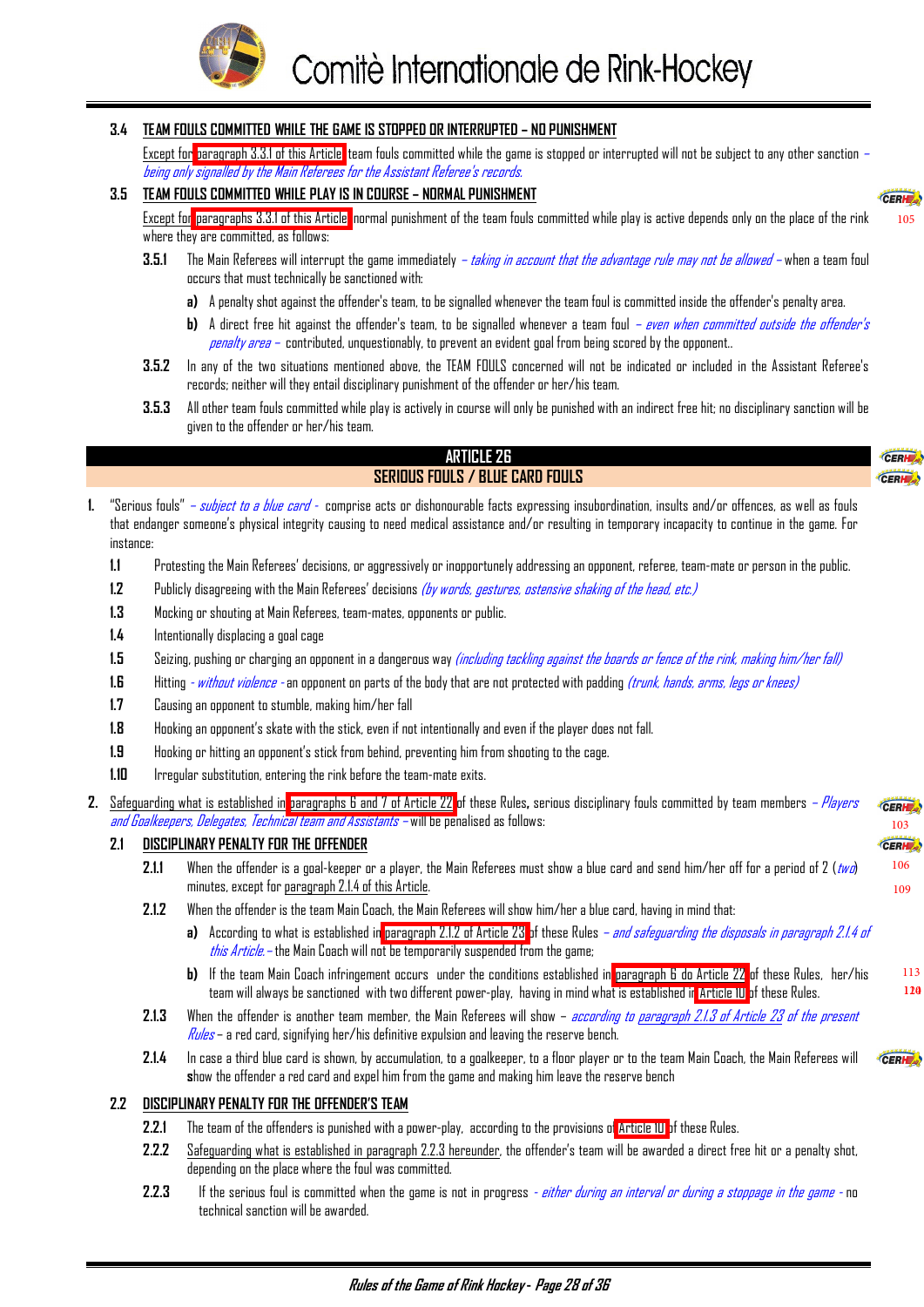

# <span id="page-28-0"></span>**3.4 TEAM FOULS COMMITTED WHILE THE GAME IS STOPPED OR INTERRUPTED – NO PUNISHMENT**

Except for [paragraph 3.3.1 of this Article,](#page-27-0) team fouls committed while the game is stopped or interrupted will not be subject to any other sanction – being only signalled by the Main Referees for the Assistant Referee's records.

#### **3.5 TEAM FOULS COMMITTED WHILE PLAY IS IN COURSE – NORMAL PUNISHMENT**

Except for [paragraphs 3.3.1 of this Article,](#page-27-0) normal punishment of the team fouls committed while play is active depends only on the place of the rink where they are committed, as follows:

- **3.5.1** The Main Referees will interrupt the game immediately taking in account that the advantage rule may not be allowed when a team foul occurs that must technically be sanctioned with:
	- **a)** A penalty shot against the offender's team, to be signalled whenever the team foul is committed inside the offender's penalty area.
	- **b)** A direct free hit against the offender's team, to be signalled whenever a team foul even when committed outside the offender's penalty area – contributed, unquestionably, to prevent an evident goal from being scored by the opponent..
- **3.5.2** In any of the two situations mentioned above, the TEAM FOULS concerned will not be indicated or included in the Assistant Referee's records; neither will they entail disciplinary punishment of the offender or her/his team.
- **3.5.3** All other team fouls committed while play is actively in course will only be punished with an indirect free hit; no disciplinary sanction will be given to the offender or her/his team.

#### **ARTICLE 26 SERIOUS FOULS / BLUE CARD FOULS**

CERH CERHE ..

> [106](#page-20-0) [109](#page-24-0)

CERHE

113 120

[105](#page-19-0)

CERH

- **1.** "Serious fouls" subject to a blue card comprise acts or dishonourable facts expressing insubordination, insults and/or offences, as well as fouls that endanger someone's physical integrity causing to need medical assistance and/or resulting in temporary incapacity to continue in the game. For instance:
	- **1.1** Protesting the Main Referees' decisions, or aggressively or inopportunely addressing an opponent, referee, team-mate or person in the public.
	- **1.2** Publicly disagreeing with the Main Referees' decisions (by words, gestures, ostensive shaking of the head, etc.)
	- **1.3** Mocking or shouting at Main Referees, team-mates, opponents or public.
	- **1.4** Intentionally displacing a goal cage
	- **1.5** Seizing, pushing or charging an opponent in a dangerous way (including tackling against the boards or fence of the rink, making him/her fall)
	- **1.6** Hitting without violence an opponent on parts of the body that are not protected with padding (trunk, hands, arms, legs or knees)
	- **1.7** Causing an opponent to stumble, making him/her fall
	- **1.8** Hooking an opponent's skate with the stick, even if not intentionally and even if the player does not fall.
	- **1.9** Hooking or hitting an opponent's stick from behind, preventing him from shooting to the cage.
	- **1.10** Irregular substitution, entering the rink before the team-mate exits.
- **2.** Safeguarding what is established in [paragraphs 6 and 7 of Article 22](#page-23-0) of these Rules**,** serious disciplinary fouls committed by team members Players CERH and Goalkeepers, Delegates, Technical team and Assistants – will be penalised as follows: [103](#page-17-0)

#### **2.1 DISCIPLINARY PENALTY FOR THE OFFENDER**

- **2.1.1** When the offender is a goal-keeper or a player, the Main Referees must show a blue card and send him/her off for a period of 2 (two) minutes, except for paragraph 2.1.4 of this Article.
- **2.1.2** When the offender is the team Main Coach, the Main Referees will show him/her a blue card, having in mind that:
	- **a)** According to what is established in [paragraph 2.1.2 of Article 23](#page-25-0) of these Rules *and safeguarding the disposals in paragraph 2.1.4 of this Article.* – the Main Coach will not be temporarily suspended from the game;
	- **b)** If the team Main Coach infringement occurs under the conditions established in [paragraph 6 do Article 22](#page-23-0) of these Rules, her/his team will always be sanctioned with two different power-play, having in mind what is established i[n Article 10](#page-8-0) of these Rules.
- **2.1.3** When the offender is another team member, the Main Referees will show according to paragraph 2.1.3 of Article 23 of the present  $Rules$  – a red card, signifying her/his definitive expulsion and leaving the reserve bench.
- **2.1.4** In case a third blue card is shown, by accumulation, to a goalkeeper, to a floor player or to the team Main Coach, the Main Referees will CERH<sub>2</sub> **s**how the offender a red card and expel him from the game and making him leave the reserve bench

#### **2.2 DISCIPLINARY PENALTY FOR THE OFFENDER'S TEAM**

- **2.2.1** The team of the offenders is punished with a power-play, according to the provisions o[f Article 10](#page-8-0) of these Rules.
- **2.2.2** Safeguarding what is established in paragraph 2.2.3 hereunder, the offender's team will be awarded a direct free hit or a penalty shot, depending on the place where the foul was committed.
- 2.2.3 If the serious foul is committed when the game is not in progress  *either during an interval or during a stoppage in the game -* no technical sanction will be awarded.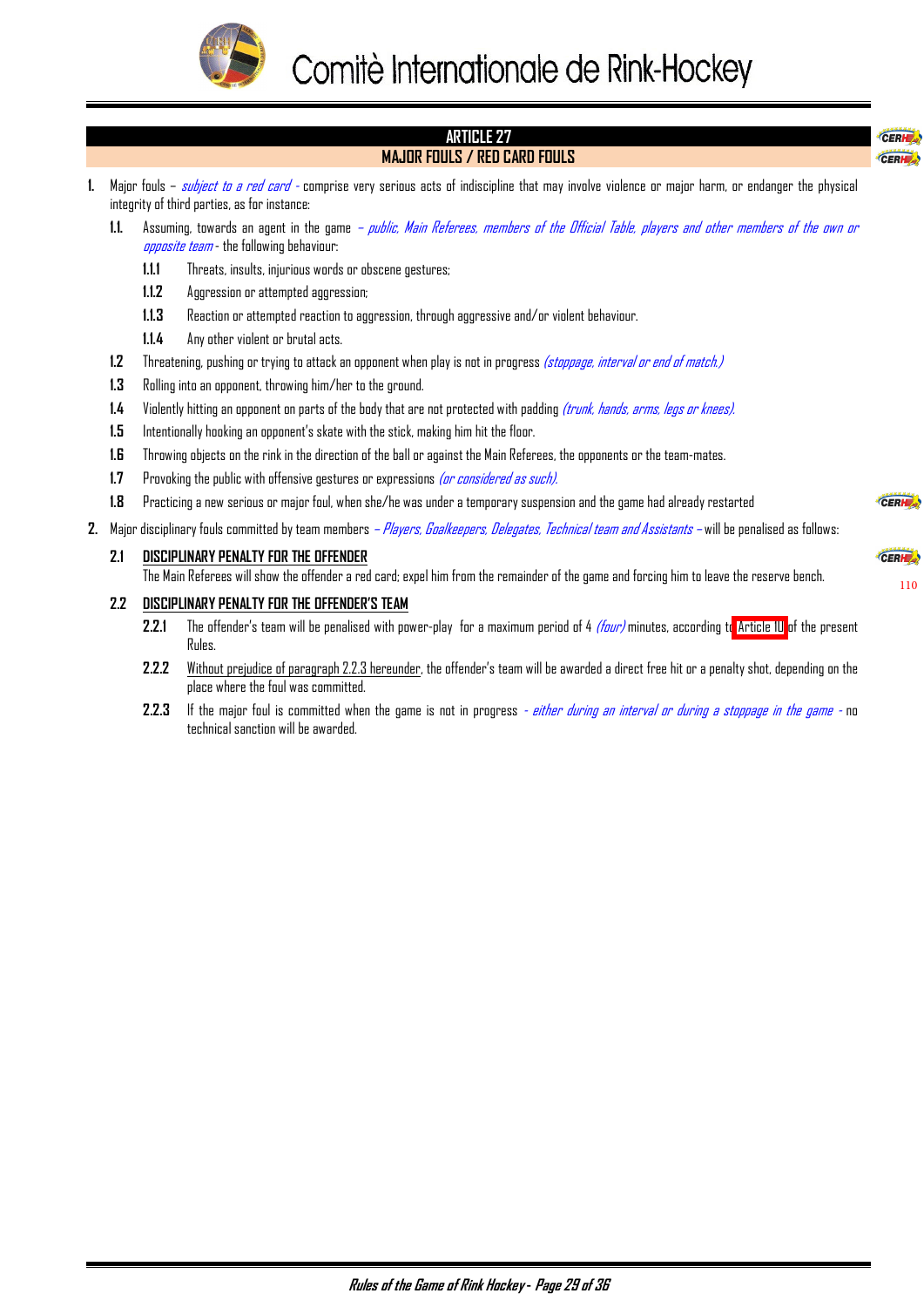

#### <span id="page-29-0"></span>**ARTICLE 27**  CERH **MAJOR FOULS / RED CARD FOULS**  CERH **1.** Major fouls – subject to a red card - comprise very serious acts of indiscipline that may involve violence or major harm, or endanger the physical integrity of third parties, as for instance: **1.1.** Assuming, towards an agent in the game – public, Main Referees, members of the Official Table, players and other members of the own or opposite team - the following behaviour: **1.1.1** Threats, insults, injurious words or obscene gestures; **1.1.2** Aggression or attempted aggression; **1.1.3** Reaction or attempted reaction to aggression, through aggressive and/or violent behaviour. **1.1.4** Any other violent or brutal acts. **1.2** Threatening, pushing or trying to attack an opponent when play is not in progress (stoppage, interval or end of match.) **1.3** Rolling into an opponent, throwing him/her to the ground. **1.4** Violently hitting an opponent on parts of the body that are not protected with padding (trunk, hands, arms, legs or knees). **1.5** Intentionally hooking an opponent's skate with the stick, making him hit the floor. **1.6** Throwing objects on the rink in the direction of the ball or against the Main Referees, the opponents or the team-mates. **1.7** Provoking the public with offensive gestures or expressions *(or considered as such)*. **1.8** Practicing a new serious or major foul, when she/he was under a temporary suspension and the game had already restarted CERH 2. Major disciplinary fouls committed by team members – Players, Goalkeepers, Delegates, Technical team and Assistants – will be penalised as follows:

**2.1 DISCIPLINARY PENALTY FOR THE OFFENDER** The Main Referees will show the offender a red card; expel him from the remainder of the game and forcing him to leave the reserve bench.

#### **2.2 DISCIPLINARY PENALTY FOR THE OFFENDER'S TEAM**

**2.2.1** The offender's team will be penalised with power-play for a maximum period of 4 (four) minutes, according t[o Article 10](#page-8-0) of the present Rules.

[110](#page-24-0)

CERH

- **2.2.2** Without prejudice of paragraph 2.2.3 hereunder, the offender's team will be awarded a direct free hit or a penalty shot, depending on the place where the foul was committed.
- **2.2.3** If the major foul is committed when the game is not in progress  *either during an interval or during a stoppage in the game -* no technical sanction will be awarded.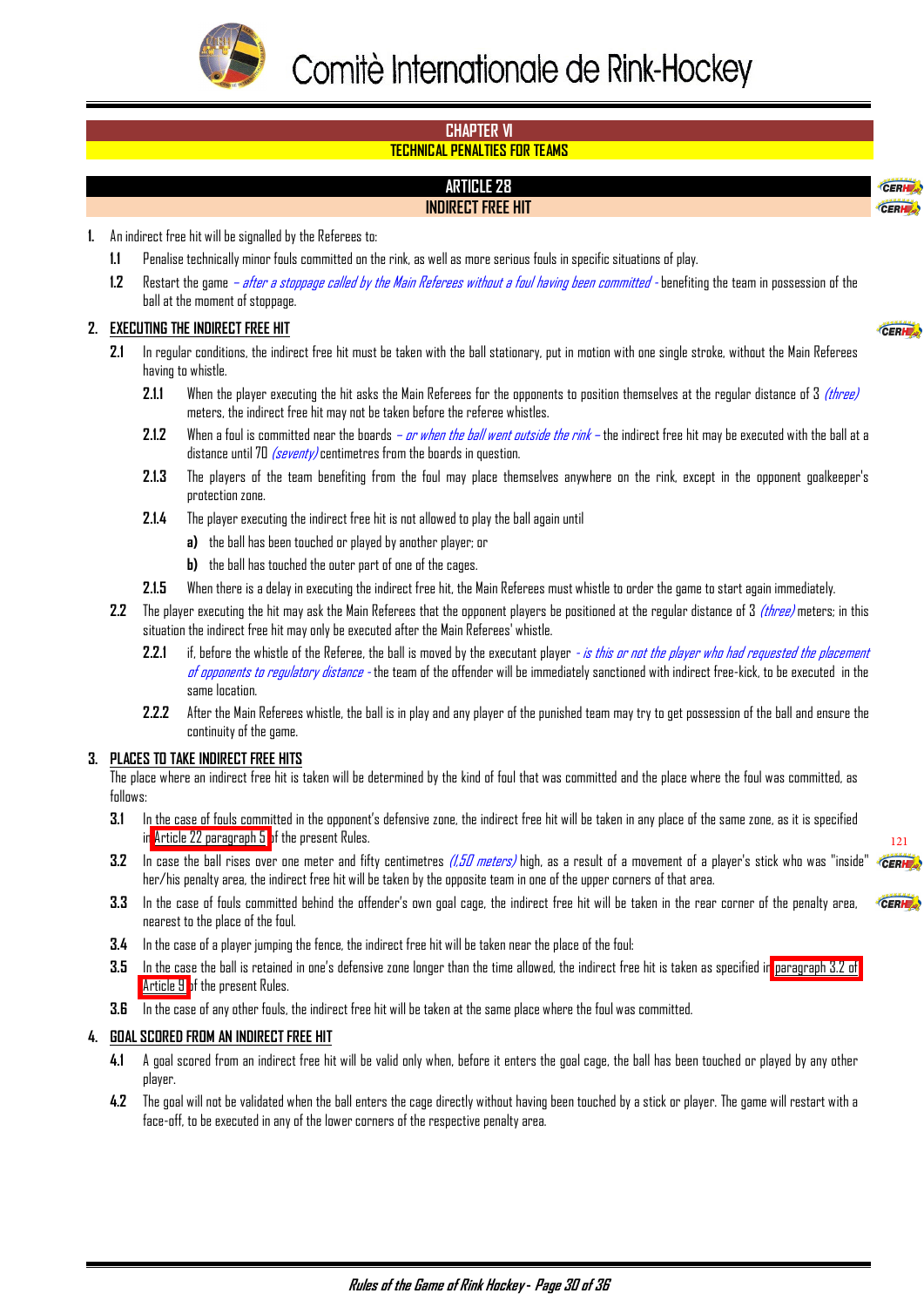<span id="page-30-0"></span>

#### **CHAPTER VI TECHNICAL PENALTIES FOR TEAMS**

# **ARTICLE 28 INDIRECT FREE HIT**

**1.** An indirect free hit will be signalled by the Referees to:

- **1.1** Penalise technically minor fouls committed on the rink, as well as more serious fouls in specific situations of play.
- **1.2** Restart the game after a stoppage called by the Main Referees without a foul having been committed benefiting the team in possession of the ball at the moment of stoppage.

#### **2. EXECUTING THE INDIRECT FREE HIT**

- **2.1** In regular conditions, the indirect free hit must be taken with the ball stationary, put in motion with one single stroke, without the Main Referees having to whistle.
	- **2.1.1** When the player executing the hit asks the Main Referees for the opponents to position themselves at the regular distance of 3 *(three)* meters, the indirect free hit may not be taken before the referee whistles.
	- **2.1.2** When a foul is committed near the boards or when the ball went outside the rink the indirect free hit may be executed with the ball at a distance until 70  $\sqrt{\frac{Sevent}{s}}$  centimetres from the boards in question.
	- **2.1.3** The players of the team benefiting from the foul may place themselves anywhere on the rink, except in the opponent goalkeeper's protection zone.
	- **2.1.4** The player executing the indirect free hit is not allowed to play the ball again until
		- **a)** the ball has been touched or played by another player; or
		- **b)** the ball has touched the outer part of one of the cages.
	- **2.1.5** When there is a delay in executing the indirect free hit, the Main Referees must whistle to order the game to start again immediately.
- **2.2** The player executing the hit may ask the Main Referees that the opponent players be positioned at the regular distance of 3 (three) meters; in this situation the indirect free hit may only be executed after the Main Referees' whistle.
	- **2.2.1** if, before the whistle of the Referee, the ball is moved by the executant player is this ar not the player who had requested the placement of opponents to requiatory distance - the team of the offender will be immediately sanctioned with indirect free-kick, to be executed in the same location.
	- **2.2.2** After the Main Referees whistle, the ball is in play and any player of the punished team may try to get possession of the ball and ensure the continuity of the game.

#### **3. PLACES TO TAKE INDIRECT FREE HITS**

The place where an indirect free hit is taken will be determined by the kind of foul that was committed and the place where the foul was committed, as follows:

- **3.1** In the case of fouls committed in the opponent's defensive zone, the indirect free hit will be taken in any place of the same zone, as it is specified in Article  $22$  paragraph  $5$  of the present Rules.
- **3.2** In case the ball rises over one meter and fifty centimetres *(1,50 meters)* high, as a result of a movement of a player's stick who was "inside" her/his penalty area, the indirect free hit will be taken by the opposite team in one of the upper corners of that area.
- **3.3** In the case of fouls committed behind the offender's own goal cage, the indirect free hit will be taken in the rear corner of the penalty area, CERHE nearest to the place of the foul.
- **3.4** In the case of a player jumping the fence, the indirect free hit will be taken near the place of the foul:
- **3.5** In the case the ball is retained in one's defensive zone longer than the time allowed, the indirect free hit is taken as specified in [paragraph 3.2 of](#page-7-0)  [Article 9 o](#page-7-0)f the present Rules.
- **3.6** In the case of any other fouls, the indirect free hit will be taken at the same place where the foul was committed.

#### **4. GOAL SCORED FROM AN INDIRECT FREE HIT**

- **4.1** A goal scored from an indirect free hit will be valid only when, before it enters the goal cage, the ball has been touched or played by any other player.
- **4.2** The goal will not be validated when the ball enters the cage directly without having been touched by a stick or player. The game will restart with a face-off, to be executed in any of the lower corners of the respective penalty area.

CER CERH

CERH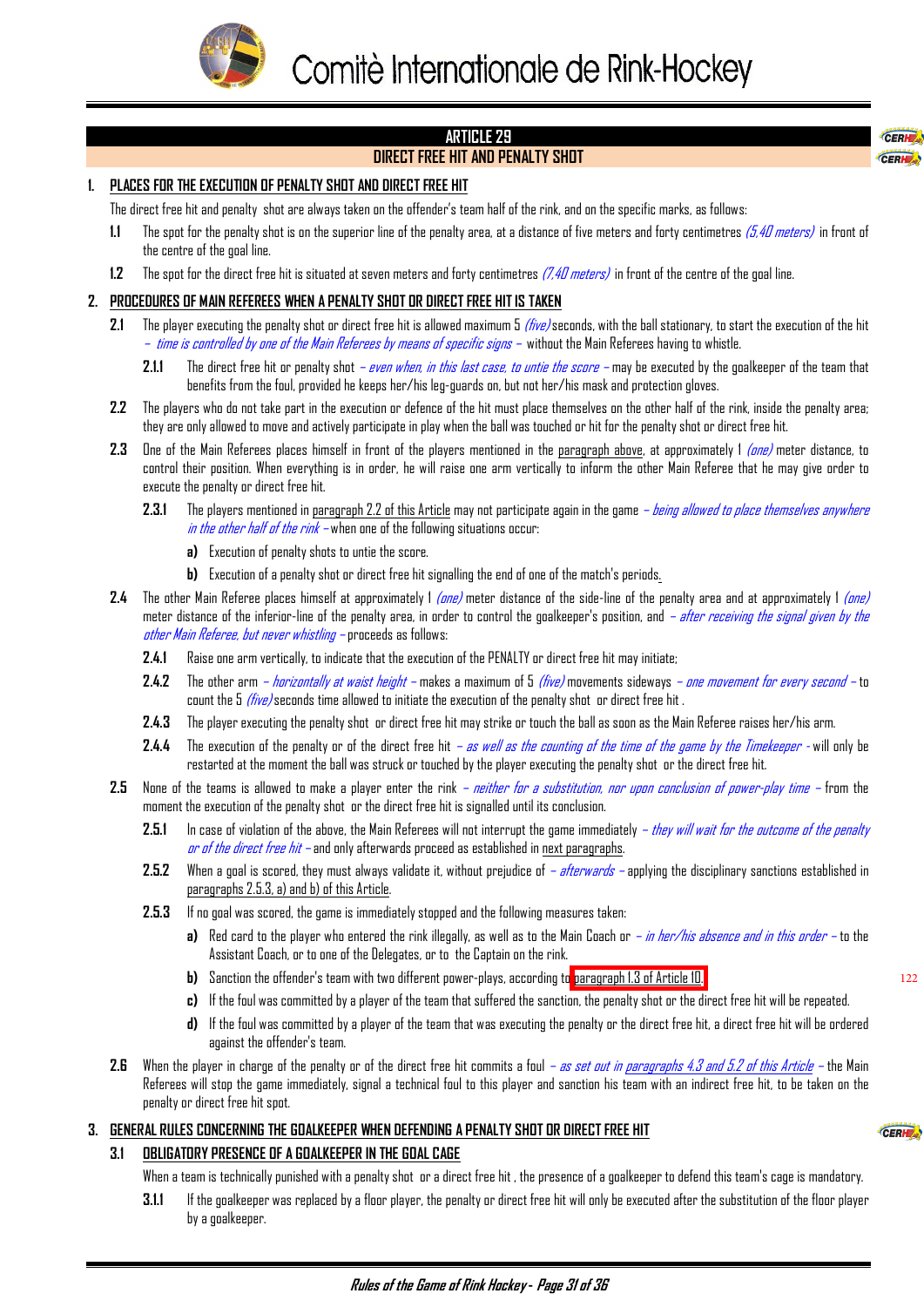<span id="page-31-0"></span>

# **ARTICLE 29**

# **DIRECT FREE HIT AND PENALTY SHOT**

#### **1. PLACES FOR THE EXECUTION OF PENALTY SHOT AND DIRECT FREE HIT**

The direct free hit and penalty shot are always taken on the offender's team half of the rink, and on the specific marks, as follows:

- **1.1** The spot for the penalty shot is on the superior line of the penalty area, at a distance of five meters and forty centimetres (5,40 meters) in front of the centre of the goal line.
- **1.2** The spot for the direct free hit is situated at seven meters and forty centimetres (7,40 meters) in front of the centre of the goal line.

#### **2. PROCEDURES OF MAIN REFEREES WHEN A PENALTY SHOT OR DIRECT FREE HIT IS TAKEN**

- **2.1** The player executing the penalty shot or direct free hit is allowed maximum 5 (five) seconds, with the ball stationary, to start the execution of the hit – time is controlled by one of the Main Referees by means of specific signs – without the Main Referees having to whistle.
	- **2.1.1** The direct free hit or penalty shot even when, in this last case, to untie the score may be executed by the goalkeeper of the team that benefits from the foul, provided he keeps her/his leg-guards on, but not her/his mask and protection gloves.
- **2.2** The players who do not take part in the execution or defence of the hit must place themselves on the other half of the rink, inside the penalty area; they are only allowed to move and actively participate in play when the ball was touched or hit for the penalty shot or direct free hit.
- 2.3 One of the Main Referees places himself in front of the players mentioned in the paragraph above, at approximately 1 (one) meter distance, to control their position. When everything is in order, he will raise one arm vertically to inform the other Main Referee that he may give order to execute the penalty or direct free hit.
	- **2.3.1** The players mentioned in paragraph 2.2 of this Article may not participate again in the game being allowed to place themselves anywhere in the other half of the rink – when one of the following situations occur:
		- **a)** Execution of penalty shots to untie the score.
		- **b)** Execution of a penalty shot or direct free hit signalling the end of one of the match's periods.
- **2.4** The other Main Referee places himself at approximately 1 (one) meter distance of the side-line of the penalty area and at approximately 1 (one) meter distance of the inferior-line of the penalty area, in order to control the goalkeeper's position, and *- after receiving the signal given by the* other Main Referee, but never whistling – proceeds as follows:
	- **2.4.1** Raise one arm vertically, to indicate that the execution of the PENALTY or direct free hit may initiate;
	- 2.4.2 The other arm *horizontally at waist height* makes a maximum of 5 *(five)* movements sideways *one movement for every second* to count the 5 *(five)* seconds time allowed to initiate the execution of the penalty shot or direct free hit.
	- **2.4.3** The player executing the penalty shot or direct free hit may strike or touch the ball as soon as the Main Referee raises her/his arm.
	- **2.4.4** The execution of the penalty or of the direct free hit as well as the counting of the time of the game by the Timekeeper will only be restarted at the moment the ball was struck or touched by the player executing the penalty shot or the direct free hit.
- **2.5** None of the teams is allowed to make a player enter the rink neither for a substitution, nor upon conclusion of power-play time from the moment the execution of the penalty shot or the direct free hit is signalled until its conclusion.
	- **2.5.1** In case of violation of the above, the Main Referees will not interrupt the game immediately they will wait for the outcome of the penalty or of the direct free hit – and only afterwards proceed as established in next paragraphs.
	- **2.5.2** When a goal is scored, they must always validate it, without prejudice of afterwards applying the disciplinary sanctions established in paragraphs 2.5.3, a) and b) of this Article.
	- **2.5.3** If no goal was scored, the game is immediately stopped and the following measures taken:
		- **a)** Red card to the player who entered the rink illegally, as well as to the Main Coach or in her/his absence and in this order to the Assistant Coach, or to one of the Delegates, or to the Captain on the rink.
		- **b)** Sanction the offender's team with two different power-plays, according to [paragraph 1.3 of Article 10.](#page-8-0)
		- **c)** If the foul was committed by a player of the team that suffered the sanction, the penalty shot or the direct free hit will be repeated.
		- **d)** If the foul was committed by a player of the team that was executing the penalty or the direct free hit, a direct free hit will be ordered against the offender's team.
- 2.6 When the player in charge of the penalty or of the direct free hit commits a foul as set out in paragraphs 4.3 and 5.2 of this Article the Main Referees will stop the game immediately, signal a technical foul to this player and sanction his team with an indirect free hit, to be taken on the penalty or direct free hit spot.

#### **3. GENERAL RULES CONCERNING THE GOALKEEPER WHEN DEFENDING A PENALTY SHOT OR DIRECT FREE HIT**

#### **3.1 OBLIGATORY PRESENCE OF A GOALKEEPER IN THE GOAL CAGE**

When a team is technically punished with a penalty shot or a direct free hit , the presence of a goalkeeper to defend this team's cage is mandatory.

**3.1.1** If the goalkeeper was replaced by a floor player, the penalty or direct free hit will only be executed after the substitution of the floor player by a goalkeeper.

122

CERL CERH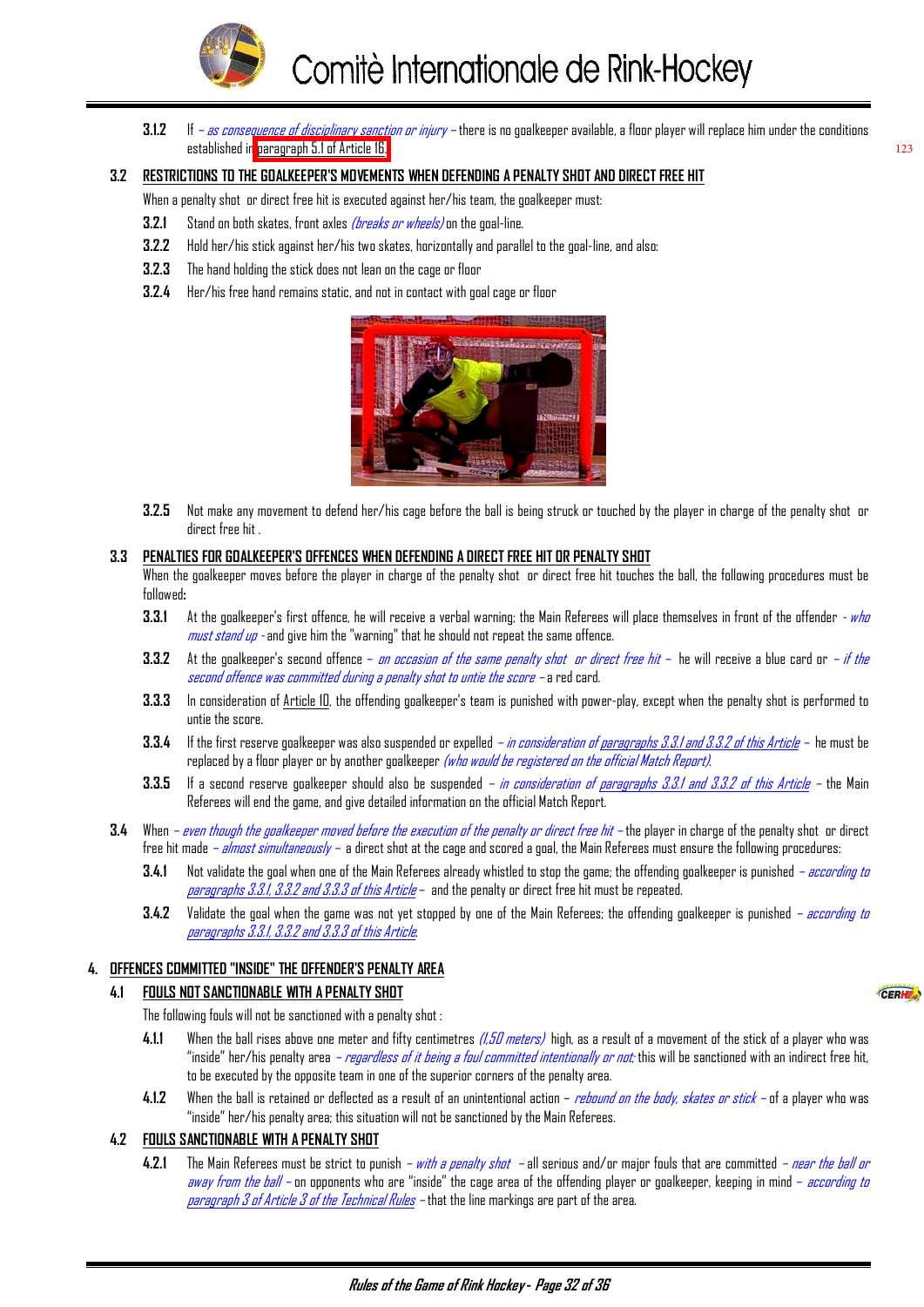

<span id="page-32-0"></span>**3.1.2** If – as consequence of disciplinary sanction or injury – there is no goalkeeper available, a floor player will replace him under the conditions established in [paragraph 5.1 of Article 16.](#page-16-0) 

123

CERH

#### **3.2 RESTRICTIONS TO THE GOALKEEPER'S MOVEMENTS WHEN DEFENDING A PENALTY SHOT AND DIRECT FREE HIT**

When a penalty shot or direct free hit is executed against her/his team, the goalkeeper must:

- **3.2.1** Stand on both skates, front axles (breaks or wheels) on the goal-line.
- **3.2.2** Hold her/his stick against her/his two skates, horizontally and parallel to the goal-line, and also:
- **3.2.3** The hand holding the stick does not lean on the cage or floor
- **3.2.4** Her/his free hand remains static, and not in contact with goal cage or floor



**3.2.5** Not make any movement to defend her/his cage before the ball is being struck or touched by the player in charge of the penalty shot or direct free hit .

#### **3.3 PENALTIES FOR GOALKEEPER'S OFFENCES WHEN DEFENDING A DIRECT FREE HIT OR PENALTY SHOT**

When the goalkeeper moves before the player in charge of the penalty shot or direct free hit touches the ball, the following procedures must be followed**:**

- **3.3.1** At the goalkeeper's first offence, he will receive a verbal warning; the Main Referees will place themselves in front of the offender who  $must$  stand  $up$  - and give him the "warning" that he should not repeat the same offence.
- **3.3.2** At the goalkeeper's second offence *on occasion of the same penalty shot or direct free hit* he will receive a blue card or *if the* second offence was committed during a penalty shot to untie the score – a red card.
- **3.3.3** In consideration of Article 10, the offending goalkeeper's team is punished with power-play, except when the penalty shot is performed to untie the score.
- **3.3.4** If the first reserve goalkeeper was also suspended or expelled in consideration of paragraphs 3.3.1 and 3.3.2 of this Article he must be replaced by a floor player or by another goalkeeper *(who would be registered on the official Match Report)*.
- **3.3.5** If a second reserve goalkeeper should also be suspended in consideration of paragraphs 3.3.1 and 3.3.2 of this Article the Main Referees will end the game, and give detailed information on the official Match Report.
- **3.4** When even though the goalkeeper moved before the execution of the penalty or direct free hit the player in charge of the penalty shot or direct free hit made *– almost simultaneously –* a direct shot at the cage and scored a goal, the Main Referees must ensure the following procedures:
	- 3.4.1 Not validate the goal when one of the Main Referees already whistled to stop the game; the offending goalkeeper is punished  *according to* paragraphs 3.3.1, 3.3.2 and 3.3.3 of this Article – and the penalty or direct free hit must be repeated.
	- **3.4.2** Validate the goal when the game was not yet stopped by one of the Main Referees; the offending goalkeeper is punished according to paragraphs 3.3.1, 3.3.2 and 3.3.3 of this Article.

#### **4. OFFENCES COMMITTED "INSIDE" THE OFFENDER'S PENALTY AREA**

#### **4.1 FOULS NOT SANCTIONABLE WITH A PENALTY SHOT**

The following fouls will not be sanctioned with a penalty shot :

- 4.1.1 When the ball rises above one meter and fifty centimetres *(1,50 meters)* high, as a result of a movement of the stick of a player who was "inside" her/his penalty area *– regardless of it being a foul committed intentionally or not;* this will be sanctioned with an indirect free hit, to be executed by the opposite team in one of the superior corners of the penalty area.
- **4.1.2** When the ball is retained or deflected as a result of an unintentional action rebound on the body, skates or stick of a player who was "inside" her/his penalty area; this situation will not be sanctioned by the Main Referees.

#### **4.2 FOULS SANCTIONABLE WITH A PENALTY SHOT**

**4.2.1** The Main Referees must be strict to punish – with a penalty shot – all serious and/or major fouls that are committed – near the ball or away from the ball – on opponents who are "inside" the cage area of the offending player or goalkeeper, keeping in mind – *according to* paragraph 3 of Article 3 of the Technical Rules – that the line markings are part of the area.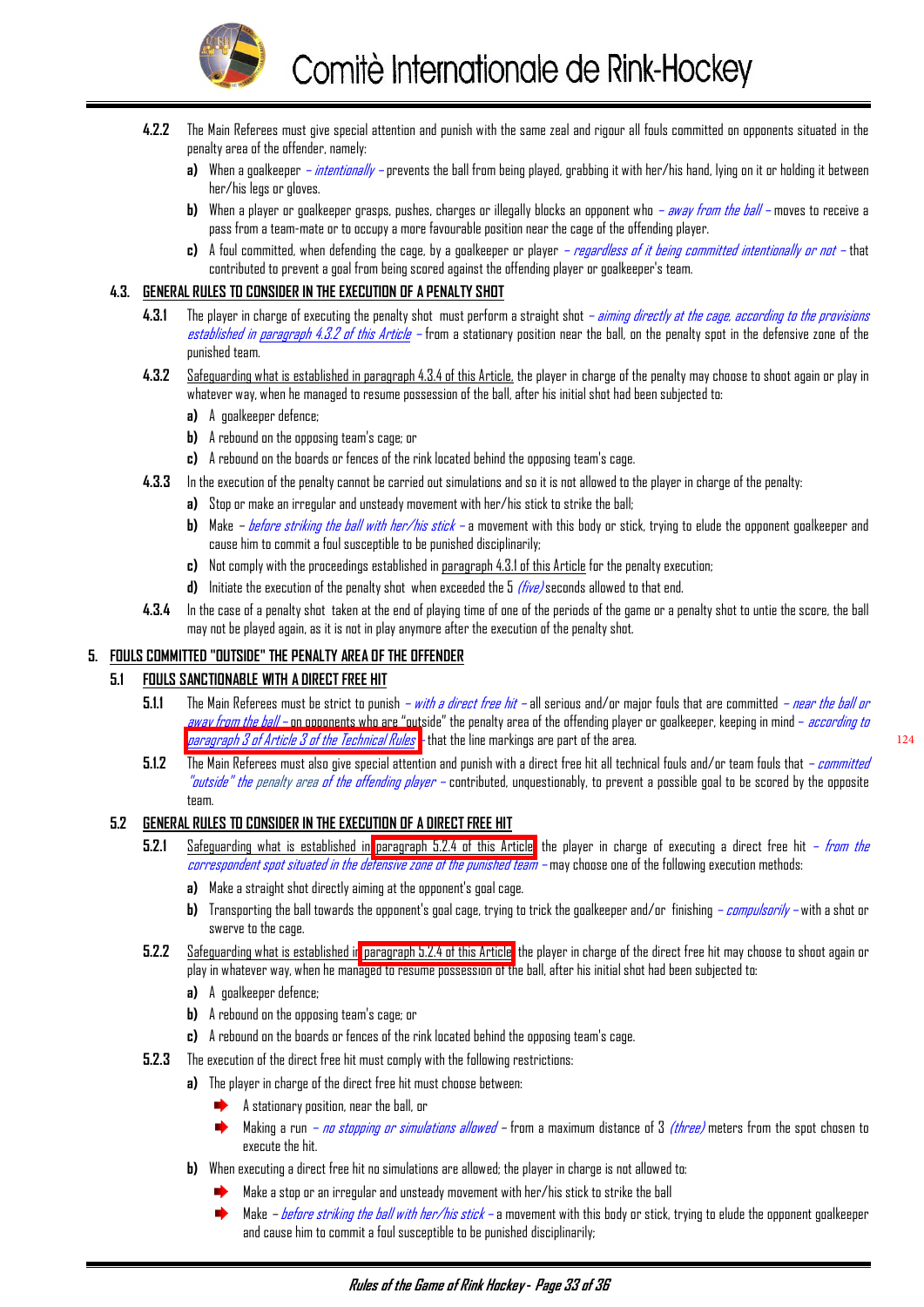

- <span id="page-33-0"></span>**4.2.2** The Main Referees must give special attention and punish with the same zeal and rigour all fouls committed on opponents situated in the penalty area of the offender, namely:
	- **a)** When a goalkeeper intentionally prevents the ball from being played, grabbing it with her/his hand, lying on it or holding it between her/his legs or gloves.
	- **b)** When a player or goalkeeper grasps, pushes, charges or illegally blocks an opponent who away from the ball moves to receive a pass from a team-mate or to occupy a more favourable position near the cage of the offending player.
	- **c)** A foul committed, when defending the cage, by a goalkeeper or player regardless of it being committed intentionally or not that contributed to prevent a goal from being scored against the offending player or goalkeeper's team.

#### **4.3. GENERAL RULES TO CONSIDER IN THE EXECUTION OF A PENALTY SHOT**

- **4.3.1** The player in charge of executing the penalty shot must perform a straight shot *aiming directly at the cage, according to the provisions* established in paragraph 4.3.2 of this Article – from a stationary position near the ball, on the penalty spot in the defensive zone of the punished team.
- **4.3.2** Safeguarding what is established in paragraph 4.3.4 of this Article, the player in charge of the penalty may choose to shoot again or play in whatever way, when he managed to resume possession of the ball, after his initial shot had been subjected to:
	- **a)** A goalkeeper defence;
	- **b)** A rebound on the opposing team's cage; or
	- **c)** A rebound on the boards or fences of the rink located behind the opposing team's cage.
- **4.3.3** In the execution of the penalty cannot be carried out simulations and so it is not allowed to the player in charge of the penalty:
	- **a)** Stop or make an irregular and unsteady movement with her/his stick to strike the ball;
	- **b)** Make  *before striking the ball with her/his stick* a movement with this body or stick, trying to elude the opponent goalkeeper and cause him to commit a foul susceptible to be punished disciplinarily;
	- **c)** Not comply with the proceedings established in paragraph 4.3.1 of this Article for the penalty execution;
	- **d)** Initiate the execution of the penalty shot when exceeded the 5 *(five)* seconds allowed to that end.
- **4.3.4** In the case of a penalty shot taken at the end of playing time of one of the periods of the game or a penalty shot to untie the score, the ball may not be played again, as it is not in play anymore after the execution of the penalty shot.

#### **5. FOULS COMMITTED "OUTSIDE" THE PENALTY AREA OF THE OFFENDER**

#### **5.1 FOULS SANCTIONABLE WITH A DIRECT FREE HIT**

- **5.1.1** The Main Referees must be strict to punish  *with a direct free hit –* all serious and/or major fouls that are committed  *near the ball or* away from the ball – on opponents who are "outside" the penalty area of the offending player or goalkeeper, keeping in mind – *according to* [paragraph 3 of Article 3 of the Technical Rules –](#page-2-0) that the line markings are part of the area.
- **5.1.2** The Main Referees must also give special attention and punish with a direct free hit all technical fouls and/or team fouls that committed "outside" the penalty area of the offending player – contributed, unquestionably, to prevent a possible goal to be scored by the opposite team.

#### **5.2 GENERAL RULES TO CONSIDER IN THE EXECUTION OF A DIRECT FREE HIT**

- **5.2.1** Safeguarding what is established in [paragraph 5.2.4 of this Article,](#page-34-0) the player in charge of executing a direct free hit from the carrespandent spat situated in the defensive zane of the punished team – may choose one of the following execution methods:
	- **a)** Make a straight shot directly aiming at the opponent's goal cage.
	- **b)** Transporting the ball towards the opponent's goal cage, trying to trick the goalkeeper and/or finishing *compulsorily* with a shot or swerve to the cage.
- **5.2.2** Safeguarding what is established i[n paragraph 5.2.4 of this Article,](#page-34-0) the player in charge of the direct free hit may choose to shoot again or play in whatever way, when he managed to resume possession of the ball, after his initial shot had been subjected to:
	- **a)** A goalkeeper defence;
	- **b)** A rebound on the opposing team's cage; or
	- **c)** A rebound on the boards or fences of the rink located behind the opposing team's cage.
- **5.2.3** The execution of the direct free hit must comply with the following restrictions:
	- **a)** The player in charge of the direct free hit must choose between:
		- A stationary position, near the ball, or
		- Making a run no stopping or simulations allowed from a maximum distance of 3 *(three)* meters from the spot chosen to execute the hit.
	- **b)** When executing a direct free hit no simulations are allowed; the player in charge is not allowed to:
		- Make a stop or an irregular and unsteady movement with her/his stick to strike the ball
		- Make  *before striking the ball with her/his stick* a movement with this body or stick, trying to elude the opponent goalkeeper and cause him to commit a foul susceptible to be punished disciplinarily;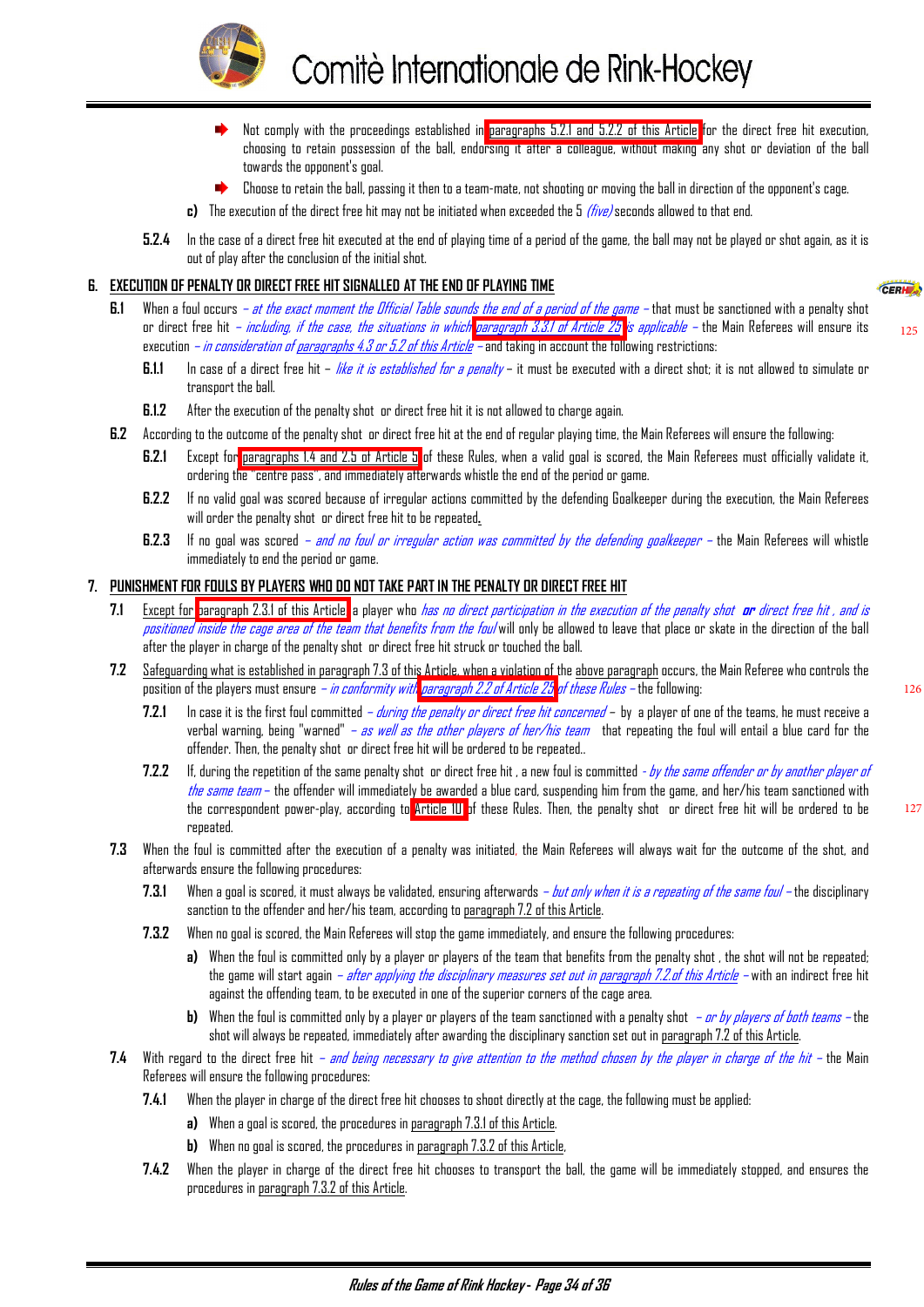<span id="page-34-0"></span>

- ∙. Not comply with the proceedings established in [paragraphs 5.2.1 and 5.2.2 of this Article](#page-33-0) for the direct free hit execution, choosing to retain possession of the ball, endorsing it after a colleague, without making any shot or deviation of the ball towards the opponent's goal.
- Choose to retain the ball, passing it then to a team-mate, not shooting or moving the ball in direction of the opponent's cage.
- **c)** The execution of the direct free hit may not be initiated when exceeded the 5 *(five)* seconds allowed to that end.
- **5.2.4** In the case of a direct free hit executed at the end of playing time of a period of the game, the ball may not be played or shot again, as it is out of play after the conclusion of the initial shot.

#### **6. EXECUTION OF PENALTY OR DIRECT FREE HIT SIGNALLED AT THE END OF PLAYING TIME**

- **6.1** When a foul occurs *at the exact moment the Official Table sounds the end of a period of the game* that must be sanctioned with a penalty shot or direct free hit – *including, if the case, the situations in whic[h paragraph 3.3.1 of Article 25](#page-27-0) is applicable* – the Main Referees will ensure its execution – in consideration of paragraphs 4.3 or 5.2 of this Article – and taking in account the following restrictions:
	- **6.1.1** In case of a direct free hit *like it is established for a penalty* it must be executed with a direct shot; it is not allowed to simulate or transport the ball.
	- **6.1.2** After the execution of the penalty shot or direct free hit it is not allowed to charge again.
- **6.2** According to the outcome of the penalty shot or direct free hit at the end of regular playing time, the Main Referees will ensure the following:
	- **6.2.1** Except for [paragraphs 1.4 and 2.5 of Article 5](#page-4-0) of these Rules, when a valid goal is scored, the Main Referees must officially validate it, ordering the "centre pass", and immediately afterwards whistle the end of the period or game.
	- **6.2.2** If no valid goal was scored because of irregular actions committed by the defending Goalkeeper during the execution, the Main Referees will order the penalty shot or direct free hit to be repeated**.**
	- **6.2.3** If no goal was scored  *and no foul or irregular action was committed by the defending goalkeeper* the Main Referees will whistle immediately to end the period or game.

#### **7. PUNISHMENT FOR FOULS BY PLAYERS WHO DO NOT TAKE PART IN THE PENALTY OR DIRECT FREE HIT**

- **7.1** Except for [paragraph 2.3.1 of this Article,](#page-31-0) a player who has no direct participation in the execution of the penalty shot **or** direct free hit , and is positioned inside the cage area of the team that benefits from the foul will only be allowed to leave that place or skate in the direction of the ball after the player in charge of the penalty shot or direct free hit struck or touched the ball.
- **7.2** Safeguarding what is established in paragraph 7.3 of this Article, when a violation of the above paragraph occurs, the Main Referee who controls the position of the players must ensure *– in conformity wit[h paragraph 2.2 of Article 25](#page-27-0) of these Rules* – the following:
	- **7.2.1** In case it is the first foul committed during the penalty or direct free hit concerned by a player of one of the teams, he must receive a verbal warning, being "warned" – as well as the other players of her/his team that repeating the foul will entail a blue card for the offender. Then, the penalty shot or direct free hit will be ordered to be repeated..
	- **7.2.2** If, during the repetition of the same penalty shot or direct free hit, a new foul is committed by the same offender or by another player of the same team – the offender will immediately be awarded a blue card, suspending him from the game, and her/his team sanctioned with the correspondent power-play, according to [Article 10](#page-8-0) of these Rules. Then, the penalty shot or direct free hit will be ordered to be repeated.
- **7.3** When the foul is committed after the execution of a penalty was initiated, the Main Referees will always wait for the outcome of the shot, and afterwards ensure the following procedures:
	- **7.3.1** When a goal is scored, it must always be validated, ensuring afterwards but only when it is a repeating of the same foul the disciplinary sanction to the offender and her/his team, according to paragraph 7.2 of this Article.
	- **7.3.2** When no goal is scored, the Main Referees will stop the game immediately, and ensure the following procedures:
		- a) When the foul is committed only by a player or players of the team that benefits from the penalty shot, the shot will not be repeated; the game will start again *– after applying the disciplinary measures set out in paragraph 7.2.of this Article –* with an indirect free hit against the offending team, to be executed in one of the superior corners of the cage area.
		- **b)** When the foul is committed only by a player or players of the team sanctioned with a penalty shot or by players of both teams the shot will always be repeated, immediately after awarding the disciplinary sanction set out in paragraph 7.2 of this Article.
- **7.4** With regard to the direct free hit and being necessary to give attention to the method chosen by the player in charge of the hit the Main Referees will ensure the following procedures:
	- **7.4.1** When the player in charge of the direct free hit chooses to shoot directly at the cage, the following must be applied:
		- **a)** When a goal is scored, the procedures in paragraph 7.3.1 of this Article.
		- **b)** When no goal is scored, the procedures in paragraph 7.3.2 of this Article,
	- **7.4.2** When the player in charge of the direct free hit chooses to transport the ball, the game will be immediately stopped, and ensures the procedures in paragraph 7.3.2 of this Article.

125

126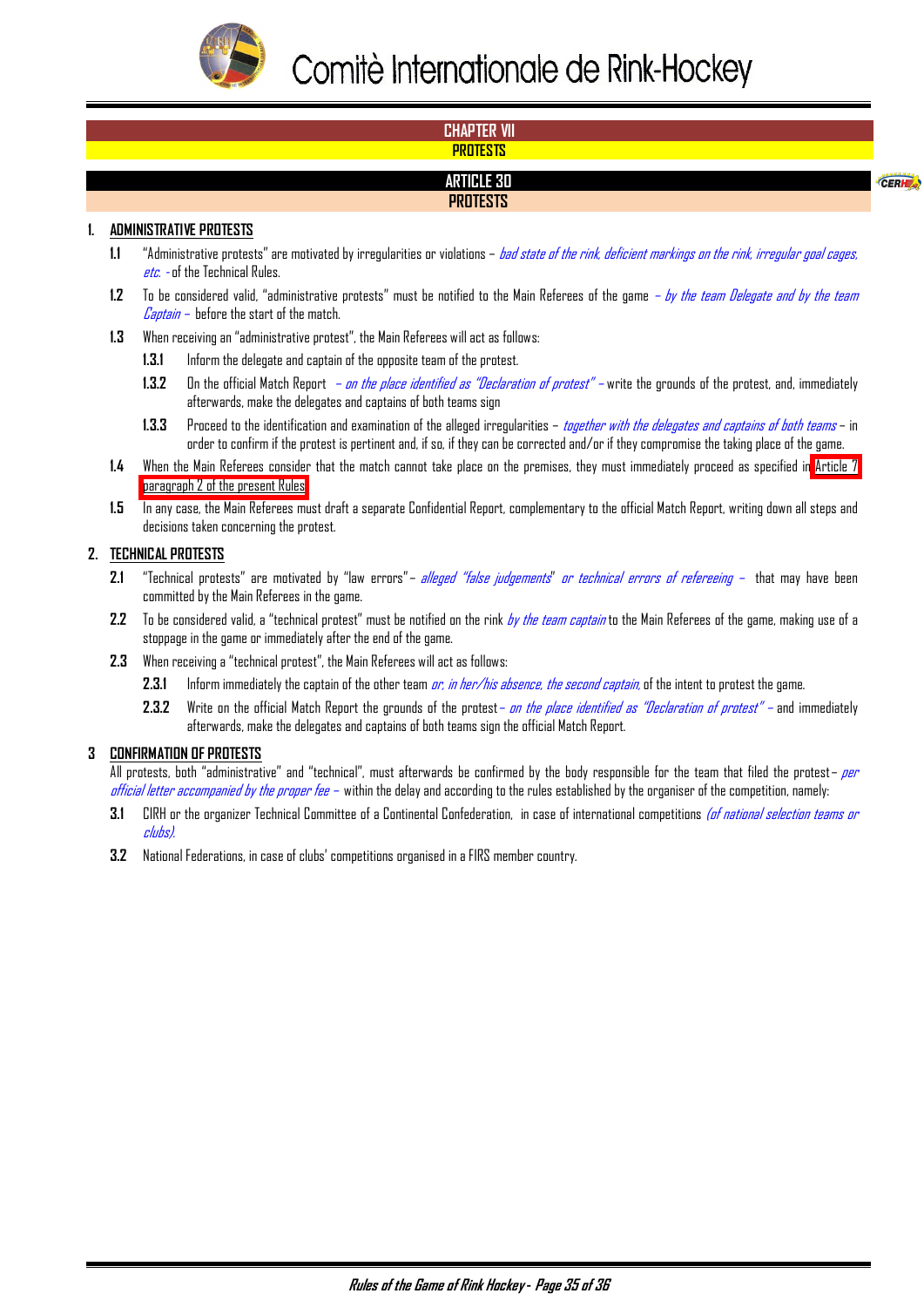<span id="page-35-0"></span>

# **CHAPTER VII PROTESTS ARTICLE 30 PROTESTS**

CERHE

#### **1. ADMINISTRATIVE PROTESTS**

- **1.1** "Administrative protests" are motivated by irregularities or violations bad state of the rink, deficient markings on the rink, irregular goal cages, *etc.* - of the Technical Rules.
- 1.2 To be considered valid, "administrative protests" must be notified to the Main Referees of the game  *by the team Delegate and by the team*  $\mathcal{L}$ aptain – before the start of the match.
- **1.3** When receiving an "administrative protest", the Main Referees will act as follows:
	- **1.3.1** Inform the delegate and captain of the opposite team of the protest.
	- 1.3.2 On the official Match Report  *on the place identified as "Declaration of protest"* write the grounds of the protest, and, immediately afterwards, make the delegates and captains of both teams sign
	- **1.3.3** Proceed to the identification and examination of the alleged irregularities together with the delegates and captains of both teams in order to confirm if the protest is pertinent and, if so, if they can be corrected and/or if they compromise the taking place of the game.
- **1.4** When the Main Referees consider that the match cannot take place on the premises, they must immediately proceed as specified in [Article 7](#page-5-0)  [paragraph 2 of the present Rules.](#page-5-0)
- **1.5** In any case, the Main Referees must draft a separate Confidential Report, complementary to the official Match Report, writing down all steps and decisions taken concerning the protest.

#### **2. TECHNICAL PROTESTS**

- 2.1 "Technical protests" are motivated by "law errors"- *alleged "false judgements" or technical errors of refereeing* that may have been committed by the Main Referees in the game.
- 2.2 To be considered valid, a "technical protest" must be notified on the rink by the team captain to the Main Referees of the game, making use of a stoppage in the game or immediately after the end of the game.
- **2.3** When receiving a "technical protest", the Main Referees will act as follows:
	- 2.3.1 Inform immediately the captain of the other team *or, in her/his absence, the second captain,* of the intent to protest the game.
	- **2.3.2** Write on the official Match Report the grounds of the protest– on the place identified as "Declaration of protest" and immediately afterwards, make the delegates and captains of both teams sign the official Match Report.

#### **3 CONFIRMATION OF PROTESTS**

All protests, both "administrative" and "technical", must afterwards be confirmed by the body responsible for the team that filed the protest– per official letter accompanied by the proper fee – within the delay and according to the rules established by the organiser of the competition, namely:

- **3.1** CIRH or the organizer Technical Committee of a Continental Confederation, in case of international competitions (of national selection teams or clubs).
- **3.2** National Federations, in case of clubs' competitions organised in a FIRS member country.